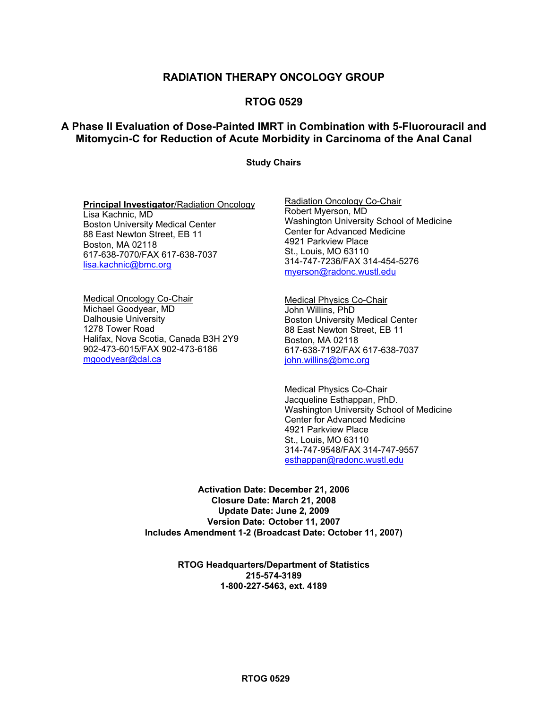## **RADIATION THERAPY ONCOLOGY GROUP**

## **RTOG 0529**

## **A Phase II Evaluation of Dose-Painted IMRT in Combination with 5-Fluorouracil and Mitomycin-C for Reduction of Acute Morbidity in Carcinoma of the Anal Canal**

### **Study Chairs**

#### **Principal Investigator**/Radiation Oncology

Lisa Kachnic, MD Boston University Medical Center 88 East Newton Street, EB 11 Boston, MA 02118 617-638-7070/FAX 617-638-7037 [lisa.kachnic@bmc.org](mailto:lisa.kachnic@bmc.org)

Medical Oncology Co-Chair Michael Goodyear, MD Dalhousie University 1278 Tower Road Halifax, Nova Scotia, Canada B3H 2Y9 902-473-6015/FAX 902-473-6186 [mgoodyear@dal.ca](mailto:mgoodyear@dal.ca)

Radiation Oncology Co-Chair Robert Myerson, MD Washington University School of Medicine Center for Advanced Medicine 4921 Parkview Place St., Louis, MO 63110 314-747-7236/FAX 314-454-5276 [myerson@radonc.wustl.edu](mailto:ADEERSMD@tech-res.com)

Medical Physics Co-Chair John Willins, PhD Boston University Medical Center 88 East Newton Street, EB 11 Boston, MA 02118 617-638-7192/FAX 617-638-7037 [john.willins@bmc.org](mailto:john.willins@bmc.org)

Medical Physics Co-Chair Jacqueline Esthappan, PhD. Washington University School of Medicine Center for Advanced Medicine 4921 Parkview Place St., Louis, MO 63110 314-747-9548/FAX 314-747-9557 [esthappan@radonc.wustl.edu](mailto:esthappan@radonc.wustl.edu)

**Activation Date: December 21, 2006 Closure Date: March 21, 2008 Update Date: June 2, 2009 Version Date: October 11, 2007 Includes Amendment 1-2 (Broadcast Date: October 11, 2007)** 

> **RTOG Headquarters/Department of Statistics 215-574-3189 1-800-227-5463, ext. 4189**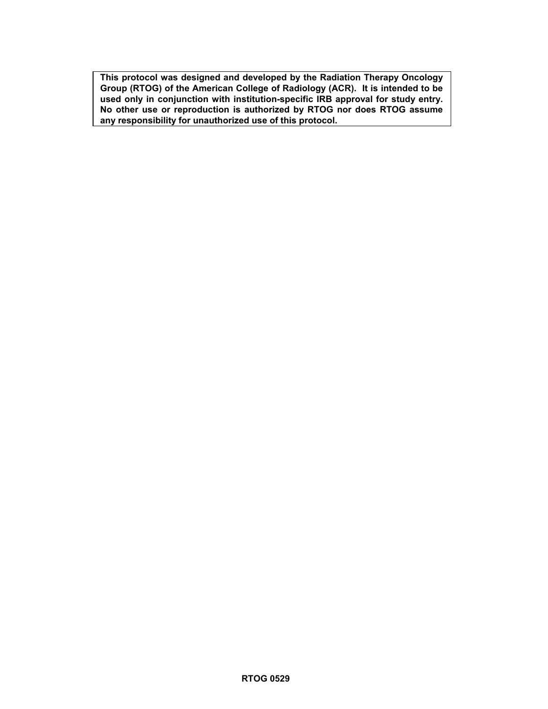**This protocol was designed and developed by the Radiation Therapy Oncology Group (RTOG) of the American College of Radiology (ACR). It is intended to be**  used only in conjunction with institution-specific IRB approval for study entry. **No other use or reproduction is authorized by RTOG nor does RTOG assume any responsibility for unauthorized use of this protocol.**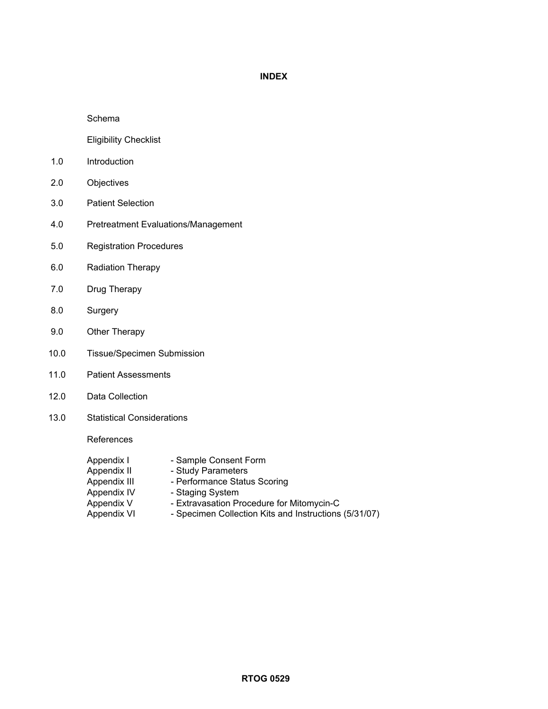## **INDEX**

### Schema

Eligibility Checklist

- 1.0 Introduction
- 2.0 Objectives
- 3.0 Patient Selection
- 4.0 Pretreatment Evaluations/Management
- 5.0 Registration Procedures
- 6.0 Radiation Therapy
- 7.0 Drug Therapy
- 8.0 Surgery
- 9.0 Other Therapy
- 10.0 Tissue/Specimen Submission
- 11.0 Patient Assessments
- 12.0 Data Collection
- 13.0 Statistical Considerations

References

- Appendix I Sample Consent Form
- Appendix II Study Parameters Appendix III - Performance Status Scoring Appendix IV - Staging System Appendix V - Extravasation Procedure for Mitomycin-C
- Appendix VI Specimen Collection Kits and Instructions (5/31/07)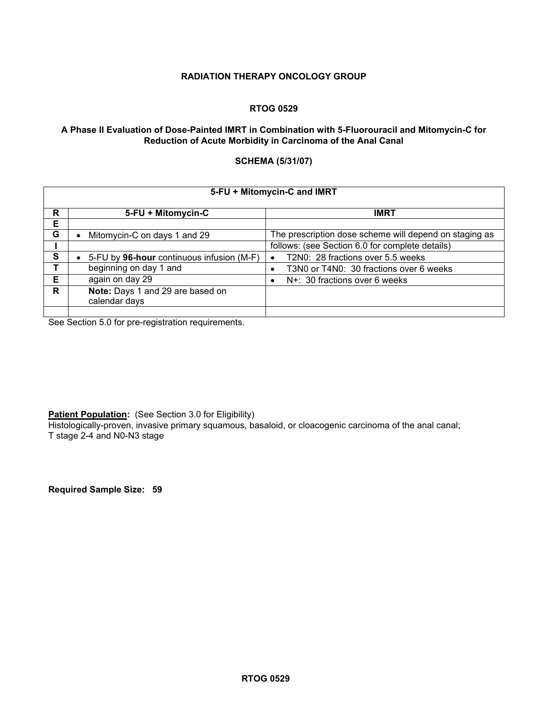### **RADIATION THERAPY ONCOLOGY GROUP**

### **RTOG 0529**

### **A Phase II Evaluation of Dose-Painted IMRT in Combination with 5-Fluorouracil and Mitomycin-C for Reduction of Acute Morbidity in Carcinoma of the Anal Canal**

### **SCHEMA (5/31/07)**

|   | 5-FU + Mitomycin-C and IMRT                       |                                                        |  |  |  |  |  |
|---|---------------------------------------------------|--------------------------------------------------------|--|--|--|--|--|
| R | 5-FU + Mitomycin-C                                | <b>IMRT</b>                                            |  |  |  |  |  |
| Е |                                                   |                                                        |  |  |  |  |  |
| G | Mitomycin-C on days 1 and 29                      | The prescription dose scheme will depend on staging as |  |  |  |  |  |
|   |                                                   | follows: (see Section 6.0 for complete details)        |  |  |  |  |  |
| S | • 5-FU by 96-hour continuous infusion (M-F)       | T2N0: 28 fractions over 5.5 weeks<br>$\bullet$         |  |  |  |  |  |
|   | beginning on day 1 and                            | T3N0 or T4N0: 30 fractions over 6 weeks                |  |  |  |  |  |
| Е | again on day 29                                   | N+: 30 fractions over 6 weeks                          |  |  |  |  |  |
| R | Note: Days 1 and 29 are based on<br>calendar days |                                                        |  |  |  |  |  |
|   |                                                   |                                                        |  |  |  |  |  |

See Section 5.0 for pre-registration requirements.

**Patient Population:** (See Section 3.0 for Eligibility)

Histologically-proven, invasive primary squamous, basaloid, or cloacogenic carcinoma of the anal canal; T stage 2-4 and N0-N3 stage

**Required Sample Size: 59**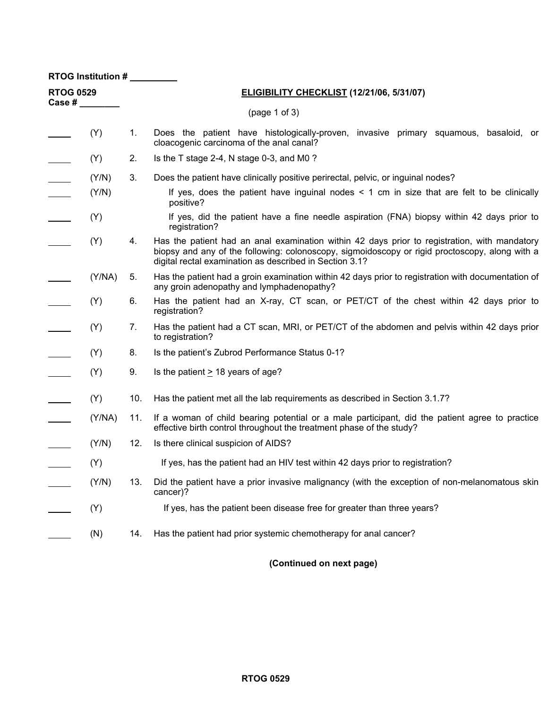| RTOG Institution #            |        |                                                                                                                                                                                                                                                                 |                                                                                                                                                                        |  |  |  |  |  |  |  |  |
|-------------------------------|--------|-----------------------------------------------------------------------------------------------------------------------------------------------------------------------------------------------------------------------------------------------------------------|------------------------------------------------------------------------------------------------------------------------------------------------------------------------|--|--|--|--|--|--|--|--|
| <b>RTOG 0529</b><br>Case $#_$ |        |                                                                                                                                                                                                                                                                 | <b>ELIGIBILITY CHECKLIST (12/21/06, 5/31/07)</b>                                                                                                                       |  |  |  |  |  |  |  |  |
|                               |        |                                                                                                                                                                                                                                                                 | (page 1 of 3)                                                                                                                                                          |  |  |  |  |  |  |  |  |
|                               | (Y)    | Does the patient have histologically-proven, invasive primary squamous, basaloid, or<br>1.<br>cloacogenic carcinoma of the anal canal?                                                                                                                          |                                                                                                                                                                        |  |  |  |  |  |  |  |  |
|                               | (Y)    | 2.                                                                                                                                                                                                                                                              | Is the T stage 2-4, N stage 0-3, and M0 ?                                                                                                                              |  |  |  |  |  |  |  |  |
|                               | (Y/N)  | 3.                                                                                                                                                                                                                                                              | Does the patient have clinically positive perirectal, pelvic, or inguinal nodes?                                                                                       |  |  |  |  |  |  |  |  |
| $\overline{\phantom{a}}$      | (Y/N)  |                                                                                                                                                                                                                                                                 | If yes, does the patient have inguinal nodes $\leq 1$ cm in size that are felt to be clinically<br>positive?                                                           |  |  |  |  |  |  |  |  |
|                               | (Y)    |                                                                                                                                                                                                                                                                 | If yes, did the patient have a fine needle aspiration (FNA) biopsy within 42 days prior to<br>registration?                                                            |  |  |  |  |  |  |  |  |
|                               | (Y)    | Has the patient had an anal examination within 42 days prior to registration, with mandatory<br>4.<br>biopsy and any of the following: colonoscopy, sigmoidoscopy or rigid proctoscopy, along with a<br>digital rectal examination as described in Section 3.1? |                                                                                                                                                                        |  |  |  |  |  |  |  |  |
|                               | (Y/NA) | 5.                                                                                                                                                                                                                                                              | Has the patient had a groin examination within 42 days prior to registration with documentation of<br>any groin adenopathy and lymphadenopathy?                        |  |  |  |  |  |  |  |  |
|                               | (Y)    | 6.                                                                                                                                                                                                                                                              | Has the patient had an X-ray, CT scan, or PET/CT of the chest within 42 days prior to<br>registration?                                                                 |  |  |  |  |  |  |  |  |
|                               | (Y)    | 7.                                                                                                                                                                                                                                                              | Has the patient had a CT scan, MRI, or PET/CT of the abdomen and pelvis within 42 days prior<br>to registration?                                                       |  |  |  |  |  |  |  |  |
|                               | (Y)    | 8.                                                                                                                                                                                                                                                              | Is the patient's Zubrod Performance Status 0-1?                                                                                                                        |  |  |  |  |  |  |  |  |
|                               | (Y)    | 9.                                                                                                                                                                                                                                                              | Is the patient $\geq$ 18 years of age?                                                                                                                                 |  |  |  |  |  |  |  |  |
|                               | (Y)    | 10.                                                                                                                                                                                                                                                             | Has the patient met all the lab requirements as described in Section 3.1.7?                                                                                            |  |  |  |  |  |  |  |  |
|                               | (Y/NA) | 11.                                                                                                                                                                                                                                                             | If a woman of child bearing potential or a male participant, did the patient agree to practice<br>effective birth control throughout the treatment phase of the study? |  |  |  |  |  |  |  |  |
|                               | (Y/N)  | 12.                                                                                                                                                                                                                                                             | Is there clinical suspicion of AIDS?                                                                                                                                   |  |  |  |  |  |  |  |  |
|                               | (Y)    |                                                                                                                                                                                                                                                                 | If yes, has the patient had an HIV test within 42 days prior to registration?                                                                                          |  |  |  |  |  |  |  |  |
|                               | (Y/N)  | 13.                                                                                                                                                                                                                                                             | Did the patient have a prior invasive malignancy (with the exception of non-melanomatous skin<br>cancer)?                                                              |  |  |  |  |  |  |  |  |
|                               | (Y)    |                                                                                                                                                                                                                                                                 | If yes, has the patient been disease free for greater than three years?                                                                                                |  |  |  |  |  |  |  |  |
|                               | (N)    | 14.                                                                                                                                                                                                                                                             | Has the patient had prior systemic chemotherapy for anal cancer?                                                                                                       |  |  |  |  |  |  |  |  |

**(Continued on next page)**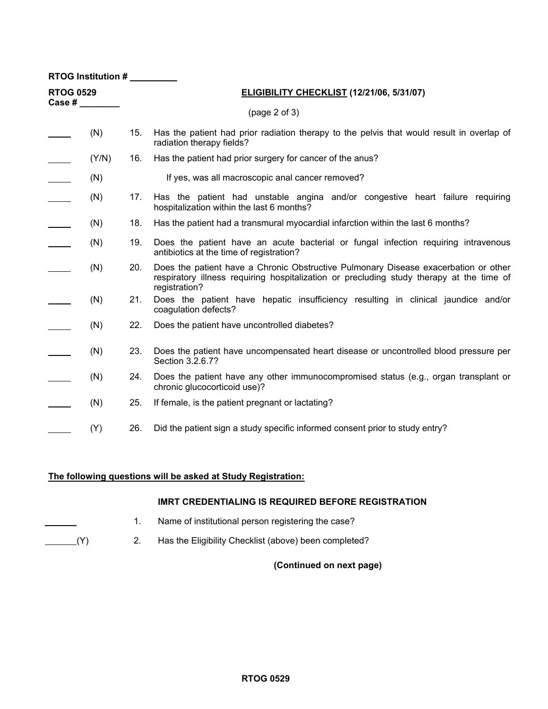| RTOG Institution #                       |       |                                           |                                                                                                                                                                                                  |  |  |  |  |
|------------------------------------------|-------|-------------------------------------------|--------------------------------------------------------------------------------------------------------------------------------------------------------------------------------------------------|--|--|--|--|
| <b>RTOG 0529</b><br>Case # $\frac{1}{2}$ |       | ELIGIBILITY CHECKLIST (12/21/06, 5/31/07) |                                                                                                                                                                                                  |  |  |  |  |
|                                          |       |                                           | (page 2 of 3)                                                                                                                                                                                    |  |  |  |  |
|                                          | (N)   | 15.                                       | Has the patient had prior radiation therapy to the pelvis that would result in overlap of<br>radiation therapy fields?                                                                           |  |  |  |  |
|                                          | (Y/N) | 16.                                       | Has the patient had prior surgery for cancer of the anus?                                                                                                                                        |  |  |  |  |
|                                          | (N)   |                                           | If yes, was all macroscopic anal cancer removed?                                                                                                                                                 |  |  |  |  |
| $\overline{\phantom{a}}$                 | (N)   | 17.                                       | Has the patient had unstable angina and/or congestive heart failure requiring<br>hospitalization within the last 6 months?                                                                       |  |  |  |  |
| $\mathcal{L}^{\text{max}}$               | (N)   | 18.                                       | Has the patient had a transmural myocardial infarction within the last 6 months?                                                                                                                 |  |  |  |  |
|                                          | (N)   | 19.                                       | Does the patient have an acute bacterial or fungal infection requiring intravenous<br>antibiotics at the time of registration?                                                                   |  |  |  |  |
|                                          | (N)   | 20.                                       | Does the patient have a Chronic Obstructive Pulmonary Disease exacerbation or other<br>respiratory illness requiring hospitalization or precluding study therapy at the time of<br>registration? |  |  |  |  |
|                                          | (N)   | 21.                                       | Does the patient have hepatic insufficiency resulting in clinical jaundice and/or<br>coagulation defects?                                                                                        |  |  |  |  |
|                                          | (N)   | 22.                                       | Does the patient have uncontrolled diabetes?                                                                                                                                                     |  |  |  |  |
|                                          | (N)   | 23.                                       | Does the patient have uncompensated heart disease or uncontrolled blood pressure per<br>Section 3.2.6.7?                                                                                         |  |  |  |  |
|                                          | (N)   | 24.                                       | Does the patient have any other immunocompromised status (e.g., organ transplant or<br>chronic glucocorticoid use)?                                                                              |  |  |  |  |
|                                          | (N)   | 25.                                       | If female, is the patient pregnant or lactating?                                                                                                                                                 |  |  |  |  |
|                                          | (Y)   | 26.                                       | Did the patient sign a study specific informed consent prior to study entry?                                                                                                                     |  |  |  |  |

## **The following questions will be asked at Study Registration:**

### **IMRT CREDENTIALING IS REQUIRED BEFORE REGISTRATION**

- 1. Name of institutional person registering the case?
- (Y) 2. Has the Eligibility Checklist (above) been completed?

## **(Continued on next page)**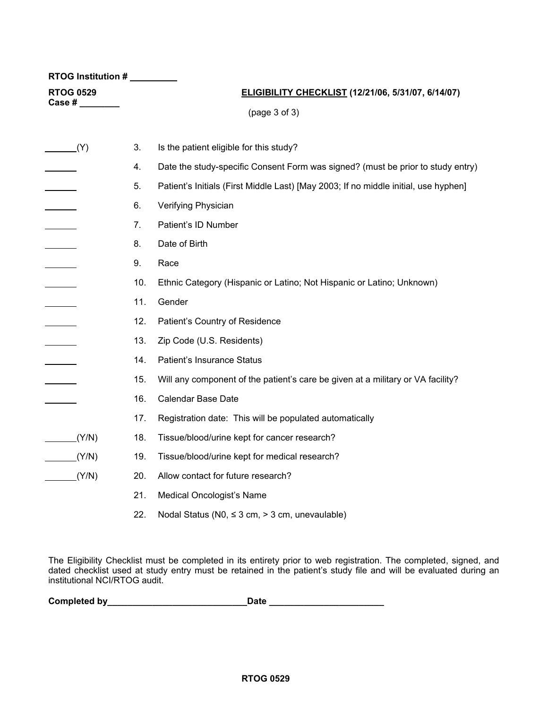| RTOG Institution #                                                 |     |                                                                                     |  |  |  |  |  |
|--------------------------------------------------------------------|-----|-------------------------------------------------------------------------------------|--|--|--|--|--|
| <b>RTOG 0529</b>                                                   |     | ELIGIBILITY CHECKLIST (12/21/06, 5/31/07, 6/14/07)                                  |  |  |  |  |  |
| Case # $\_\_$                                                      |     | (page 3 of 3)                                                                       |  |  |  |  |  |
|                                                                    |     |                                                                                     |  |  |  |  |  |
| (Y)                                                                | 3.  | Is the patient eligible for this study?                                             |  |  |  |  |  |
| <u>and the state</u>                                               | 4.  | Date the study-specific Consent Form was signed? (must be prior to study entry)     |  |  |  |  |  |
| $\mathcal{L}^{\text{max}}$ . The set of $\mathcal{L}^{\text{max}}$ | 5.  | Patient's Initials (First Middle Last) [May 2003; If no middle initial, use hyphen] |  |  |  |  |  |
| <u> 1999 - Johann Barnett, f</u>                                   | 6.  | Verifying Physician                                                                 |  |  |  |  |  |
|                                                                    | 7.  | Patient's ID Number                                                                 |  |  |  |  |  |
|                                                                    | 8.  | Date of Birth                                                                       |  |  |  |  |  |
|                                                                    | 9.  | Race                                                                                |  |  |  |  |  |
|                                                                    | 10. | Ethnic Category (Hispanic or Latino; Not Hispanic or Latino; Unknown)               |  |  |  |  |  |
|                                                                    | 11. | Gender                                                                              |  |  |  |  |  |
|                                                                    | 12. | Patient's Country of Residence                                                      |  |  |  |  |  |
|                                                                    | 13. | Zip Code (U.S. Residents)                                                           |  |  |  |  |  |
|                                                                    | 14. | Patient's Insurance Status                                                          |  |  |  |  |  |
|                                                                    | 15. | Will any component of the patient's care be given at a military or VA facility?     |  |  |  |  |  |
|                                                                    | 16. | Calendar Base Date                                                                  |  |  |  |  |  |
|                                                                    | 17. | Registration date: This will be populated automatically                             |  |  |  |  |  |
| (T/N)                                                              | 18. | Tissue/blood/urine kept for cancer research?                                        |  |  |  |  |  |
| $\sqrt{(Y/N)}$                                                     | 19. | Tissue/blood/urine kept for medical research?                                       |  |  |  |  |  |
| (Y/N)                                                              | 20. | Allow contact for future research?                                                  |  |  |  |  |  |
|                                                                    | 21. | Medical Oncologist's Name                                                           |  |  |  |  |  |
|                                                                    | 22. | Nodal Status (N0, $\leq$ 3 cm, $>$ 3 cm, unevaulable)                               |  |  |  |  |  |

The Eligibility Checklist must be completed in its entirety prior to web registration. The completed, signed, and dated checklist used at study entry must be retained in the patient's study file and will be evaluated during an institutional NCI/RTOG audit.

| Completed by | Date |  |
|--------------|------|--|
|              |      |  |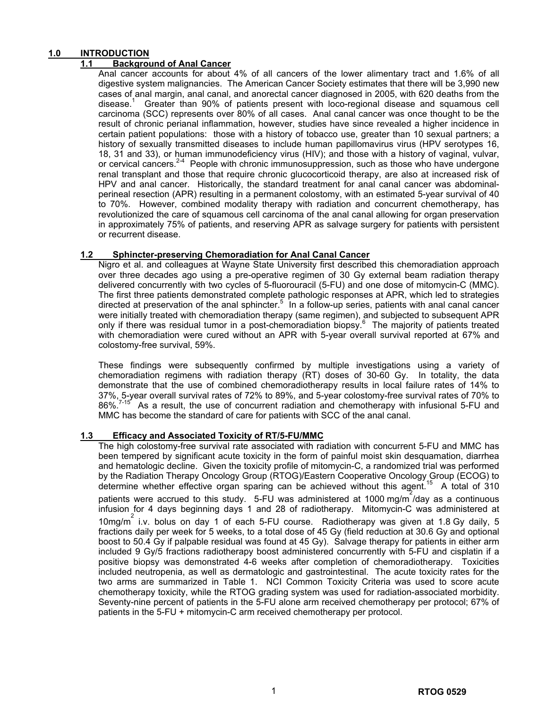### **1.0 INTRODUCTION**

### **1.1 Background of Anal Cancer**

Anal cancer accounts for about 4% of all cancers of the lower alimentary tract and 1.6% of all digestive system malignancies. The American Cancer Society estimates that there will be 3,990 new cases of anal margin, anal canal, and anorectal cancer diagnosed in 2005, with 620 deaths from the disease.<sup>1</sup> Greater than 90% of patients present with loco-regional disease and squamous cell carcinoma (SCC) represents over 80% of all cases. Anal canal cancer was once thought to be the result of chronic perianal inflammation, however, studies have since revealed a higher incidence in certain patient populations: those with a history of tobacco use, greater than 10 sexual partners; a history of sexually transmitted diseases to include human papillomavirus virus (HPV serotypes 16, 18, 31 and 33), or human immunodeficiency virus (HIV); and those with a history of vaginal, vulvar, or cervical cancers.<sup>24</sup> People with chronic immunosuppression, such as those who have undergone renal transplant and those that require chronic glucocorticoid therapy, are also at increased risk of HPV and anal cancer. Historically, the standard treatment for anal canal cancer was abdominalperineal resection (APR) resulting in a permanent colostomy, with an estimated 5-year survival of 40 to 70%. However, combined modality therapy with radiation and concurrent chemotherapy, has revolutionized the care of squamous cell carcinoma of the anal canal allowing for organ preservation in approximately 75% of patients, and reserving APR as salvage surgery for patients with persistent or recurrent disease.

### **1.2 Sphincter-preserving Chemoradiation for Anal Canal Cancer**

Nigro et al. and colleagues at Wayne State University first described this chemoradiation approach over three decades ago using a pre-operative regimen of 30 Gy external beam radiation therapy delivered concurrently with two cycles of 5-fluorouracil (5-FU) and one dose of mitomycin-C (MMC). The first three patients demonstrated complete pathologic responses at APR, which led to strategies directed at preservation of the anal sphincter.<sup>5</sup> In a follow-up series, patients with anal canal cancer were initially treated with chemoradiation therapy (same regimen), and subjected to subsequent APR only if there was residual tumor in a post-chemoradiation biopsy.<sup>6</sup> The majority of patients treated with chemoradiation were cured without an APR with 5-year overall survival reported at 67% and colostomy-free survival, 59%.

These findings were subsequently confirmed by multiple investigations using a variety of chemoradiation regimens with radiation therapy (RT) doses of 30-60 Gy. In totality, the data demonstrate that the use of combined chemoradiotherapy results in local failure rates of 14% to 37%, 5-year overall survival rates of 72% to 89%, and 5-year colostomy-free survival rates of 70% to 86%.<sup>7-15</sup> As a result, the use of concurrent radiation and chemotherapy with infusional 5-FU and MMC has become the standard of care for patients with SCC of the anal canal.

### **1.3 Efficacy and Associated Toxicity of RT/5-FU/MMC**

The high colostomy-free survival rate associated with radiation with concurrent 5-FU and MMC has been tempered by significant acute toxicity in the form of painful moist skin desquamation, diarrhea and hematologic decline. Given the toxicity profile of mitomycin-C, a randomized trial was performed by the Radiation Therapy Oncology Group (RTOG)/Eastern Cooperative Oncology Group (ECOG) to determine whether effective organ sparing can be achieved without this agent.<sup>15</sup> A total of 310 patients were accrued to this study. 5-FU was administered at 1000 mg/m<sup>2</sup>/day as a continuous infusion for 4 days beginning days 1 and 28 of radiotherapy. Mitomycin-C was administered at 10mg/m<sup>2</sup> i.v. bolus on day 1 of each 5-FU course. Radiotherapy was given at 1.8 Gy daily, 5 fractions daily per week for 5 weeks, to a total dose of 45 Gy (field reduction at 30.6 Gy and optional boost to 50.4 Gy if palpable residual was found at 45 Gy). Salvage therapy for patients in either arm included 9 Gy/5 fractions radiotherapy boost administered concurrently with 5-FU and cisplatin if a positive biopsy was demonstrated 4-6 weeks after completion of chemoradiotherapy. Toxicities included neutropenia, as well as dermatologic and gastrointestinal. The acute toxicity rates for the two arms are summarized in Table 1. NCI Common Toxicity Criteria was used to score acute chemotherapy toxicity, while the RTOG grading system was used for radiation-associated morbidity. Seventy-nine percent of patients in the 5-FU alone arm received chemotherapy per protocol; 67% of patients in the 5-FU + mitomycin-C arm received chemotherapy per protocol.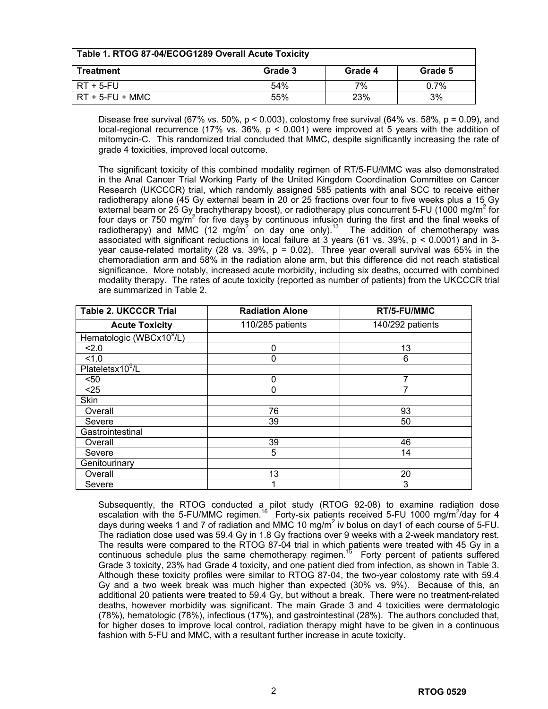| Table 1. RTOG 87-04/ECOG1289 Overall Acute Toxicity |         |         |         |  |  |  |  |
|-----------------------------------------------------|---------|---------|---------|--|--|--|--|
| Treatment                                           | Grade 3 | Grade 4 | Grade 5 |  |  |  |  |
| RT + 5-FU                                           | 54%     | 7%      | $0.7\%$ |  |  |  |  |
| $RT + 5-FU + MMC$                                   | 55%     | 23%     | 3%      |  |  |  |  |

Disease free survival (67% vs. 50%, p < 0.003), colostomy free survival (64% vs. 58%, p = 0.09), and local-regional recurrence (17% vs. 36%,  $p < 0.001$ ) were improved at 5 years with the addition of mitomycin-C. This randomized trial concluded that MMC, despite significantly increasing the rate of grade 4 toxicities, improved local outcome.

The significant toxicity of this combined modality regimen of RT/5-FU/MMC was also demonstrated in the Anal Cancer Trial Working Party of the United Kingdom Coordination Committee on Cancer Research (UKCCCR) trial, which randomly assigned 585 patients with anal SCC to receive either radiotherapy alone (45 Gy external beam in 20 or 25 fractions over four to five weeks plus a 15 Gy external beam or 25 Gy brachytherapy boost), or radiotherapy plus concurrent 5-FU (1000 mg/m<sup>2</sup> for four days or 750 mg/m<sup>2</sup> for five days by continuous infusion during the first and the final weeks of radiotherapy) and MMC (12 mg/m<sup>2</sup> on day one only).<sup>13</sup> The addition of chemotherapy was associated with significant reductions in local failure at 3 years (61 vs. 39%, p < 0.0001) and in 3 year cause-related mortality (28 vs. 39%,  $p = 0.02$ ). Three year overall survival was 65% in the chemoradiation arm and 58% in the radiation alone arm, but this difference did not reach statistical significance. More notably, increased acute morbidity, including six deaths, occurred with combined modality therapy. The rates of acute toxicity (reported as number of patients) from the UKCCCR trial are summarized in Table 2.

| <b>Table 2. UKCCCR Trial</b>         | <b>Radiation Alone</b> | RT/5-FU/MMC      |
|--------------------------------------|------------------------|------------------|
| <b>Acute Toxicity</b>                | 110/285 patients       | 140/292 patients |
| Hematologic (WBCx10 <sup>9</sup> /L) |                        |                  |
| 2.0                                  | ŋ                      | 13               |
| 1.0                                  |                        | 6                |
| Plateletsx10 <sup>9</sup> /L         |                        |                  |
| $50$                                 | 0                      | 7                |
| $25$                                 | ი                      |                  |
| <b>Skin</b>                          |                        |                  |
| Overall                              | 76                     | 93               |
| Severe                               | 39                     | 50               |
| Gastrointestinal                     |                        |                  |
| Overall                              | 39                     | 46               |
| Severe                               | 5                      | 14               |
| Genitourinary                        |                        |                  |
| Overall                              | 13                     | 20               |
| Severe                               |                        | 3                |

Subsequently, the RTOG conducted a pilot study (RTOG 92-08) to examine radiation dose escalation with the 5-FU/MMC regimen.<sup>16</sup> Forty-six patients received 5-FU 1000 mg/m<sup>2</sup>/day for 4 days during weeks 1 and 7 of radiation and MMC 10  $mg/m^2$  iv bolus on day1 of each course of 5-FU. The radiation dose used was 59.4 Gy in 1.8 Gy fractions over 9 weeks with a 2-week mandatory rest. The results were compared to the RTOG 87-04 trial in which patients were treated with 45 Gy in a continuous schedule plus the same chemotherapy regimen.<sup>15</sup> Forty percent of patients suffered Grade 3 toxicity, 23% had Grade 4 toxicity, and one patient died from infection, as shown in Table 3. Although these toxicity profiles were similar to RTOG 87-04, the two-year colostomy rate with 59.4 Gy and a two week break was much higher than expected (30% vs. 9%). Because of this, an additional 20 patients were treated to 59.4 Gy, but without a break. There were no treatment-related deaths, however morbidity was significant. The main Grade 3 and 4 toxicities were dermatologic (78%), hematologic (78%), infectious (17%), and gastrointestinal (28%). The authors concluded that, for higher doses to improve local control, radiation therapy might have to be given in a continuous fashion with 5-FU and MMC, with a resultant further increase in acute toxicity.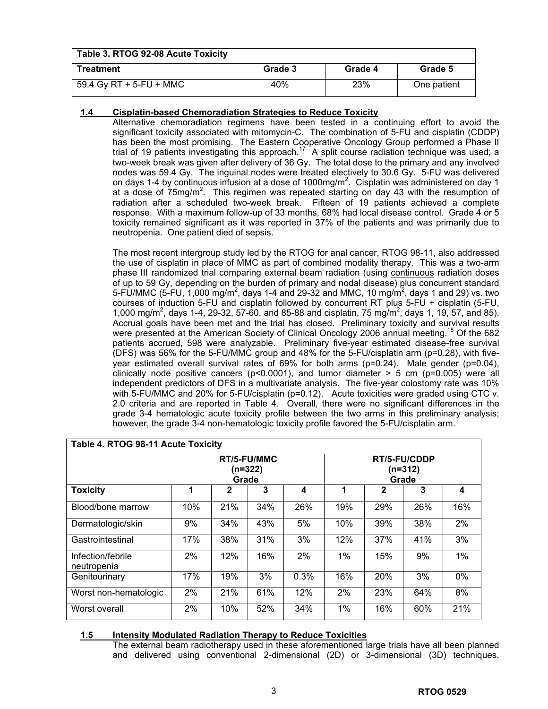| Table 3. RTOG 92-08 Acute Toxicity |         |         |             |  |  |  |  |  |
|------------------------------------|---------|---------|-------------|--|--|--|--|--|
| Treatment                          | Grade 3 | Grade 4 | Grade 5     |  |  |  |  |  |
| 59.4 Gy RT + 5-FU + MMC            | 40%     | 23%     | One patient |  |  |  |  |  |

## **1.4 Cisplatin-based Chemoradiation Strategies to Reduce Toxicity**

Alternative chemoradiation regimens have been tested in a continuing effort to avoid the significant toxicity associated with mitomycin-C. The combination of 5-FU and cisplatin (CDDP) has been the most promising. The Eastern Cooperative Oncology Group performed a Phase II trial of 19 patients investigating this approach.<sup>17</sup> A split course radiation technique was used; a two-week break was given after delivery of 36 Gy. The total dose to the primary and any involved nodes was 59.4 Gy. The inguinal nodes were treated electively to 30.6 Gy. 5-FU was delivered on days 1-4 by continuous infusion at a dose of 1000mg/m<sup>2</sup>. Cisplatin was administered on day 1 at a dose of  $75$ mg/m<sup>2</sup>. This regimen was repeated starting on day 43 with the resumption of radiation after a scheduled two-week break. Fifteen of 19 patients achieved a complete response. With a maximum follow-up of 33 months, 68% had local disease control. Grade 4 or 5 toxicity remained significant as it was reported in 37% of the patients and was primarily due to neutropenia. One patient died of sepsis.

The most recent intergroup study led by the RTOG for anal cancer, RTOG 98-11, also addressed the use of cisplatin in place of MMC as part of combined modality therapy. This was a two-arm phase III randomized trial comparing external beam radiation (using continuous radiation doses of up to 59 Gy, depending on the burden of primary and nodal disease) plus concurrent standard 5-FU/MMC (5-FU, 1,000 mg/m<sup>2</sup>, days 1-4 and 29-32 and MMC, 10 mg/m<sup>2</sup>, days 1 and 29) vs. two courses of induction 5-FU and cisplatin followed by concurrent RT plus 5-FU + cisplatin (5-FU, 1,000 mg/m<sup>2</sup>, days 1-4, 29-32, 57-60, and 85-88 and cisplatin, 75 mg/m<sup>2</sup>, days 1, 19, 57, and 85). Accrual goals have been met and the trial has closed. Preliminary toxicity and survival results were presented at the American Society of Clinical Oncology 2006 annual meeting.<sup>18</sup> Of the 682 patients accrued, 598 were analyzable. Preliminary five-year estimated disease-free survival (DFS) was 56% for the 5-FU/MMC group and 48% for the 5-FU/cisplatin arm (p=0.28), with fiveyear estimated overall survival rates of 69% for both arms (p=0.24). Male gender (p=0.04), clinically node positive cancers ( $p$ <0.0001), and tumor diameter > 5 cm ( $p$ =0.005) were all independent predictors of DFS in a multivariate analysis. The five-year colostomy rate was 10% with 5-FU/MMC and 20% for 5-FU/cisplatin (p=0.12). Acute toxicities were graded using CTC v. 2.0 criteria and are reported in Table 4. Overall, there were no significant differences in the grade 3-4 hematologic acute toxicity profile between the two arms in this preliminary analysis; however, the grade 3-4 non-hematologic toxicity profile favored the 5-FU/cisplatin arm.

| Table 4. RTOG 98-11 Acute Toxicity |     |        |     |      |                                    |     |     |     |
|------------------------------------|-----|--------|-----|------|------------------------------------|-----|-----|-----|
| RT/5-FU/MMC<br>(n=322)<br>Grade    |     |        |     |      | RT/5-FU/CDDP<br>$(n=312)$<br>Grade |     |     |     |
| <b>Toxicity</b>                    | 1   | 2      | 3   | 4    | 1                                  | 2   | 3   | 4   |
| Blood/bone marrow                  | 10% | $21\%$ | 34% | 26%  | 19%                                | 29% | 26% | 16% |
| Dermatologic/skin                  | 9%  | 34%    | 43% | 5%   | 10%                                | 39% | 38% | 2%  |
| Gastrointestinal                   | 17% | 38%    | 31% | 3%   | 12%                                | 37% | 41% | 3%  |
| Infection/febrile<br>neutropenia   | 2%  | 12%    | 16% | 2%   | 1%                                 | 15% | 9%  | 1%  |
| Genitourinary                      | 17% | 19%    | 3%  | 0.3% | 16%                                | 20% | 3%  | 0%  |
| Worst non-hematologic              | 2%  | 21%    | 61% | 12%  | 2%                                 | 23% | 64% | 8%  |
| Worst overall                      | 2%  | 10%    | 52% | 34%  | 1%                                 | 16% | 60% | 21% |

## **1.5 Intensity Modulated Radiation Therapy to Reduce Toxicities**

The external beam radiotherapy used in these aforementioned large trials have all been planned and delivered using conventional 2-dimensional (2D) or 3-dimensional (3D) techniques.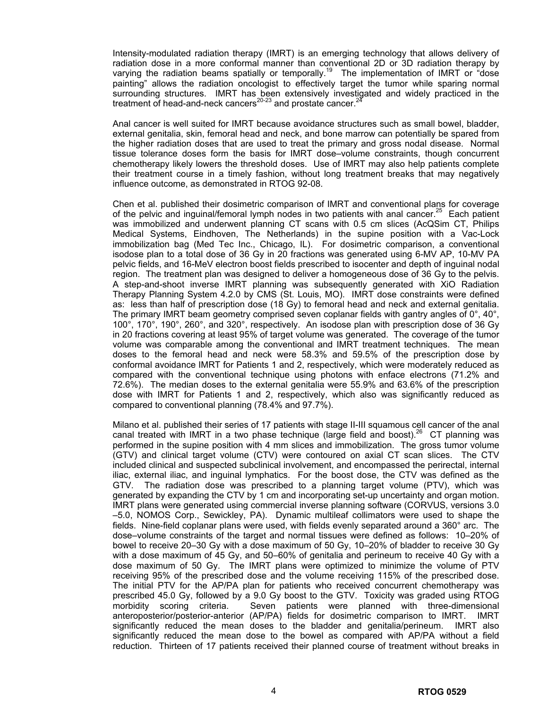Intensity-modulated radiation therapy (IMRT) is an emerging technology that allows delivery of radiation dose in a more conformal manner than conventional 2D or 3D radiation therapy by varying the radiation beams spatially or temporally.<sup>19</sup> The implementation of IMRT or "dose painting" allows the radiation oncologist to effectively target the tumor while sparing normal surrounding structures. IMRT has been extensively investigated and widely practiced in the treatment of head-and-neck cancers<sup>20-23</sup> and prostate cancer.<sup>24</sup>

Anal cancer is well suited for IMRT because avoidance structures such as small bowel, bladder, external genitalia, skin, femoral head and neck, and bone marrow can potentially be spared from the higher radiation doses that are used to treat the primary and gross nodal disease. Normal tissue tolerance doses form the basis for IMRT dose–volume constraints, though concurrent chemotherapy likely lowers the threshold doses. Use of IMRT may also help patients complete their treatment course in a timely fashion, without long treatment breaks that may negatively influence outcome, as demonstrated in RTOG 92-08.

Chen et al. published their dosimetric comparison of IMRT and conventional plans for coverage of the pelvic and inguinal/femoral lymph nodes in two patients with anal cancer.<sup>25</sup> Each patient was immobilized and underwent planning CT scans with 0.5 cm slices (AcQSim CT, Philips Medical Systems, Eindhoven, The Netherlands) in the supine position with a Vac-Lock immobilization bag (Med Tec Inc., Chicago, IL). For dosimetric comparison, a conventional isodose plan to a total dose of 36 Gy in 20 fractions was generated using 6-MV AP, 10-MV PA pelvic fields, and 16-MeV electron boost fields prescribed to isocenter and depth of inguinal nodal region. The treatment plan was designed to deliver a homogeneous dose of 36 Gy to the pelvis. A step-and-shoot inverse IMRT planning was subsequently generated with XiO Radiation Therapy Planning System 4.2.0 by CMS (St. Louis, MO). IMRT dose constraints were defined as: less than half of prescription dose (18 Gy) to femoral head and neck and external genitalia. The primary IMRT beam geometry comprised seven coplanar fields with gantry angles of  $0^\circ$ , 40 $^\circ$ , 100°, 170°, 190°, 260°, and 320°, respectively. An isodose plan with prescription dose of 36 Gy in 20 fractions covering at least 95% of target volume was generated. The coverage of the tumor volume was comparable among the conventional and IMRT treatment techniques. The mean doses to the femoral head and neck were 58.3% and 59.5% of the prescription dose by conformal avoidance IMRT for Patients 1 and 2, respectively, which were moderately reduced as compared with the conventional technique using photons with enface electrons (71.2% and 72.6%). The median doses to the external genitalia were 55.9% and 63.6% of the prescription dose with IMRT for Patients 1 and 2, respectively, which also was significantly reduced as compared to conventional planning (78.4% and 97.7%).

Milano et al. published their series of 17 patients with stage II-III squamous cell cancer of the anal canal treated with IMRT in a two phase technique (large field and boost).<sup>26</sup> CT planning was performed in the supine position with 4 mm slices and immobilization. The gross tumor volume (GTV) and clinical target volume (CTV) were contoured on axial CT scan slices. The CTV included clinical and suspected subclinical involvement, and encompassed the perirectal, internal iliac, external iliac, and inguinal lymphatics. For the boost dose, the CTV was defined as the GTV. The radiation dose was prescribed to a planning target volume (PTV), which was generated by expanding the CTV by 1 cm and incorporating set-up uncertainty and organ motion. IMRT plans were generated using commercial inverse planning software (CORVUS, versions 3.0 –5.0, NOMOS Corp., Sewickley, PA). Dynamic multileaf collimators were used to shape the fields. Nine-field coplanar plans were used, with fields evenly separated around a 360° arc. The dose–volume constraints of the target and normal tissues were defined as follows: 10–20% of bowel to receive 20–30 Gy with a dose maximum of 50 Gy, 10–20% of bladder to receive 30 Gy with a dose maximum of 45 Gy, and 50–60% of genitalia and perineum to receive 40 Gy with a dose maximum of 50 Gy. The IMRT plans were optimized to minimize the volume of PTV receiving 95% of the prescribed dose and the volume receiving 115% of the prescribed dose. The initial PTV for the AP/PA plan for patients who received concurrent chemotherapy was prescribed 45.0 Gy, followed by a 9.0 Gy boost to the GTV. Toxicity was graded using RTOG morbidity scoring criteria. Seven patients were planned with three-dimensional anteroposterior/posterior-anterior (AP/PA) fields for dosimetric comparison to IMRT. IMRT significantly reduced the mean doses to the bladder and genitalia/perineum. IMRT also significantly reduced the mean dose to the bowel as compared with AP/PA without a field reduction. Thirteen of 17 patients received their planned course of treatment without breaks in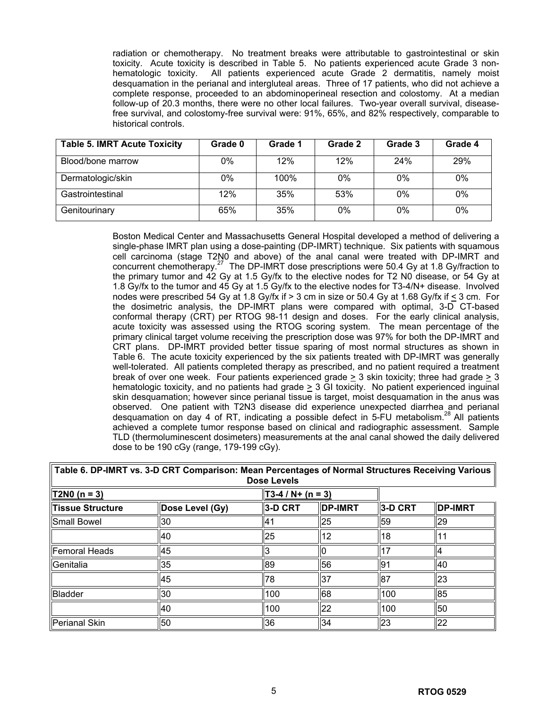radiation or chemotherapy. No treatment breaks were attributable to gastrointestinal or skin toxicity. Acute toxicity is described in Table 5. No patients experienced acute Grade 3 nonhematologic toxicity. All patients experienced acute Grade 2 dermatitis, namely moist desquamation in the perianal and intergluteal areas. Three of 17 patients, who did not achieve a complete response, proceeded to an abdominoperineal resection and colostomy. At a median follow-up of 20.3 months, there were no other local failures. Two-year overall survival, diseasefree survival, and colostomy-free survival were: 91%, 65%, and 82% respectively, comparable to historical controls.

| <b>Table 5. IMRT Acute Toxicity</b> | Grade 0 | Grade 1 | Grade 2 | Grade 3 | Grade 4 |
|-------------------------------------|---------|---------|---------|---------|---------|
| Blood/bone marrow                   | 0%      | 12%     | 12%     | 24%     | 29%     |
| Dermatologic/skin                   | 0%      | 100%    | 0%      | 0%      | 0%      |
| Gastrointestinal                    | 12%     | 35%     | 53%     | 0%      | 0%      |
| Genitourinary                       | 65%     | 35%     | 0%      | $0\%$   | 0%      |

Boston Medical Center and Massachusetts General Hospital developed a method of delivering a single-phase IMRT plan using a dose-painting (DP-IMRT) technique. Six patients with squamous cell carcinoma (stage T2N0 and above) of the anal canal were treated with DP-IMRT and concurrent chemotherapy.<sup>27</sup> The DP-IMRT dose prescriptions were 50.4 Gy at 1.8 Gy/fraction to the primary tumor and 42 Gy at 1.5 Gy/fx to the elective nodes for T2 N0 disease, or 54 Gy at 1.8 Gy/fx to the tumor and 45 Gy at 1.5 Gy/fx to the elective nodes for T3-4/N+ disease. Involved nodes were prescribed 54 Gy at 1.8 Gy/fx if > 3 cm in size or 50.4 Gy at 1.68 Gy/fx if < 3 cm. For the dosimetric analysis, the DP-IMRT plans were compared with optimal, 3-D CT-based conformal therapy (CRT) per RTOG 98-11 design and doses. For the early clinical analysis, acute toxicity was assessed using the RTOG scoring system. The mean percentage of the primary clinical target volume receiving the prescription dose was 97% for both the DP-IMRT and CRT plans. DP-IMRT provided better tissue sparing of most normal structures as shown in Table 6. The acute toxicity experienced by the six patients treated with DP-IMRT was generally well-tolerated. All patients completed therapy as prescribed, and no patient required a treatment break of over one week. Four patients experienced grade  $>$  3 skin toxicity; three had grade  $>$  3 hematologic toxicity, and no patients had grade > 3 GI toxicity. No patient experienced inguinal skin desquamation; however since perianal tissue is target, moist desquamation in the anus was observed. One patient with T2N3 disease did experience unexpected diarrhea and perianal desquamation on day 4 of RT, indicating a possible defect in 5-FU metabolism.<sup>28</sup> All patients achieved a complete tumor response based on clinical and radiographic assessment. Sample TLD (thermoluminescent dosimeters) measurements at the anal canal showed the daily delivered dose to be 190 cGy (range, 179-199 cGy).

| ------<br><b>Dose Levels</b> |                 |                   |                |                     |                |  |
|------------------------------|-----------------|-------------------|----------------|---------------------|----------------|--|
| $T2N0 (n = 3)$               |                 | $T3-4/N+ (n = 3)$ |                |                     |                |  |
| Tissue Structure             | Dose Level (Gy) | ∥3-D CRT          | <b>DP-IMRT</b> | $\parallel$ 3-D CRT | <b>DP-IMRT</b> |  |
| Small Bowel                  | 30              | ٠4                | 25             | 59                  | <u>  29</u>    |  |
|                              | 40              | 25                | 12             | 118                 |                |  |
| Femoral Heads                | 45              | 3                 |                | 7                   |                |  |
| Genitalia                    | 35              | 89                | 56             | 91                  | 140            |  |
|                              | 45              | 78                | 137            | 87                  | ll23           |  |
| Bladder                      | 30              | 100               | 68             | 100                 | 85             |  |
|                              | 40              | 100               | 22             | 1100                | 50             |  |
| Perianal Skin                | 50              | 36                | 34             | $\overline{23}$     | 22             |  |

# **Table 6. DP-IMRT vs. 3-D CRT Comparison: Mean Percentages of Normal Structures Receiving Various**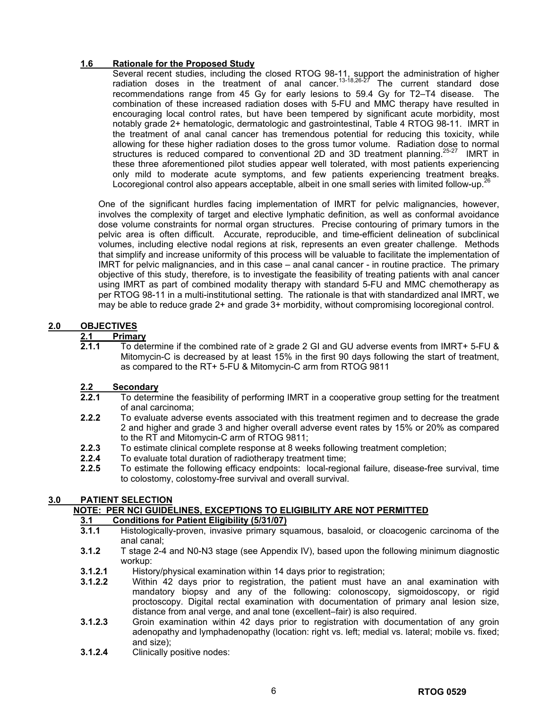## **1.6 Rationale for the Proposed Study**

Several recent studies, including the closed RTOG 98-11, support the administration of higher radiation doses in the treatment of anal cancer.<sup>13-18,26-27</sup> The current standard dose recommendations range from 45 Gy for early lesions to 59.4 Gy for T2–T4 disease. The combination of these increased radiation doses with 5-FU and MMC therapy have resulted in encouraging local control rates, but have been tempered by significant acute morbidity, most notably grade 2+ hematologic, dermatologic and gastrointestinal, Table 4 RTOG 98-11. IMRT in the treatment of anal canal cancer has tremendous potential for reducing this toxicity, while allowing for these higher radiation doses to the gross tumor volume. Radiation dose to normal structures is reduced compared to conventional 2D and 3D treatment planning.<sup>25-27</sup> IMRT in these three aforementioned pilot studies appear well tolerated, with most patients experiencing only mild to moderate acute symptoms, and few patients experiencing treatment breaks. Locoregional control also appears acceptable, albeit in one small series with limited follow-up.<sup>21</sup>

One of the significant hurdles facing implementation of IMRT for pelvic malignancies, however, involves the complexity of target and elective lymphatic definition, as well as conformal avoidance dose volume constraints for normal organ structures. Precise contouring of primary tumors in the pelvic area is often difficult. Accurate, reproducible, and time-efficient delineation of subclinical volumes, including elective nodal regions at risk, represents an even greater challenge. Methods that simplify and increase uniformity of this process will be valuable to facilitate the implementation of IMRT for pelvic malignancies, and in this case – anal canal cancer - in routine practice. The primary objective of this study, therefore, is to investigate the feasibility of treating patients with anal cancer using IMRT as part of combined modality therapy with standard 5-FU and MMC chemotherapy as per RTOG 98-11 in a multi-institutional setting. The rationale is that with standardized anal IMRT, we may be able to reduce grade 2+ and grade 3+ morbidity, without compromising locoregional control.

### **2.0 OBJECTIVES**

# **2.1 Primary**<br>**2.1.1** To dete

**2.1.1** To determine if the combined rate of ≥ grade 2 GI and GU adverse events from IMRT+ 5-FU & Mitomycin-C is decreased by at least 15% in the first 90 days following the start of treatment, as compared to the RT+ 5-FU & Mitomycin-C arm from RTOG 9811

## **2.2 Secondary**

- **2.2.1** To determine the feasibility of performing IMRT in a cooperative group setting for the treatment of anal carcinoma;
- **2.2.2** To evaluate adverse events associated with this treatment regimen and to decrease the grade 2 and higher and grade 3 and higher overall adverse event rates by 15% or 20% as compared to the RT and Mitomycin-C arm of RTOG 9811;
- **2.2.3** To estimate clinical complete response at 8 weeks following treatment completion;
- **2.2.4** To evaluate total duration of radiotherapy treatment time;
- **2.2.5** To estimate the following efficacy endpoints: local-regional failure, disease-free survival, time to colostomy, colostomy-free survival and overall survival.

## **3.0 PATIENT SELECTION**

## **NOTE: PER NCI GUIDELINES, EXCEPTIONS TO ELIGIBILITY ARE NOT PERMITTED**

## **3.1 Conditions for Patient Eligibility (5/31/07)**

- **3.1.1** Histologically-proven, invasive primary squamous, basaloid, or cloacogenic carcinoma of the anal canal;
- **3.1.2** T stage 2-4 and N0-N3 stage (see Appendix IV), based upon the following minimum diagnostic workup:
- **3.1.2.1** History/physical examination within 14 days prior to registration;
- **3.1.2.2** Within 42 days prior to registration, the patient must have an anal examination with mandatory biopsy and any of the following: colonoscopy, sigmoidoscopy, or rigid proctoscopy. Digital rectal examination with documentation of primary anal lesion size, distance from anal verge, and anal tone (excellent–fair) is also required.
- **3.1.2.3** Groin examination within 42 days prior to registration with documentation of any groin adenopathy and lymphadenopathy (location: right vs. left; medial vs. lateral; mobile vs. fixed; and size);
- **3.1.2.4** Clinically positive nodes: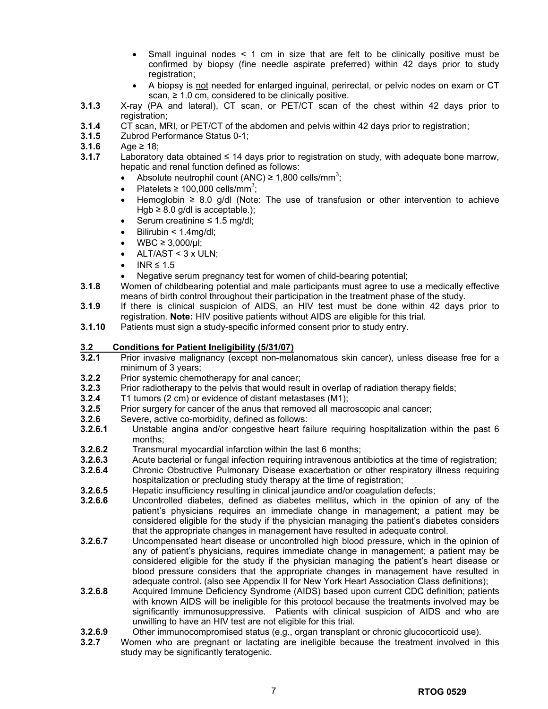- Small inguinal nodes < 1 cm in size that are felt to be clinically positive must be confirmed by biopsy (fine needle aspirate preferred) within 42 days prior to study registration;
- A biopsy is not needed for enlarged inguinal, perirectal, or pelvic nodes on exam or CT scan,  $\geq$  1.0 cm, considered to be clinically positive.
- **3.1.3** X-ray (PA and lateral), CT scan, or PET/CT scan of the chest within 42 days prior to registration:
- **3.1.4** CT scan, MRI, or PET/CT of the abdomen and pelvis within 42 days prior to registration;
- **3.1.5** Zubrod Performance Status 0-1;
- **3.1.6** Age ≥ 18;
- **3.1.7** Laboratory data obtained ≤ 14 days prior to registration on study, with adequate bone marrow, hepatic and renal function defined as follows:
	- Absolute neutrophil count (ANC)  $\geq 1,800$  cells/mm<sup>3</sup>;
	- Platelets  $\geq 100,000$  cells/mm<sup>3</sup>;
	- Hemoglobin ≥ 8.0 g/dl (Note: The use of transfusion or other intervention to achieve Hgb  $\geq$  8.0 g/dl is acceptable.);
	- Serum creatinine  $\leq 1.5$  mg/dl;
	- Bilirubin < 1.4mg/dl;
	- $WBC ≥ 3,000/µl;$
	- ALT/AST  $<$  3 x ULN:
	- $INR \leq 1.5$
	- Negative serum pregnancy test for women of child-bearing potential;
- **3.1.8** Women of childbearing potential and male participants must agree to use a medically effective means of birth control throughout their participation in the treatment phase of the study.
- **3.1.9** If there is clinical suspicion of AIDS, an HIV test must be done within 42 days prior to registration. **Note:** HIV positive patients without AIDS are eligible for this trial.
- **3.1.10** Patients must sign a study-specific informed consent prior to study entry.

### **3.2 Conditions for Patient Ineligibility (5/31/07)**

- **3.2.1** Prior invasive malignancy (except non-melanomatous skin cancer), unless disease free for a minimum of 3 years;
- **3.2.2** Prior systemic chemotherapy for anal cancer;
- **3.2.3** Prior radiotherapy to the pelvis that would result in overlap of radiation therapy fields;<br>**3.2.4** T1 tumors (2 cm) or evidence of distant metastases (M1):
- **3.2.4** T1 tumors (2 cm) or evidence of distant metastases (M1);
- **3.2.5** Prior surgery for cancer of the anus that removed all macroscopic anal cancer;
- **3.2.6** Severe, active co-morbidity, defined as follows:<br>**3.2.6.1** Unstable angina and/or congestive heart fa
- **3.2.6.1** Unstable angina and/or congestive heart failure requiring hospitalization within the past 6 months;
- **3.2.6.2** Transmural myocardial infarction within the last 6 months;
- **3.2.6.3** Acute bacterial or fungal infection requiring intravenous antibiotics at the time of registration;
- **3.2.6.4** Chronic Obstructive Pulmonary Disease exacerbation or other respiratory illness requiring hospitalization or precluding study therapy at the time of registration;
- **3.2.6.5** Hepatic insufficiency resulting in clinical jaundice and/or coagulation defects;
- **3.2.6.6** Uncontrolled diabetes, defined as diabetes mellitus, which in the opinion of any of the patient's physicians requires an immediate change in management; a patient may be considered eligible for the study if the physician managing the patient's diabetes considers that the appropriate changes in management have resulted in adequate control.
- **3.2.6.7** Uncompensated heart disease or uncontrolled high blood pressure, which in the opinion of any of patient's physicians, requires immediate change in management; a patient may be considered eligible for the study if the physician managing the patient's heart disease or blood pressure considers that the appropriate changes in management have resulted in adequate control. (also see Appendix II for New York Heart Association Class definitions);
- **3.2.6.8** Acquired Immune Deficiency Syndrome (AIDS) based upon current CDC definition; patients with known AIDS will be ineligible for this protocol because the treatments involved may be significantly immunosuppressive. Patients with clinical suspicion of AIDS and who are unwilling to have an HIV test are not eligible for this trial.
- **3.2.6.9** Other immunocompromised status (e.g., organ transplant or chronic glucocorticoid use).
- **3.2.7** Women who are pregnant or lactating are ineligible because the treatment involved in this study may be significantly teratogenic.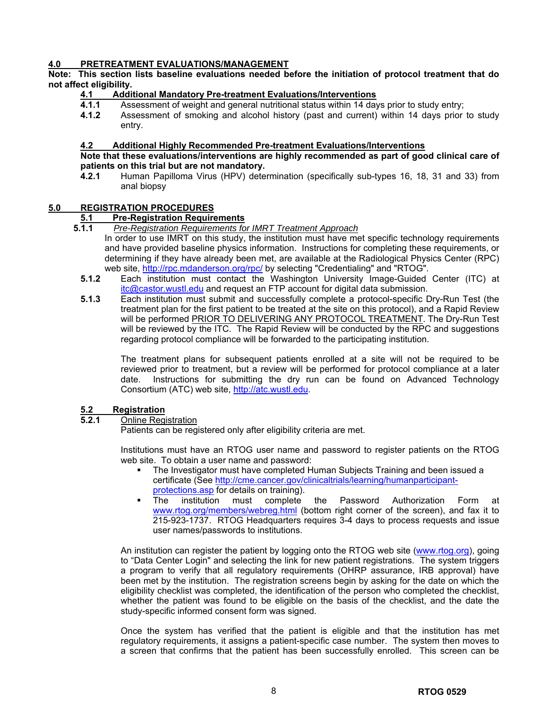## **4.0 PRETREATMENT EVALUATIONS/MANAGEMENT**

# **Note: This section lists baseline evaluations needed before the initiation of protocol treatment that do not affect eligibility.**

### **4.1 Additional Mandatory Pre-treatment Evaluations/Interventions**

- **4.1.1** Assessment of weight and general nutritional status within 14 days prior to study entry;<br>**4.1.2** Assessment of smoking and alcohol history (past and current) within 14 days prior
- **4.1.2** Assessment of smoking and alcohol history (past and current) within 14 days prior to study entry.

### **4.2 Additional Highly Recommended Pre-treatment Evaluations/Interventions**

### **Note that these evaluations/interventions are highly recommended as part of good clinical care of patients on this trial but are not mandatory.**

**4.2.1** Human Papilloma Virus (HPV) determination (specifically sub-types 16, 18, 31 and 33) from anal biopsy

### **5.0 REGISTRATION PROCEDURES**

### **5.1 Pre-Registration Requirements**

- **5.1.1** *Pre-Registration Requirements for IMRT Treatment Approach*
	- In order to use IMRT on this study, the institution must have met specific technology requirements and have provided baseline physics information. Instructions for completing these requirements, or determining if they have already been met, are available at the Radiological Physics Center (RPC) web site,<http://rpc.mdanderson.org/rpc/>by selecting "Credentialing" and "RTOG".
	- **5.1.2** Each institution must contact the Washington University Image-Guided Center (ITC) at [itc@castor.wustl.edu](https://mail.bmc.org/exchange/Lisa.Kachnic/Inbox/RTOG%200529%203rd%20Draft.EML/jkopaczynski/Local%20Settings/jkopaczynski/Local%20Settings/jkopaczynski/Local%20Settings/Temporary%20Internet%20Files/OLK27/itc@castor.wustl.edu) and request an FTP account for digital data submission.
	- **5.1.3** Each institution must submit and successfully complete a protocol-specific Dry-Run Test (the treatment plan for the first patient to be treated at the site on this protocol), and a Rapid Review will be performed PRIOR TO DELIVERING ANY PROTOCOL TREATMENT. The Dry-Run Test will be reviewed by the ITC. The Rapid Review will be conducted by the RPC and suggestions regarding protocol compliance will be forwarded to the participating institution.

 The treatment plans for subsequent patients enrolled at a site will not be required to be reviewed prior to treatment, but a review will be performed for protocol compliance at a later date. Instructions for submitting the dry run can be found on Advanced Technology Consortium (ATC) web site, [http://atc.wustl.edu](http://atc.wustl.edu/).

# **5.2 Registration**

#### **5.2.1** Online Registration

Patients can be registered only after eligibility criteria are met.

Institutions must have an RTOG user name and password to register patients on the RTOG web site. To obtain a user name and password:

- The Investigator must have completed Human Subjects Training and been issued a certificate (See [http://cme.cancer.gov/clinicaltrials/learning/humanparticipant](http://cme.cancer.gov/clinicaltrials/learning/humanparticipant-protections.asp)[protections.asp](http://cme.cancer.gov/clinicaltrials/learning/humanparticipant-protections.asp) for details on training).
- The institution must complete the Password Authorization Form at [www.rtog.org/members/webreg.html](http://www.rtog.org/members/webreg.html) (bottom right corner of the screen), and fax it to 215-923-1737. RTOG Headquarters requires 3-4 days to process requests and issue user names/passwords to institutions.

An institution can register the patient by logging onto the RTOG web site [\(www.rtog.org](http://www.rtog.org/)), going to "Data Center Login" and selecting the link for new patient registrations. The system triggers a program to verify that all regulatory requirements (OHRP assurance, IRB approval) have been met by the institution. The registration screens begin by asking for the date on which the eligibility checklist was completed, the identification of the person who completed the checklist, whether the patient was found to be eligible on the basis of the checklist, and the date the study-specific informed consent form was signed.

Once the system has verified that the patient is eligible and that the institution has met regulatory requirements, it assigns a patient-specific case number. The system then moves to a screen that confirms that the patient has been successfully enrolled. This screen can be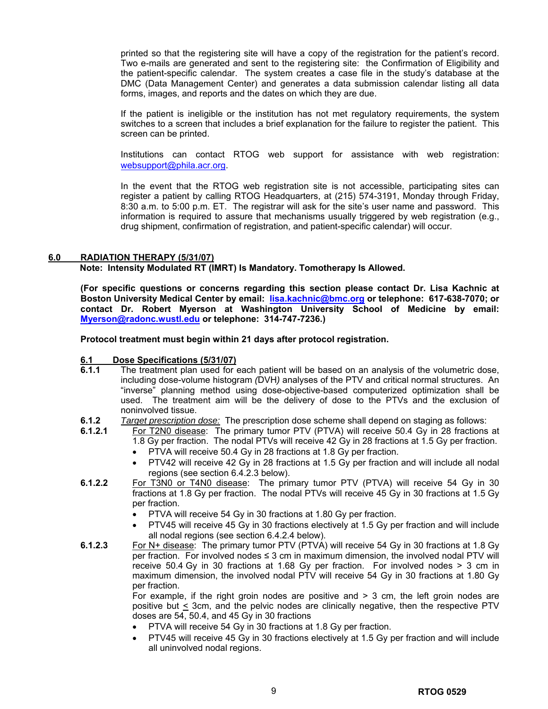printed so that the registering site will have a copy of the registration for the patient's record. Two e-mails are generated and sent to the registering site: the Confirmation of Eligibility and the patient-specific calendar. The system creates a case file in the study's database at the DMC (Data Management Center) and generates a data submission calendar listing all data forms, images, and reports and the dates on which they are due.

 If the patient is ineligible or the institution has not met regulatory requirements, the system switches to a screen that includes a brief explanation for the failure to register the patient. This screen can be printed.

Institutions can contact RTOG web support for assistance with web registration: [websupport@phila.acr.org](mailto:websupport@phila.acr.org).

In the event that the RTOG web registration site is not accessible, participating sites can register a patient by calling RTOG Headquarters, at (215) 574-3191, Monday through Friday, 8:30 a.m. to 5:00 p.m. ET. The registrar will ask for the site's user name and password. This information is required to assure that mechanisms usually triggered by web registration (e.g., drug shipment, confirmation of registration, and patient-specific calendar) will occur.

#### **6.0 RADIATION THERAPY (5/31/07)**

**Note: Intensity Modulated RT (IMRT) Is Mandatory. Tomotherapy Is Allowed.** 

**(For specific questions or concerns regarding this section please contact Dr. Lisa Kachnic at Boston University Medical Center by email: [lisa.kachnic@bmc.org](mailto:lisa.kachnic@bmc.org) or telephone: 617-638-7070; or contact Dr. Robert Myerson at Washington University School of Medicine by email: [Myerson@radonc.wustl.edu](mailto:Myerson@radonc.wustl.edu) or telephone: 314-747-7236.)** 

**Protocol treatment must begin within 21 days after protocol registration.** 

# **6.1 Dose Specifications (5/31/07)**<br>**6.1.1** The treatment plan used for **6**

- **6.1.1** The treatment plan used for each patient will be based on an analysis of the volumetric dose, including dose-volume histogram *(*DVH*)* analyses of the PTV and critical normal structures. An "inverse" planning method using dose-objective-based computerized optimization shall be used. The treatment aim will be the delivery of dose to the PTVs and the exclusion of noninvolved tissue.
- **6.1.2** *Target prescription dose:* The prescription dose scheme shall depend on staging as follows:
- **6.1.2.1** For T2N0 disease: The primary tumor PTV (PTVA) will receive 50.4 Gy in 28 fractions at 1.8 Gy per fraction. The nodal PTVs will receive 42 Gy in 28 fractions at 1.5 Gy per fraction.
	- PTVA will receive 50.4 Gy in 28 fractions at 1.8 Gy per fraction.
	- PTV42 will receive 42 Gy in 28 fractions at 1.5 Gy per fraction and will include all nodal regions (see section 6.4.2.3 below).
- **6.1.2.2** For T3N0 or T4N0 disease: The primary tumor PTV (PTVA) will receive 54 Gy in 30 fractions at 1.8 Gy per fraction. The nodal PTVs will receive 45 Gy in 30 fractions at 1.5 Gy per fraction.
	- PTVA will receive 54 Gy in 30 fractions at 1.80 Gy per fraction.
	- PTV45 will receive 45 Gy in 30 fractions electively at 1.5 Gy per fraction and will include all nodal regions (see section 6.4.2.4 below).
- **6.1.2.3** For N+ disease: The primary tumor PTV (PTVA) will receive 54 Gy in 30 fractions at 1.8 Gy per fraction. For involved nodes ≤ 3 cm in maximum dimension, the involved nodal PTV will receive 50.4 Gy in 30 fractions at 1.68 Gy per fraction. For involved nodes > 3 cm in maximum dimension, the involved nodal PTV will receive 54 Gy in 30 fractions at 1.80 Gy per fraction.

For example, if the right groin nodes are positive and  $>$  3 cm, the left groin nodes are positive but  $\leq$  3cm, and the pelvic nodes are clinically negative, then the respective PTV doses are 54, 50.4, and 45 Gy in 30 fractions

- PTVA will receive 54 Gy in 30 fractions at 1.8 Gy per fraction.
- PTV45 will receive 45 Gy in 30 fractions electively at 1.5 Gy per fraction and will include all uninvolved nodal regions.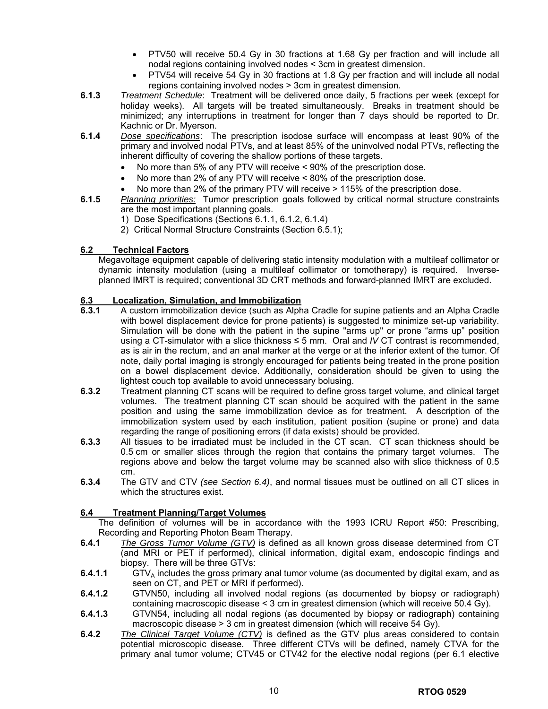- PTV50 will receive 50.4 Gy in 30 fractions at 1.68 Gy per fraction and will include all nodal regions containing involved nodes < 3cm in greatest dimension.
- PTV54 will receive 54 Gy in 30 fractions at 1.8 Gy per fraction and will include all nodal regions containing involved nodes > 3cm in greatest dimension.
- **6.1.3** *Treatment Schedule*: Treatment will be delivered once daily, 5 fractions per week (except for holiday weeks). All targets will be treated simultaneously. Breaks in treatment should be minimized; any interruptions in treatment for longer than 7 days should be reported to Dr. Kachnic or Dr. Myerson.
- **6.1.4** *Dose specifications*: The prescription isodose surface will encompass at least 90% of the primary and involved nodal PTVs, and at least 85% of the uninvolved nodal PTVs, reflecting the inherent difficulty of covering the shallow portions of these targets.
	- No more than 5% of any PTV will receive < 90% of the prescription dose.
	- No more than 2% of any PTV will receive < 80% of the prescription dose.
	- No more than 2% of the primary PTV will receive > 115% of the prescription dose.
- **6.1.5** *Planning priorities:* Tumor prescription goals followed by critical normal structure constraints are the most important planning goals.
	- 1) Dose Specifications (Sections 6.1.1, 6.1.2, 6.1.4)
	- 2) Critical Normal Structure Constraints (Section 6.5.1);

### **6.2 Technical Factors**

Megavoltage equipment capable of delivering static intensity modulation with a multileaf collimator or dynamic intensity modulation (using a multileaf collimator or tomotherapy) is required. Inverseplanned IMRT is required; conventional 3D CRT methods and forward-planned IMRT are excluded.

### **6.3 Localization, Simulation, and Immobilization**

- **6.3.1** A custom immobilization device (such as Alpha Cradle for supine patients and an Alpha Cradle with bowel displacement device for prone patients) is suggested to minimize set-up variability. Simulation will be done with the patient in the supine "arms up" or prone "arms up" position using a CT-simulator with a slice thickness ≤ 5 mm. Oral and *IV* CT contrast is recommended, as is air in the rectum, and an anal marker at the verge or at the inferior extent of the tumor. Of note, daily portal imaging is strongly encouraged for patients being treated in the prone position on a bowel displacement device. Additionally, consideration should be given to using the lightest couch top available to avoid unnecessary bolusing.
- **6.3.2** Treatment planning CT scans will be required to define gross target volume, and clinical target volumes. The treatment planning CT scan should be acquired with the patient in the same position and using the same immobilization device as for treatment. A description of the immobilization system used by each institution, patient position (supine or prone) and data regarding the range of positioning errors (if data exists) should be provided.
- **6.3.3** All tissues to be irradiated must be included in the CT scan. CT scan thickness should be 0.5 cm or smaller slices through the region that contains the primary target volumes. The regions above and below the target volume may be scanned also with slice thickness of 0.5 cm.
- **6.3.4** The GTV and CTV *(see Section 6.4)*, and normal tissues must be outlined on all CT slices in which the structures exist.

### **6.4 Treatment Planning/Target Volumes**

The definition of volumes will be in accordance with the 1993 ICRU Report #50: Prescribing, Recording and Reporting Photon Beam Therapy.

- **6.4.1** *The Gross Tumor Volume (GTV)* is defined as all known gross disease determined from CT (and MRI or PET if performed), clinical information, digital exam, endoscopic findings and biopsy. There will be three GTVs:
- **6.4.1.1** GTV<sub>A</sub> includes the gross primary anal tumor volume (as documented by digital exam, and as seen on CT, and PET or MRI if performed).
- **6.4.1.2** GTVN50, including all involved nodal regions (as documented by biopsy or radiograph) containing macroscopic disease < 3 cm in greatest dimension (which will receive 50.4 Gy).
- **6.4.1.3** GTVN54, including all nodal regions (as documented by biopsy or radiograph) containing macroscopic disease > 3 cm in greatest dimension (which will receive 54 Gy).
- **6.4.2** *The Clinical Target Volume (CTV)* is defined as the GTV plus areas considered to contain potential microscopic disease. Three different CTVs will be defined, namely CTVA for the primary anal tumor volume; CTV45 or CTV42 for the elective nodal regions (per 6.1 elective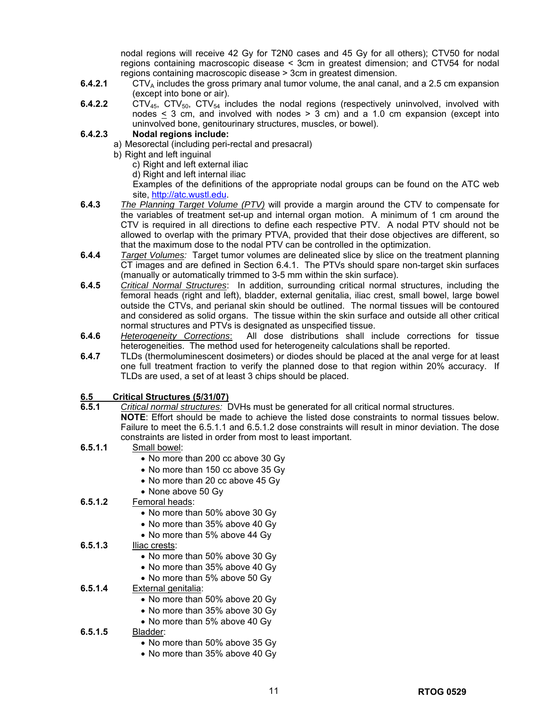nodal regions will receive 42 Gy for T2N0 cases and 45 Gy for all others); CTV50 for nodal regions containing macroscopic disease < 3cm in greatest dimension; and CTV54 for nodal regions containing macroscopic disease > 3cm in greatest dimension.

- **6.4.2.1** CTV<sub>A</sub> includes the gross primary anal tumor volume, the anal canal, and a 2.5 cm expansion (except into bone or air).
- **6.4.2.2** CTV<sub>45</sub>, CTV<sub>50</sub>, CTV<sub>54</sub> includes the nodal regions (respectively uninvolved, involved with nodes  $\leq$  3 cm, and involved with nodes  $\geq$  3 cm) and a 1.0 cm expansion (except into uninvolved bone, genitourinary structures, muscles, or bowel).

### **6.4.2.3 Nodal regions include:**

- a) Mesorectal (including peri-rectal and presacral)
	- b) Right and left inguinal
		- c) Right and left external iliac
		- d) Right and left internal iliac

Examples of the definitions of the appropriate nodal groups can be found on the ATC web site, [http://atc.wustl.edu](http://atc.wustl.edu/).

- **6.4.3** *The Planning Target Volume (PTV)* will provide a margin around the CTV to compensate for the variables of treatment set-up and internal organ motion. A minimum of 1 cm around the CTV is required in all directions to define each respective PTV. A nodal PTV should not be allowed to overlap with the primary PTVA, provided that their dose objectives are different, so that the maximum dose to the nodal PTV can be controlled in the optimization.
- **6.4.4** *Target Volumes:* Target tumor volumes are delineated slice by slice on the treatment planning CT images and are defined in Section 6.4.1. The PTVs should spare non-target skin surfaces (manually or automatically trimmed to 3-5 mm within the skin surface).
- **6.4.5** *Critical Normal Structures*: In addition, surrounding critical normal structures, including the femoral heads (right and left), bladder, external genitalia, iliac crest, small bowel, large bowel outside the CTVs, and perianal skin should be outlined. The normal tissues will be contoured and considered as solid organs. The tissue within the skin surface and outside all other critical normal structures and PTVs is designated as unspecified tissue.
- **6.4.6** *Heterogeneity Corrections*: All dose distributions shall include corrections for tissue heterogeneities. The method used for heterogeneity calculations shall be reported.
- **6.4.7** TLDs (thermoluminescent dosimeters) or diodes should be placed at the anal verge for at least one full treatment fraction to verify the planned dose to that region within 20% accuracy. If TLDs are used, a set of at least 3 chips should be placed.

## **6.5 Critical Structures (5/31/07)**

- **6.5.1** *Critical normal structures:* DVHs must be generated for all critical normal structures.
	- **NOTE**: Effort should be made to achieve the listed dose constraints to normal tissues below. Failure to meet the 6.5.1.1 and 6.5.1.2 dose constraints will result in minor deviation. The dose constraints are listed in order from most to least important.
- **6.5.1.1** Small bowel:
	- No more than 200 cc above 30 Gy
	- No more than 150 cc above 35 Gy
	- No more than 20 cc above 45 Gy
	- None above 50 Gy
- **6.5.1.2** Femoral heads:
	- No more than 50% above 30 Gy
	- No more than 35% above 40 Gy
	- No more than 5% above 44 Gy
- **6.5.1.3** Iliac crests:
	- No more than 50% above 30 Gy
	- No more than 35% above 40 Gy
	- No more than 5% above 50 Gy

### **6.5.1.4** External genitalia:

- No more than 50% above 20 Gy
- No more than 35% above 30 Gy
- No more than 5% above 40 Gy

### **6.5.1.5** Bladder:

- No more than 50% above 35 Gy
- No more than 35% above 40 Gy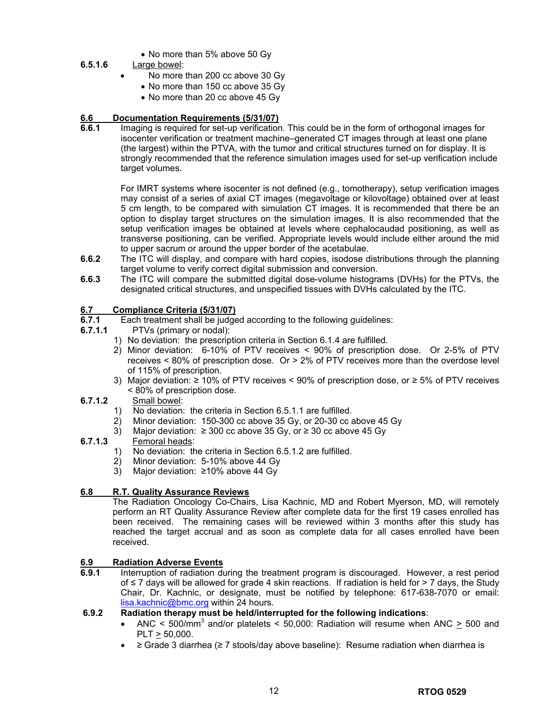• No more than 5% above 50 Gy

## **6.5.1.6** Large bowel:

- No more than 200 cc above 30 Gy
- No more than 150 cc above 35 Gy
- No more than 20 cc above 45 Gy

### **6.6 Documentation Requirements (5/31/07)**

**6.6.1** Imaging is required for set-up verification. This could be in the form of orthogonal images for isocenter verification or treatment machine–generated CT images through at least one plane (the largest) within the PTVA, with the tumor and critical structures turned on for display. It is strongly recommended that the reference simulation images used for set-up verification include target volumes.

For IMRT systems where isocenter is not defined (e.g., tomotherapy), setup verification images may consist of a series of axial CT images (megavoltage or kilovoltage) obtained over at least 5 cm length, to be compared with simulation CT images. It is recommended that there be an option to display target structures on the simulation images. It is also recommended that the setup verification images be obtained at levels where cephalocaudad positioning, as well as transverse positioning, can be verified. Appropriate levels would include either around the mid to upper sacrum or around the upper border of the acetabulae.

- **6.6.2** The ITC will display, and compare with hard copies, isodose distributions through the planning target volume to verify correct digital submission and conversion.
- **6.6.3** The ITC will compare the submitted digital dose-volume histograms (DVHs) for the PTVs, the designated critical structures, and unspecified tissues with DVHs calculated by the ITC.

# **6.7 Compliance Criteria (5/31/07)**<br>**6.7.1** Each treatment shall be judge

- Each treatment shall be judged according to the following guidelines:
- **6.7.1.1** PTVs (primary or nodal):
	- 1) No deviation: the prescription criteria in Section 6.1.4 are fulfilled.
	- 2) Minor deviation: 6-10% of PTV receives < 90% of prescription dose. Or 2-5% of PTV receives < 80% of prescription dose. Or > 2% of PTV receives more than the overdose level of 115% of prescription.
	- 3) Major deviation: ≥ 10% of PTV receives < 90% of prescription dose, or ≥ 5% of PTV receives < 80% of prescription dose.

### **6.7.1.2** Small bowel:

- 1) No deviation: the criteria in Section 6.5.1.1 are fulfilled.
- 2) Minor deviation: 150-300 cc above 35 Gy, or 20-30 cc above 45 Gy
- 3) Major deviation:  $≥ 300$  cc above 35 Gy, or  $≥ 30$  cc above 45 Gy

## **6.7.1.3** Femoral heads:

- 1) No deviation: the criteria in Section 6.5.1.2 are fulfilled.
- 2) Minor deviation: 5-10% above 44 Gy
- 3) Major deviation: ≥10% above 44 Gy

## **6.8 R.T. Quality Assurance Reviews**

The Radiation Oncology Co-Chairs, Lisa Kachnic, MD and Robert Myerson, MD, will remotely perform an RT Quality Assurance Review after complete data for the first 19 cases enrolled has been received. The remaining cases will be reviewed within 3 months after this study has reached the target accrual and as soon as complete data for all cases enrolled have been received.

## **6.9 Radiation Adverse Events**

**6.9.1** Interruption of radiation during the treatment program is discouraged. However, a rest period of ≤ 7 days will be allowed for grade 4 skin reactions. If radiation is held for > 7 days, the Study Chair, Dr. Kachnic, or designate, must be notified by telephone: 617-638-7070 or email: [lisa.kachnic@bmc.org](mailto:lisa.kachnic@bmc.org) within 24 hours.

### **6.9.2 Radiation therapy must be held/interrupted for the following indications**:

- ANC <  $500/\text{mm}^3$  and/or platelets <  $50,000$ : Radiation will resume when ANC  $\geq 500$  and PLT > 50,000.
- ≥ Grade 3 diarrhea (≥ 7 stools/day above baseline): Resume radiation when diarrhea is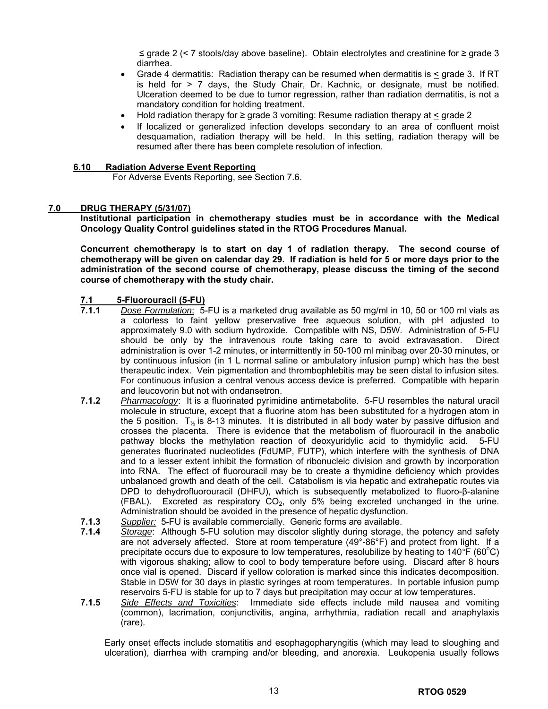≤ grade 2 (< 7 stools/day above baseline). Obtain electrolytes and creatinine for ≥ grade 3 diarrhea.

- Grade 4 dermatitis: Radiation therapy can be resumed when dermatitis is < grade 3. If RT is held for  $> 7$  days, the Study Chair, Dr. Kachnic, or designate, must be notified. Ulceration deemed to be due to tumor regression, rather than radiation dermatitis, is not a mandatory condition for holding treatment.
- Hold radiation therapy for  $\geq$  grade 3 vomiting: Resume radiation therapy at  $\leq$  grade 2
- If localized or generalized infection develops secondary to an area of confluent moist desquamation, radiation therapy will be held. In this setting, radiation therapy will be resumed after there has been complete resolution of infection.

### **6.10 Radiation Adverse Event Reporting**

For Adverse Events Reporting, see Section 7.6.

### **7.0 DRUG THERAPY (5/31/07)**

**Institutional participation in chemotherapy studies must be in accordance with the Medical Oncology Quality Control guidelines stated in the RTOG Procedures Manual.** 

**Concurrent chemotherapy is to start on day 1 of radiation therapy. The second course of chemotherapy will be given on calendar day 29. If radiation is held for 5 or more days prior to the administration of the second course of chemotherapy, please discuss the timing of the second course of chemotherapy with the study chair.** 

# **7.1 5-Fluorouracil (5-FU)**

- **7.1.1** *Dose Formulation*: 5-FU is a marketed drug available as 50 mg/ml in 10, 50 or 100 ml vials as a colorless to faint yellow preservative free aqueous solution, with pH adjusted to approximately 9.0 with sodium hydroxide. Compatible with NS, D5W. Administration of 5-FU should be only by the intravenous route taking care to avoid extravasation. Direct administration is over 1-2 minutes, or intermittently in 50-100 ml minibag over 20-30 minutes, or by continuous infusion (in 1 L normal saline or ambulatory infusion pump) which has the best therapeutic index. Vein pigmentation and thrombophlebitis may be seen distal to infusion sites. For continuous infusion a central venous access device is preferred. Compatible with heparin and leucovorin but not with ondansetron.
- **7.1.2** *Pharmacology*: It is a fluorinated pyrimidine antimetabolite. 5-FU resembles the natural uracil molecule in structure, except that a fluorine atom has been substituted for a hydrogen atom in the 5 position.  $T_{\frac{1}{2}}$  is 8-13 minutes. It is distributed in all body water by passive diffusion and crosses the placenta. There is evidence that the metabolism of fluorouracil in the anabolic pathway blocks the methylation reaction of deoxyuridylic acid to thymidylic acid. 5-FU generates fluorinated nucleotides (FdUMP, FUTP), which interfere with the synthesis of DNA and to a lesser extent inhibit the formation of ribonucleic division and growth by incorporation into RNA. The effect of fluorouracil may be to create a thymidine deficiency which provides unbalanced growth and death of the cell. Catabolism is via hepatic and extrahepatic routes via DPD to dehydrofluorouracil (DHFU), which is subsequently metabolized to fluoro-β-alanine (FBAL). Excreted as respiratory  $CO<sub>2</sub>$ , only 5% being excreted unchanged in the urine. Administration should be avoided in the presence of hepatic dysfunction.
- **7.1.3** *Supplier:* 5-FU is available commercially. Generic forms are available.
- **7.1.4** *Storage*: Although 5-FU solution may discolor slightly during storage, the potency and safety are not adversely affected. Store at room temperature (49°-86°F) and protect from light. If a precipitate occurs due to exposure to low temperatures, resolubilize by heating to 140 F (60<sup>o</sup>C) with vigorous shaking; allow to cool to body temperature before using. Discard after 8 hours once vial is opened. Discard if yellow coloration is marked since this indicates decomposition. Stable in D5W for 30 days in plastic syringes at room temperatures. In portable infusion pump reservoirs 5-FU is stable for up to 7 days but precipitation may occur at low temperatures.
- **7.1.5** *Side Effects and Toxicities*: Immediate side effects include mild nausea and vomiting (common), lacrimation, conjunctivitis, angina, arrhythmia, radiation recall and anaphylaxis (rare).

Early onset effects include stomatitis and esophagopharyngitis (which may lead to sloughing and ulceration), diarrhea with cramping and/or bleeding, and anorexia. Leukopenia usually follows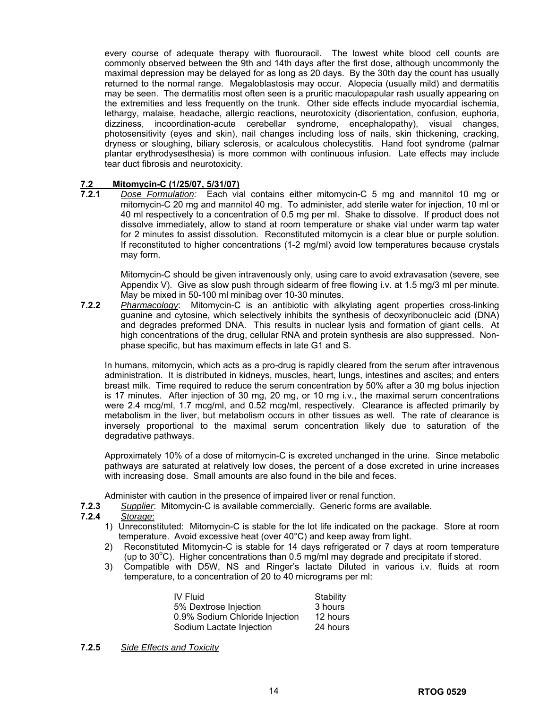every course of adequate therapy with fluorouracil. The lowest white blood cell counts are commonly observed between the 9th and 14th days after the first dose, although uncommonly the maximal depression may be delayed for as long as 20 days. By the 30th day the count has usually returned to the normal range. Megaloblastosis may occur. Alopecia (usually mild) and dermatitis may be seen. The dermatitis most often seen is a pruritic maculopapular rash usually appearing on the extremities and less frequently on the trunk. Other side effects include myocardial ischemia, lethargy, malaise, headache, allergic reactions, neurotoxicity (disorientation, confusion, euphoria, dizziness, incoordination-acute cerebellar syndrome, encephalopathy), visual changes, photosensitivity (eyes and skin), nail changes including loss of nails, skin thickening, cracking, dryness or sloughing, biliary sclerosis, or acalculous cholecystitis. Hand foot syndrome (palmar plantar erythrodysesthesia) is more common with continuous infusion. Late effects may include tear duct fibrosis and neurotoxicity.

# **7.2 Mitomycin-C (1/25/07, 5/31/07)**

**7.2.1** *Dose Formulation:* Each vial contains either mitomycin-C 5 mg and mannitol 10 mg or mitomycin-C 20 mg and mannitol 40 mg. To administer, add sterile water for injection, 10 ml or 40 ml respectively to a concentration of 0.5 mg per ml. Shake to dissolve. If product does not dissolve immediately, allow to stand at room temperature or shake vial under warm tap water for 2 minutes to assist dissolution. Reconstituted mitomycin is a clear blue or purple solution. If reconstituted to higher concentrations (1-2 mg/ml) avoid low temperatures because crystals may form.

Mitomycin-C should be given intravenously only, using care to avoid extravasation (severe, see Appendix V). Give as slow push through sidearm of free flowing i.v. at 1.5 mg/3 ml per minute. May be mixed in 50-100 ml minibag over 10-30 minutes.

**7.2.2** *Pharmacology*: Mitomycin-C is an antibiotic with alkylating agent properties cross-linking guanine and cytosine, which selectively inhibits the synthesis of deoxyribonucleic acid (DNA) and degrades preformed DNA. This results in nuclear lysis and formation of giant cells. At high concentrations of the drug, cellular RNA and protein synthesis are also suppressed. Nonphase specific, but has maximum effects in late G1 and S.

In humans, mitomycin, which acts as a pro-drug is rapidly cleared from the serum after intravenous administration. It is distributed in kidneys, muscles, heart, lungs, intestines and ascites; and enters breast milk. Time required to reduce the serum concentration by 50% after a 30 mg bolus injection is 17 minutes. After injection of 30 mg, 20 mg, or 10 mg i.v., the maximal serum concentrations were 2.4 mcg/ml, 1.7 mcg/ml, and 0.52 mcg/ml, respectively. Clearance is affected primarily by metabolism in the liver, but metabolism occurs in other tissues as well. The rate of clearance is inversely proportional to the maximal serum concentration likely due to saturation of the degradative pathways.

Approximately 10% of a dose of mitomycin-C is excreted unchanged in the urine. Since metabolic pathways are saturated at relatively low doses, the percent of a dose excreted in urine increases with increasing dose. Small amounts are also found in the bile and feces.

Administer with caution in the presence of impaired liver or renal function.

- **7.2.3** *Supplier*: Mitomycin-C is available commercially. Generic forms are available.
- **7.2.4** *Storage*:
	- 1) Unreconstituted: Mitomycin-C is stable for the lot life indicated on the package. Store at room temperature. Avoid excessive heat (over 40°C) and keep away from light.
	- 2) Reconstituted Mitomycin-C is stable for 14 days refrigerated or 7 days at room temperature (up to  $30^{\circ}$ C). Higher concentrations than 0.5 mg/ml may degrade and precipitate if stored.
	- 3) Compatible with D5W, NS and Ringer's lactate Diluted in various i.v. fluids at room temperature, to a concentration of 20 to 40 micrograms per ml:

| IV Fluid                       | Stability |
|--------------------------------|-----------|
| 5% Dextrose Injection          | 3 hours   |
| 0.9% Sodium Chloride Injection | 12 hours  |
| Sodium Lactate Injection       | 24 hours  |

**7.2.5** *Side Effects and Toxicity*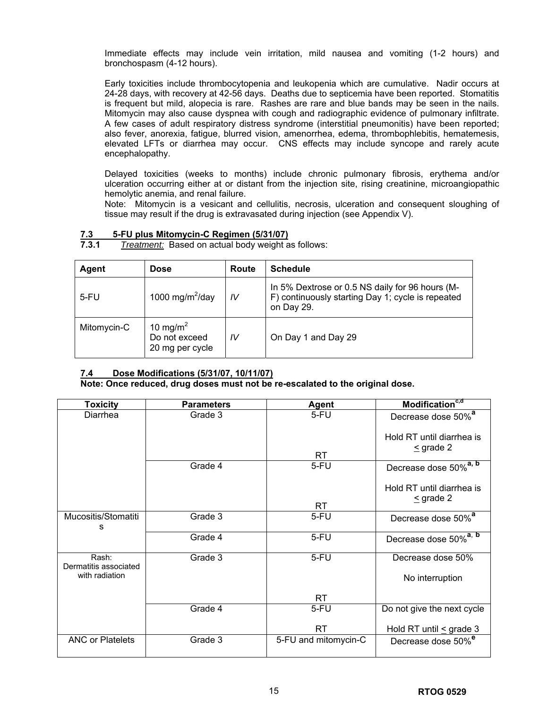Immediate effects may include vein irritation, mild nausea and vomiting (1-2 hours) and bronchospasm (4-12 hours).

Early toxicities include thrombocytopenia and leukopenia which are cumulative. Nadir occurs at 24-28 days, with recovery at 42-56 days. Deaths due to septicemia have been reported. Stomatitis is frequent but mild, alopecia is rare. Rashes are rare and blue bands may be seen in the nails. Mitomycin may also cause dyspnea with cough and radiographic evidence of pulmonary infiltrate. A few cases of adult respiratory distress syndrome (interstitial pneumonitis) have been reported; also fever, anorexia, fatigue, blurred vision, amenorrhea, edema, thrombophlebitis, hematemesis, elevated LFTs or diarrhea may occur. CNS effects may include syncope and rarely acute encephalopathy.

Delayed toxicities (weeks to months) include chronic pulmonary fibrosis, erythema and/or ulceration occurring either at or distant from the injection site, rising creatinine, microangiopathic hemolytic anemia, and renal failure.

Note: Mitomycin is a vesicant and cellulitis, necrosis, ulceration and consequent sloughing of tissue may result if the drug is extravasated during injection (see Appendix V).

| Agent       | <b>Dose</b>                                              | Route | <b>Schedule</b>                                                                                                    |
|-------------|----------------------------------------------------------|-------|--------------------------------------------------------------------------------------------------------------------|
| $5$ -FU     | 1000 mg/m <sup>2</sup> /day                              | IV    | In 5% Dextrose or 0.5 NS daily for 96 hours (M-<br>F) continuously starting Day 1; cycle is repeated<br>on Day 29. |
| Mitomycin-C | 10 mg/m <sup>2</sup><br>Do not exceed<br>20 mg per cycle | IV    | On Day 1 and Day 29                                                                                                |

**7.3 5-FU plus Mitomycin-C Regimen (5/31/07) 7.3.1** *Treatment:* Based on actual body weight as follows:

## **7.4 Dose Modifications (5/31/07, 10/11/07)**

**Note: Once reduced, drug doses must not be re-escalated to the original dose.** 

| <b>Toxicity</b>                | <b>Parameters</b> | <b>Agent</b>         | Modification <sup>c,d</sup>                 |
|--------------------------------|-------------------|----------------------|---------------------------------------------|
| Diarrhea                       | Grade 3           | 5-FU                 | Decrease dose 50% <sup>a</sup>              |
|                                |                   | <b>RT</b>            | Hold RT until diarrhea is<br>$\leq$ grade 2 |
|                                | Grade 4           | 5-FU                 | Decrease dose 50% <sup>a, b</sup>           |
|                                |                   | <b>RT</b>            | Hold RT until diarrhea is<br>$\leq$ grade 2 |
| Mucositis/Stomatiti<br>s       | Grade 3           | 5-FU                 | Decrease dose 50% <sup>a</sup>              |
|                                | Grade 4           | 5-FU                 | Decrease dose 50% <sup>a, b</sup>           |
| Rash:<br>Dermatitis associated | Grade 3           | 5-FU                 | Decrease dose 50%                           |
| with radiation                 |                   |                      | No interruption                             |
|                                |                   | <b>RT</b>            |                                             |
|                                | Grade 4           | 5-FU                 | Do not give the next cycle                  |
|                                |                   | <b>RT</b>            | Hold RT until $\leq$ grade 3                |
| <b>ANC or Platelets</b>        | Grade 3           | 5-FU and mitomycin-C | Decrease dose 50% <sup>e</sup>              |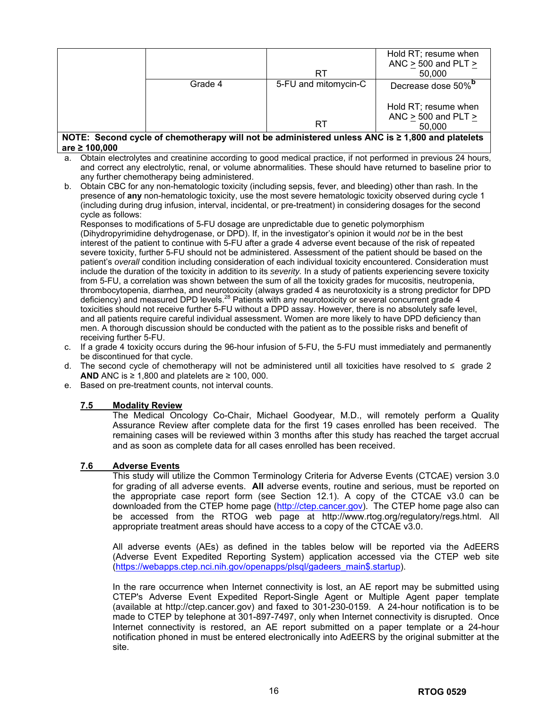|                                                                                                      |         |                      | Hold RT; resume when           |
|------------------------------------------------------------------------------------------------------|---------|----------------------|--------------------------------|
|                                                                                                      |         |                      | ANC $>$ 500 and PLT $>$        |
|                                                                                                      |         | RT                   | 50,000                         |
|                                                                                                      | Grade 4 | 5-FU and mitomycin-C | Decrease dose 50% <sup>"</sup> |
|                                                                                                      |         |                      |                                |
|                                                                                                      |         |                      | Hold RT; resume when           |
|                                                                                                      |         |                      | ANC $>$ 500 and PLT $>$        |
|                                                                                                      |         | RT                   | 50,000                         |
| NOTE: Second cycle of chemotherapy will not be administered unless ANC is $\geq 1,800$ and platelets |         |                      |                                |

### **are ≥ 100,000**

- a. Obtain electrolytes and creatinine according to good medical practice, if not performed in previous 24 hours, and correct any electrolytic, renal, or volume abnormalities. These should have returned to baseline prior to any further chemotherapy being administered.
- b. Obtain CBC for any non-hematologic toxicity (including sepsis, fever, and bleeding) other than rash. In the presence of **any** non-hematologic toxicity, use the most severe hematologic toxicity observed during cycle 1 (including during drug infusion, interval, incidental, or pre-treatment) in considering dosages for the second cycle as follows:

Responses to modifications of 5-FU dosage are unpredictable due to genetic polymorphism (Dihydropyrimidine dehydrogenase, or DPD). If, in the investigator's opinion it would *not* be in the best interest of the patient to continue with 5-FU after a grade 4 adverse event because of the risk of repeated severe toxicity, further 5-FU should not be administered. Assessment of the patient should be based on the patient's *overall* condition including consideration of each individual toxicity encountered. Consideration must include the duration of the toxicity in addition to its *severity.* In a study of patients experiencing severe toxicity from 5-FU, a correlation was shown between the sum of all the toxicity grades for mucositis, neutropenia, thrombocytopenia, diarrhea, and neurotoxicity (always graded 4 as neurotoxicity is a strong predictor for DPD deficiency) and measured DPD levels.<sup>28</sup> Patients with any neurotoxicity or several concurrent grade 4 toxicities should not receive further 5-FU without a DPD assay. However, there is no absolutely safe level, and all patients require careful individual assessment. Women are more likely to have DPD deficiency than men. A thorough discussion should be conducted with the patient as to the possible risks and benefit of receiving further 5-FU.

- c. If a grade 4 toxicity occurs during the 96-hour infusion of 5-FU, the 5-FU must immediately and permanently be discontinued for that cycle.
- d. The second cycle of chemotherapy will not be administered until all toxicities have resolved to  $\leq$  grade 2 **AND** ANC is ≥ 1,800 and platelets are ≥ 100, 000.
- e. Based on pre-treatment counts, not interval counts.

### **7.5 Modality Review**

The Medical Oncology Co-Chair, Michael Goodyear, M.D., will remotely perform a Quality Assurance Review after complete data for the first 19 cases enrolled has been received. The remaining cases will be reviewed within 3 months after this study has reached the target accrual and as soon as complete data for all cases enrolled has been received.

### **7.6 Adverse Events**

This study will utilize the Common Terminology Criteria for Adverse Events (CTCAE) version 3.0 for grading of all adverse events. **All** adverse events, routine and serious, must be reported on the appropriate case report form (see Section 12.1). A copy of the CTCAE v3.0 can be downloaded from the CTEP home page ([http://ctep.cancer.gov](http://ctep.cancer.gov/)). The CTEP home page also can be accessed from the RTOG web page at http://www.rtog.org/regulatory/regs.html. All appropriate treatment areas should have access to a copy of the CTCAE v3.0.

All adverse events (AEs) as defined in the tables below will be reported via the AdEERS (Adverse Event Expedited Reporting System) application accessed via the CTEP web site [\(https://webapps.ctep.nci.nih.gov/openapps/plsql/gadeers\\_main\\$.startup\)](https://webapps.ctep.nci.nih.gov/openapps/plsql/gadeers_main$.startup).

In the rare occurrence when Internet connectivity is lost, an AE report may be submitted using CTEP's Adverse Event Expedited Report-Single Agent or Multiple Agent paper template (available at http://ctep.cancer.gov) and faxed to 301-230-0159. A 24-hour notification is to be made to CTEP by telephone at 301-897-7497, only when Internet connectivity is disrupted. Once Internet connectivity is restored, an AE report submitted on a paper template or a 24-hour notification phoned in must be entered electronically into AdEERS by the original submitter at the site.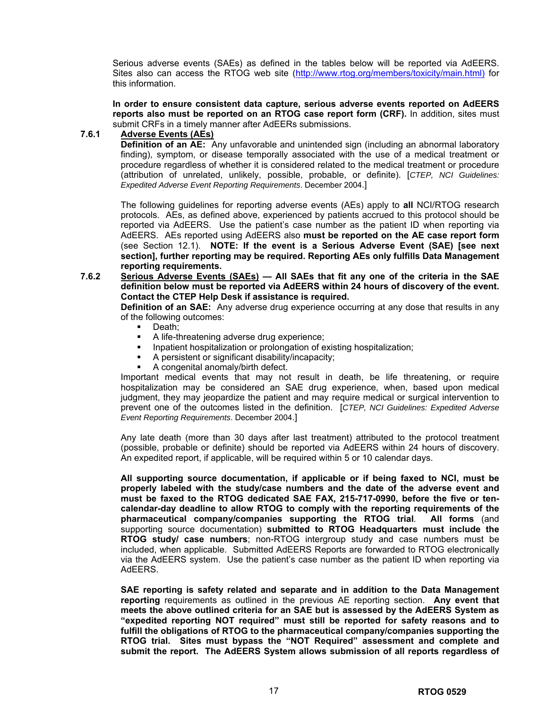Serious adverse events (SAEs) as defined in the tables below will be reported via AdEERS. Sites also can access the RTOG web site [\(http://www.rtog.org/members/toxicity/main.html\)](https://mail.bmc.org/exchange/Lisa.Kachnic/Inbox/RTOG%200529%203rd%20Draft.EML/1_multipart_xF8FF_2_RTOG%200529_Draft%20Review%233_22May2006.doc/Local%20Settings/Temporary%20Internet%20Files/Local%20Settings/Temporary%20Internet%20Files/Local%20Settings/Temporary%20Internet%20Files/Local%20Settings/kokrent/Local%20Settings/Temporary%20Internet%20Files/Local%20Settings/Temporary%20Internet%20Files/OLK263/%7E$OG%20Protocol%20Template%205-23-05.doc) for this information.

**In order to ensure consistent data capture, serious adverse events reported on AdEERS reports also must be reported on an RTOG case report form (CRF).** In addition, sites must submit CRFs in a timely manner after AdEERs submissions.

### **7.6.1 Adverse Events (AEs)**

**Definition of an AE:** Any unfavorable and unintended sign (including an abnormal laboratory finding), symptom, or disease temporally associated with the use of a medical treatment or procedure regardless of whether it is considered related to the medical treatment or procedure (attribution of unrelated, unlikely, possible, probable, or definite). [*CTEP, NCI Guidelines: Expedited Adverse Event Reporting Requirements*. December 2004.]

The following guidelines for reporting adverse events (AEs) apply to **all** NCI/RTOG research protocols. AEs, as defined above, experienced by patients accrued to this protocol should be reported via AdEERS. Use the patient's case number as the patient ID when reporting via AdEERS. AEs reported using AdEERS also **must be reported on the AE case report form** (see Section 12.1). **NOTE: If the event is a Serious Adverse Event (SAE) [see next section], further reporting may be required. Reporting AEs only fulfills Data Management reporting requirements.** 

**7.6.2 Serious Adverse Events (SAEs) — All SAEs that fit any one of the criteria in the SAE definition below must be reported via AdEERS within 24 hours of discovery of the event. Contact the CTEP Help Desk if assistance is required.** 

**Definition of an SAE:** Any adverse drug experience occurring at any dose that results in any of the following outcomes:

- Death;
- A life-threatening adverse drug experience;
- **Inpatient hospitalization or prolongation of existing hospitalization;**
- A persistent or significant disability/incapacity;
- A congenital anomaly/birth defect.

Important medical events that may not result in death, be life threatening, or require hospitalization may be considered an SAE drug experience, when, based upon medical judgment, they may jeopardize the patient and may require medical or surgical intervention to prevent one of the outcomes listed in the definition. [*CTEP, NCI Guidelines: Expedited Adverse Event Reporting Requirements*. December 2004.]

Any late death (more than 30 days after last treatment) attributed to the protocol treatment (possible, probable or definite) should be reported via AdEERS within 24 hours of discovery. An expedited report, if applicable, will be required within 5 or 10 calendar days.

**All supporting source documentation, if applicable or if being faxed to NCI, must be properly labeled with the study/case numbers and the date of the adverse event and must be faxed to the RTOG dedicated SAE FAX, 215-717-0990, before the five or tencalendar-day deadline to allow RTOG to comply with the reporting requirements of the pharmaceutical company/companies supporting the RTOG trial**. **All forms** (and supporting source documentation) **submitted to RTOG Headquarters must include the RTOG study/ case numbers**; non-RTOG intergroup study and case numbers must be included, when applicable. Submitted AdEERS Reports are forwarded to RTOG electronically via the AdEERS system. Use the patient's case number as the patient ID when reporting via AdEERS.

**SAE reporting is safety related and separate and in addition to the Data Management reporting** requirements as outlined in the previous AE reporting section. **Any event that meets the above outlined criteria for an SAE but is assessed by the AdEERS System as "expedited reporting NOT required" must still be reported for safety reasons and to fulfill the obligations of RTOG to the pharmaceutical company/companies supporting the RTOG trial. Sites must bypass the "NOT Required" assessment and complete and submit the report. The AdEERS System allows submission of all reports regardless of**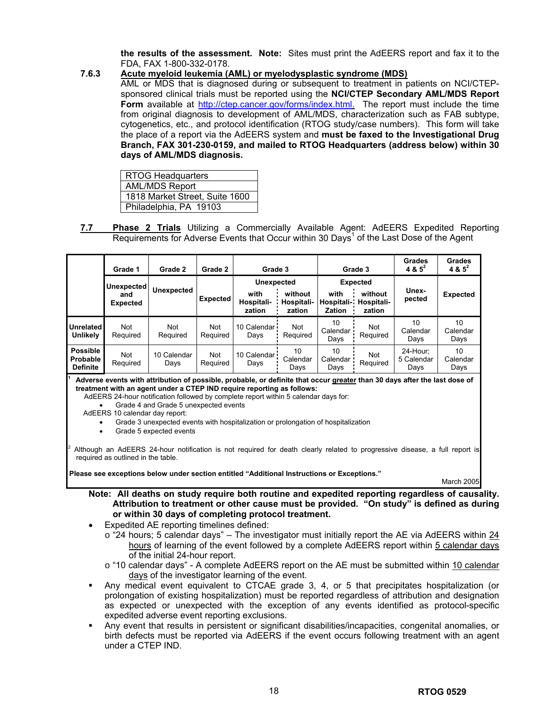**the results of the assessment. Note:** Sites must print the AdEERS report and fax it to the FDA, FAX 1-800-332-0178.

### **7.6.3 Acute myeloid leukemia (AML) or myelodysplastic syndrome (MDS)**

AML or MDS that is diagnosed during or subsequent to treatment in patients on NCI/CTEPsponsored clinical trials must be reported using the **NCI/CTEP Secondary AML/MDS Report Form** available at [http://ctep.cancer.gov/forms/index.html.](http://ctep.info.nih.gov/) The report must include the time from original diagnosis to development of AML/MDS, characterization such as FAB subtype, cytogenetics, etc., and protocol identification (RTOG study/case numbers). This form will take the place of a report via the AdEERS system and **must be faxed to the Investigational Drug Branch, FAX 301-230-0159, and mailed to RTOG Headquarters (address below) within 30 days of AML/MDS diagnosis.**

| <b>RTOG Headquarters</b>       |  |
|--------------------------------|--|
| <b>AML/MDS Report</b>          |  |
| 1818 Market Street, Suite 1600 |  |
| Philadelphia, PA 19103         |  |

**7.7 Phase 2 Trials** Utilizing a Commercially Available Agent: AdEERS Expedited Reporting Requirements for Adverse Events that Occur within 30 Days<sup>1</sup> of the Last Dose of the Agent

|                                                | Grade 1                              | Grade 2             | Grade 2                | Grade 3                                           |                                 | Grade 3                             |                                                    | Grades<br>$4 & 5^2$            | Grades<br>4 & $5^2$    |
|------------------------------------------------|--------------------------------------|---------------------|------------------------|---------------------------------------------------|---------------------------------|-------------------------------------|----------------------------------------------------|--------------------------------|------------------------|
|                                                | Unexpected<br>and<br><b>Expected</b> | <b>Unexpected</b>   | <b>Expected</b>        | <b>Unexpected</b><br>with<br>Hospitali-<br>zation | without<br>Hospitali-<br>zation | with<br>Hospitali-<br><b>Zation</b> | <b>Expected</b><br>without<br>Hospitali-<br>zation | Unex-<br>pected                | <b>Expected</b>        |
| <b>Unrelated</b><br>Unlikely                   | Not<br>Required                      | Not<br>Required     | <b>Not</b><br>Required | 10 Calendar<br>Days                               | <b>Not</b><br>Required          | 10<br>Calendar<br>Days              | Not<br>Required                                    | 10<br>Calendar<br>Days         | 10<br>Calendar<br>Days |
| <b>Possible</b><br>Probable<br><b>Definite</b> | Not<br>Required                      | 10 Calendar<br>Days | <b>Not</b><br>Required | 10 Calendar<br>Days                               | 10<br>Calendar<br>Days          | 10<br>Calendar<br>Days              | Not<br>Required                                    | 24-Hour:<br>5 Calendar<br>Days | 10<br>Calendar<br>Days |

**1 Adverse events with attribution of possible, probable, or definite that occur greater than 30 days after the last dose of treatment with an agent under a CTEP IND require reporting as follows:** 

AdEERS 24-hour notification followed by complete report within 5 calendar days for:

• Grade 4 and Grade 5 unexpected events

AdEERS 10 calendar day report:

• Grade 3 unexpected events with hospitalization or prolongation of hospitalization

Grade 5 expected events

2 Although an AdEERS 24-hour notification is not required for death clearly related to progressive disease, a full report is required as outlined in the table.

**Please see exceptions below under section entitled "Additional Instructions or Exceptions."** 

March 2005

**Note: All deaths on study require both routine and expedited reporting regardless of causality. Attribution to treatment or other cause must be provided. "On study" is defined as during or within 30 days of completing protocol treatment.** 

- Expedited AE reporting timelines defined:
	- $\circ$  "24 hours; 5 calendar days" The investigator must initially report the AE via AdEERS within 24 hours of learning of the event followed by a complete AdEERS report within 5 calendar days of the initial 24-hour report.
	- o "10 calendar days" A complete AdEERS report on the AE must be submitted within 10 calendar days of the investigator learning of the event.
- Any medical event equivalent to CTCAE grade 3, 4, or 5 that precipitates hospitalization (or prolongation of existing hospitalization) must be reported regardless of attribution and designation as expected or unexpected with the exception of any events identified as protocol-specific expedited adverse event reporting exclusions.
- Any event that results in persistent or significant disabilities/incapacities, congenital anomalies, or birth defects must be reported via AdEERS if the event occurs following treatment with an agent under a CTEP IND.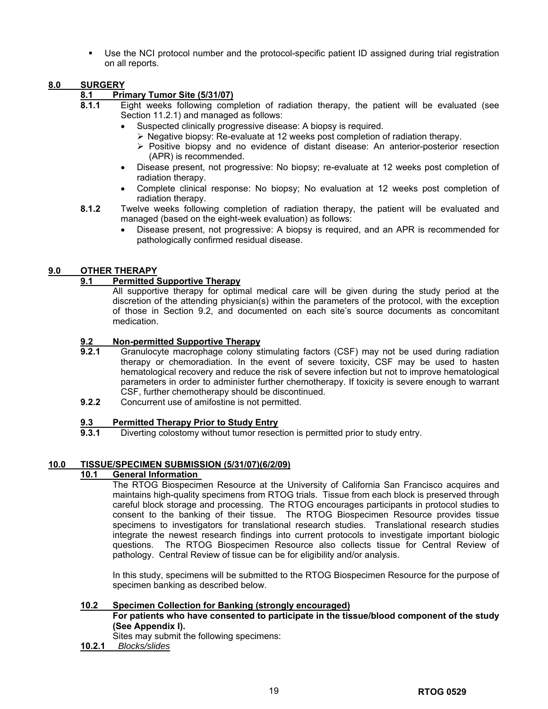Use the NCI protocol number and the protocol-specific patient ID assigned during trial registration on all reports.

## **8.0 SURGERY**

### **8.1 Primary Tumor Site (5/31/07)**

- **8.1.1** Eight weeks following completion of radiation therapy, the patient will be evaluated (see Section 11.2.1) and managed as follows:
	- Suspected clinically progressive disease: A biopsy is required.
		- $\triangleright$  Negative biopsy: Re-evaluate at 12 weeks post completion of radiation therapy.
		- $\triangleright$  Positive biopsy and no evidence of distant disease: An anterior-posterior resection (APR) is recommended.
	- Disease present, not progressive: No biopsy; re-evaluate at 12 weeks post completion of radiation therapy.
	- Complete clinical response: No biopsy; No evaluation at 12 weeks post completion of radiation therapy.
- **8.1.2** Twelve weeks following completion of radiation therapy, the patient will be evaluated and managed (based on the eight-week evaluation) as follows:
	- Disease present, not progressive: A biopsy is required, and an APR is recommended for pathologically confirmed residual disease.

## **9.0 OTHER THERAPY**

### **9.1 Permitted Supportive Therapy**

All supportive therapy for optimal medical care will be given during the study period at the discretion of the attending physician(s) within the parameters of the protocol, with the exception of those in Section 9.2, and documented on each site's source documents as concomitant medication.

### **9.2 Non-permitted Supportive Therapy**

- **9.2.1** Granulocyte macrophage colony stimulating factors (CSF) may not be used during radiation therapy or chemoradiation. In the event of severe toxicity, CSF may be used to hasten hematological recovery and reduce the risk of severe infection but not to improve hematological parameters in order to administer further chemotherapy. If toxicity is severe enough to warrant CSF, further chemotherapy should be discontinued.
- **9.2.2** Concurrent use of amifostine is not permitted.

### **9.3 Permitted Therapy Prior to Study Entry**

**9.3.1** Diverting colostomy without tumor resection is permitted prior to study entry.

### **10.0 TISSUE/SPECIMEN SUBMISSION (5/31/07)(6/2/09)**

### **10.1 General Information**

The RTOG Biospecimen Resource at the University of California San Francisco acquires and maintains high-quality specimens from RTOG trials. Tissue from each block is preserved through careful block storage and processing. The RTOG encourages participants in protocol studies to consent to the banking of their tissue. The RTOG Biospecimen Resource provides tissue specimens to investigators for translational research studies. Translational research studies integrate the newest research findings into current protocols to investigate important biologic questions. The RTOG Biospecimen Resource also collects tissue for Central Review of pathology. Central Review of tissue can be for eligibility and/or analysis.

In this study, specimens will be submitted to the RTOG Biospecimen Resource for the purpose of specimen banking as described below.

### **10.2 Specimen Collection for Banking (strongly encouraged)**

### **For patients who have consented to participate in the tissue/blood component of the study (See Appendix I).**

Sites may submit the following specimens:

**10.2.1** *Blocks/slides*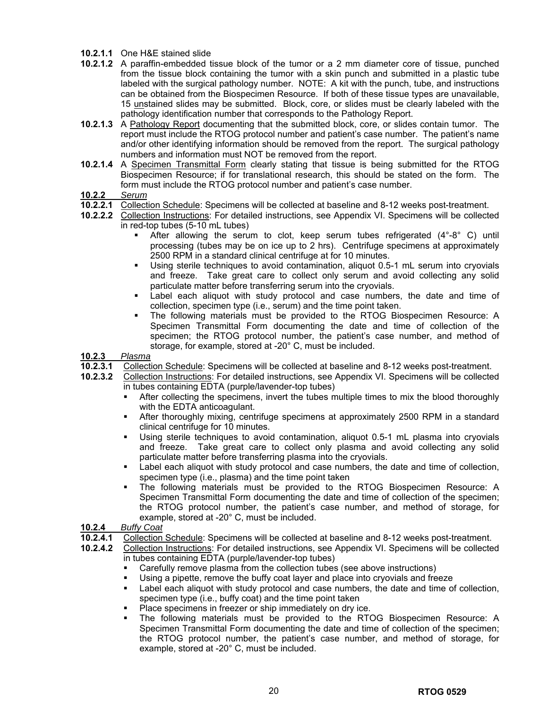### **10.2.1.1** One H&E stained slide

- **10.2.1.2** A paraffin-embedded tissue block of the tumor or a 2 mm diameter core of tissue, punched from the tissue block containing the tumor with a skin punch and submitted in a plastic tube labeled with the surgical pathology number. NOTE: A kit with the punch, tube, and instructions can be obtained from the Biospecimen Resource. If both of these tissue types are unavailable, 15 unstained slides may be submitted. Block, core, or slides must be clearly labeled with the pathology identification number that corresponds to the Pathology Report.
- **10.2.1.3** A Pathology Report documenting that the submitted block, core, or slides contain tumor. The report must include the RTOG protocol number and patient's case number. The patient's name and/or other identifying information should be removed from the report. The surgical pathology numbers and information must NOT be removed from the report.
- **10.2.1.4** A Specimen Transmittal Form clearly stating that tissue is being submitted for the RTOG Biospecimen Resource; if for translational research, this should be stated on the form. The form must include the RTOG protocol number and patient's case number.
- **10.2.2** *Serum*
- **10.2.2.1** Collection Schedule: Specimens will be collected at baseline and 8-12 weeks post-treatment.
- **10.2.2.2** Collection Instructions: For detailed instructions, see Appendix VI. Specimens will be collected in red-top tubes (5-10 mL tubes)
	- After allowing the serum to clot, keep serum tubes refrigerated (4°-8° C) until processing (tubes may be on ice up to 2 hrs). Centrifuge specimens at approximately 2500 RPM in a standard clinical centrifuge at for 10 minutes.
	- Using sterile techniques to avoid contamination, aliquot 0.5-1 mL serum into cryovials and freeze. Take great care to collect only serum and avoid collecting any solid particulate matter before transferring serum into the cryovials.
	- Label each aliquot with study protocol and case numbers, the date and time of collection, specimen type (i.e., serum) and the time point taken.
	- The following materials must be provided to the RTOG Biospecimen Resource: A Specimen Transmittal Form documenting the date and time of collection of the specimen; the RTOG protocol number, the patient's case number, and method of storage, for example, stored at -20° C, must be included.

**10.2.3** *Plasma*

- **10.2.3.1** Collection Schedule: Specimens will be collected at baseline and 8-12 weeks post-treatment.
- **10.2.3.2** Collection Instructions: For detailed instructions, see Appendix VI. Specimens will be collected in tubes containing EDTA (purple/lavender-top tubes)
	- After collecting the specimens, invert the tubes multiple times to mix the blood thoroughly with the EDTA anticoagulant.
	- After thoroughly mixing, centrifuge specimens at approximately 2500 RPM in a standard clinical centrifuge for 10 minutes.
	- Using sterile techniques to avoid contamination, aliquot 0.5-1 mL plasma into cryovials and freeze. Take great care to collect only plasma and avoid collecting any solid particulate matter before transferring plasma into the cryovials.
	- Label each aliquot with study protocol and case numbers, the date and time of collection, specimen type (i.e., plasma) and the time point taken
	- The following materials must be provided to the RTOG Biospecimen Resource: A Specimen Transmittal Form documenting the date and time of collection of the specimen; the RTOG protocol number, the patient's case number, and method of storage, for example, stored at -20° C, must be included.
- **10.2.4** *Buffy Coat*
- **10.2.4.1** Collection Schedule: Specimens will be collected at baseline and 8-12 weeks post-treatment.
- **10.2.4.2** Collection Instructions: For detailed instructions, see Appendix VI. Specimens will be collected in tubes containing EDTA (purple/lavender-top tubes)
	- Carefully remove plasma from the collection tubes (see above instructions)
	- Using a pipette, remove the buffy coat layer and place into cryovials and freeze
	- Label each aliquot with study protocol and case numbers, the date and time of collection, specimen type (i.e., buffy coat) and the time point taken
	- Place specimens in freezer or ship immediately on dry ice.
	- The following materials must be provided to the RTOG Biospecimen Resource: A Specimen Transmittal Form documenting the date and time of collection of the specimen; the RTOG protocol number, the patient's case number, and method of storage, for example, stored at -20° C, must be included.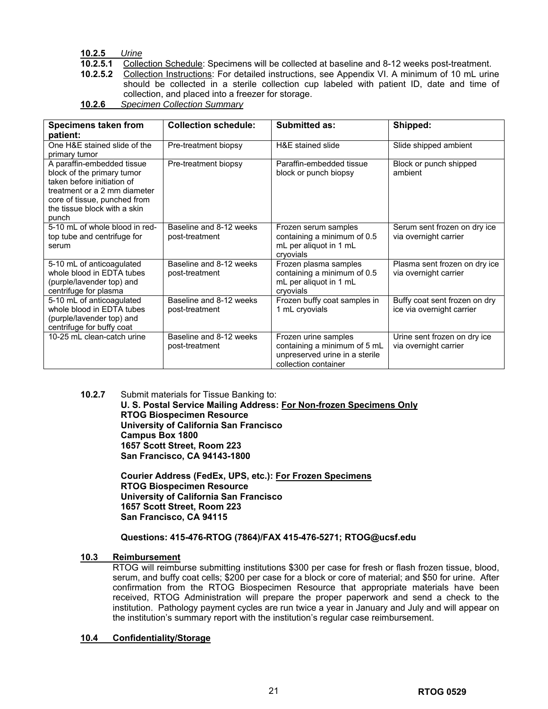## **10.2.5** *Urine*

- **10.2.5.1** Collection Schedule: Specimens will be collected at baseline and 8-12 weeks post-treatment.
- **10.2.5.2** Collection Instructions: For detailed instructions, see Appendix VI. A minimum of 10 mL urine should be collected in a sterile collection cup labeled with patient ID, date and time of collection, and placed into a freezer for storage.
- **10.2.6** *Specimen Collection Summary*

| <b>Specimens taken from</b><br>patient:                                                                                                                                                         | <b>Collection schedule:</b>               | <b>Submitted as:</b>                                                                                           | Shipped:                                                   |
|-------------------------------------------------------------------------------------------------------------------------------------------------------------------------------------------------|-------------------------------------------|----------------------------------------------------------------------------------------------------------------|------------------------------------------------------------|
| One H&E stained slide of the<br>primary tumor                                                                                                                                                   | Pre-treatment biopsy                      | H&E stained slide                                                                                              | Slide shipped ambient                                      |
| A paraffin-embedded tissue<br>block of the primary tumor<br>taken before initiation of<br>treatment or a 2 mm diameter<br>core of tissue, punched from<br>the tissue block with a skin<br>punch | Pre-treatment biopsy                      | Paraffin-embedded tissue<br>block or punch biopsy                                                              | Block or punch shipped<br>ambient                          |
| 5-10 mL of whole blood in red-<br>top tube and centrifuge for<br>serum                                                                                                                          | Baseline and 8-12 weeks<br>post-treatment | Frozen serum samples<br>containing a minimum of 0.5<br>mL per aliquot in 1 mL<br>cryovials                     | Serum sent frozen on dry ice<br>via overnight carrier      |
| 5-10 mL of anticoagulated<br>whole blood in EDTA tubes<br>(purple/lavender top) and<br>centrifuge for plasma                                                                                    | Baseline and 8-12 weeks<br>post-treatment | Frozen plasma samples<br>containing a minimum of 0.5<br>mL per aliquot in 1 mL<br>cryovials                    | Plasma sent frozen on dry ice<br>via overnight carrier     |
| 5-10 mL of anticoagulated<br>whole blood in EDTA tubes<br>(purple/lavender top) and<br>centrifuge for buffy coat                                                                                | Baseline and 8-12 weeks<br>post-treatment | Frozen buffy coat samples in<br>1 mL cryovials                                                                 | Buffy coat sent frozen on dry<br>ice via overnight carrier |
| 10-25 mL clean-catch urine                                                                                                                                                                      | Baseline and 8-12 weeks<br>post-treatment | Frozen urine samples<br>containing a minimum of 5 mL<br>unpreserved urine in a sterile<br>collection container | Urine sent frozen on dry ice<br>via overnight carrier      |

### **10.2.7** Submit materials for Tissue Banking to: **U. S. Postal Service Mailing Address: For Non-frozen Specimens Only RTOG Biospecimen Resource University of California San Francisco Campus Box 1800 1657 Scott Street, Room 223 San Francisco, CA 94143-1800**

**Courier Address (FedEx, UPS, etc.): For Frozen Specimens RTOG Biospecimen Resource University of California San Francisco 1657 Scott Street, Room 223 San Francisco, CA 94115**

## **Questions: 415-476-RTOG (7864)/FAX 415-476-5271; RTOG@ucsf.edu**

## **10.3 Reimbursement**

RTOG will reimburse submitting institutions \$300 per case for fresh or flash frozen tissue, blood, serum, and buffy coat cells; \$200 per case for a block or core of material; and \$50 for urine. After confirmation from the RTOG Biospecimen Resource that appropriate materials have been received, RTOG Administration will prepare the proper paperwork and send a check to the institution. Pathology payment cycles are run twice a year in January and July and will appear on the institution's summary report with the institution's regular case reimbursement.

## **10.4 Confidentiality/Storage**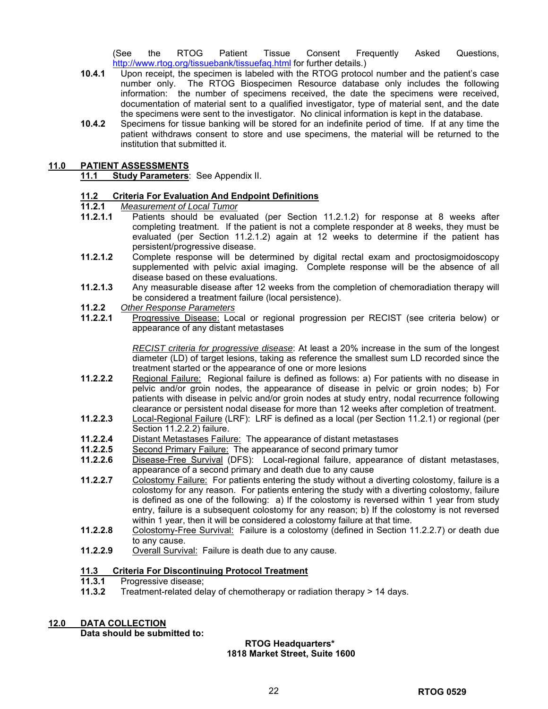(See the RTOG Patient Tissue Consent Frequently Asked Questions, <http://www.rtog.org/tissuebank/tissuefaq.html> for further details.)

- **10.4.1** Upon receipt, the specimen is labeled with the RTOG protocol number and the patient's case number only. The RTOG Biospecimen Resource database only includes the following information: the number of specimens received, the date the specimens were received, documentation of material sent to a qualified investigator, type of material sent, and the date the specimens were sent to the investigator. No clinical information is kept in the database.
- **10.4.2** Specimens for tissue banking will be stored for an indefinite period of time. If at any time the patient withdraws consent to store and use specimens, the material will be returned to the institution that submitted it.

## **11.0 PATIENT ASSESSMENTS**

**11.1 Study Parameters**: See Appendix II.

# **11.2 Criteria For Evaluation And Endpoint Definitions**

- **11.2.1** *Measurement of Local Tumor*
- Patients should be evaluated (per Section 11.2.1.2) for response at 8 weeks after completing treatment. If the patient is not a complete responder at 8 weeks, they must be evaluated (per Section 11.2.1.2) again at 12 weeks to determine if the patient has persistent/progressive disease.
- **11.2.1.2** Complete response will be determined by digital rectal exam and proctosigmoidoscopy supplemented with pelvic axial imaging. Complete response will be the absence of all disease based on these evaluations.
- **11.2.1.3** Any measurable disease after 12 weeks from the completion of chemoradiation therapy will be considered a treatment failure (local persistence).
- **11.2.2** *Other Response Parameters*
- **11.2.2.1** Progressive Disease: Local or regional progression per RECIST (see criteria below) or appearance of any distant metastases

*RECIST criteria for progressive disease*: At least a 20% increase in the sum of the longest diameter (LD) of target lesions, taking as reference the smallest sum LD recorded since the treatment started or the appearance of one or more lesions

- **11.2.2.2** Regional Failure: Regional failure is defined as follows: a) For patients with no disease in pelvic and/or groin nodes, the appearance of disease in pelvic or groin nodes; b) For patients with disease in pelvic and/or groin nodes at study entry, nodal recurrence following clearance or persistent nodal disease for more than 12 weeks after completion of treatment.
- **11.2.2.3** Local-Regional Failure (LRF): LRF is defined as a local (per Section 11.2.1) or regional (per Section 11.2.2.2) failure.
- **11.2.2.4** Distant Metastases Failure: The appearance of distant metastases
- **11.2.2.5** Second Primary Failure: The appearance of second primary tumor
- **11.2.2.6** Disease-Free Survival (DFS): Local-regional failure, appearance of distant metastases, appearance of a second primary and death due to any cause
- **11.2.2.7** Colostomy Failure: For patients entering the study without a diverting colostomy, failure is a colostomy for any reason. For patients entering the study with a diverting colostomy, failure is defined as one of the following: a) If the colostomy is reversed within 1 year from study entry, failure is a subsequent colostomy for any reason; b) If the colostomy is not reversed within 1 year, then it will be considered a colostomy failure at that time.
- **11.2.2.8** Colostomy-Free Survival: Failure is a colostomy (defined in Section 11.2.2.7) or death due to any cause.
- **11.2.2.9** Overall Survival: Failure is death due to any cause.

### **11.3 Criteria For Discontinuing Protocol Treatment**

- **11.3.1** Progressive disease;
- **11.3.2** Treatment-related delay of chemotherapy or radiation therapy > 14 days.

## **12.0 DATA COLLECTION**

**Data should be submitted to:** 

#### **RTOG Headquarters\* 1818 Market Street, Suite 1600**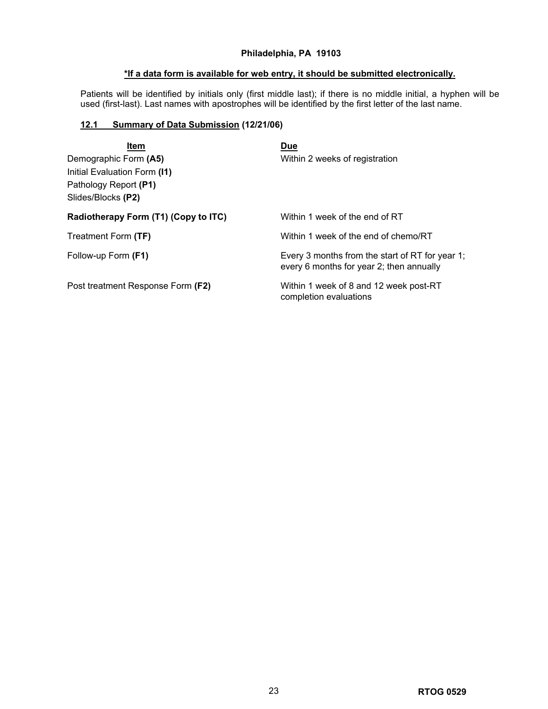## **Philadelphia, PA 19103**

## **\*If a data form is available for web entry, it should be submitted electronically.**

Patients will be identified by initials only (first middle last); if there is no middle initial, a hyphen will be used (first-last). Last names with apostrophes will be identified by the first letter of the last name.

## **12.1 Summary of Data Submission (12/21/06)**

| Item                                 | <b>Due</b>                                                                                  |
|--------------------------------------|---------------------------------------------------------------------------------------------|
| Demographic Form (A5)                | Within 2 weeks of registration                                                              |
| Initial Evaluation Form (I1)         |                                                                                             |
| Pathology Report (P1)                |                                                                                             |
| Slides/Blocks (P2)                   |                                                                                             |
| Radiotherapy Form (T1) (Copy to ITC) | Within 1 week of the end of RT                                                              |
| Treatment Form (TF)                  | Within 1 week of the end of chemo/RT                                                        |
| Follow-up Form (F1)                  | Every 3 months from the start of RT for year 1;<br>every 6 months for year 2; then annually |
| Post treatment Response Form (F2)    | Within 1 week of 8 and 12 week post-RT<br>completion evaluations                            |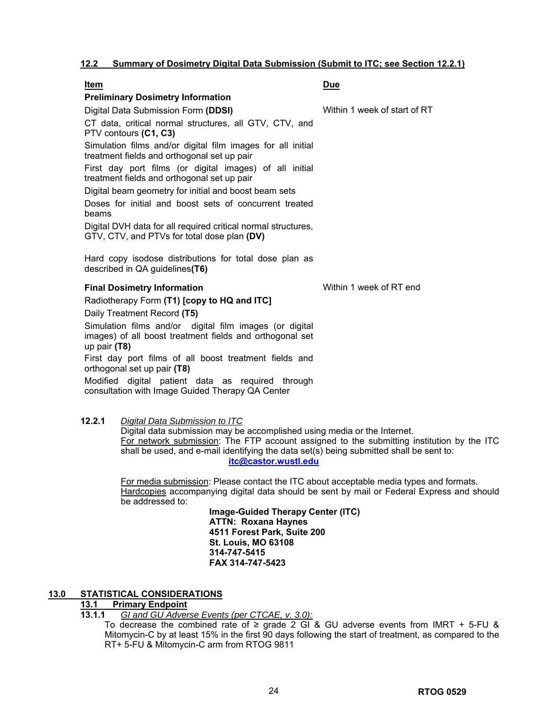## **12.2 Summary of Dosimetry Digital Data Submission (Submit to ITC; see Section 12.2.1)**

| <u>Item</u>                                                                                                                           | Due                          |
|---------------------------------------------------------------------------------------------------------------------------------------|------------------------------|
| <b>Preliminary Dosimetry Information</b>                                                                                              |                              |
| Digital Data Submission Form (DDSI)                                                                                                   | Within 1 week of start of RT |
| CT data, critical normal structures, all GTV, CTV, and<br>PTV contours (C1, C3)                                                       |                              |
| Simulation films and/or digital film images for all initial<br>treatment fields and orthogonal set up pair                            |                              |
| First day port films (or digital images) of all initial<br>treatment fields and orthogonal set up pair                                |                              |
| Digital beam geometry for initial and boost beam sets                                                                                 |                              |
| Doses for initial and boost sets of concurrent treated<br>beams                                                                       |                              |
| Digital DVH data for all required critical normal structures,<br>GTV, CTV, and PTVs for total dose plan (DV)                          |                              |
| Hard copy isodose distributions for total dose plan as<br>described in QA guidelines(T6)                                              |                              |
| <b>Final Dosimetry Information</b>                                                                                                    | Within 1 week of RT end      |
| Radiotherapy Form (T1) [copy to HQ and ITC]                                                                                           |                              |
| Daily Treatment Record (T5)                                                                                                           |                              |
| Simulation films and/or digital film images (or digital<br>images) of all boost treatment fields and orthogonal set<br>up pair $(T8)$ |                              |
| First day port films of all boost treatment fields and<br>orthogonal set up pair (T8)                                                 |                              |
| Modified digital patient data as required through<br>consultation with Image Guided Therapy QA Center                                 |                              |
|                                                                                                                                       |                              |

**12.2.1** *Digital Data Submission to ITC* Digital data submission may be accomplished using media or the Internet. For network submission: The FTP account assigned to the submitting institution by the ITC shall be used, and e-mail identifying the data set(s) being submitted shall be sent to: **[itc@castor.wustl.edu](https://mail.bmc.org/exchange/Lisa.Kachnic/Sent%20Items/RE:%20RTOG%200529%20amendment%20for%20your%20review.EML/Developing%20Protocols/0529%20(Kachnic)/Protocols%20&%20Amendments/Developing%20Drafts/itc@castor.wustl.edu)**

For media submission: Please contact the ITC about acceptable media types and formats. Hardcopies accompanying digital data should be sent by mail or Federal Express and should be addressed to:

**Image-Guided Therapy Center (ITC) ATTN: Roxana Haynes 4511 Forest Park, Suite 200 St. Louis, MO 63108 314-747-5415 FAX 314-747-5423** 

## **13.0 STATISTICAL CONSIDERATIONS**

### **13.1 Primary Endpoint**

**13.1.1** *GI and GU Adverse Events (per CTCAE, v. 3.0):*

To decrease the combined rate of  $\ge$  grade 2 GI & GU adverse events from IMRT + 5-FU & Mitomycin-C by at least 15% in the first 90 days following the start of treatment, as compared to the RT+ 5-FU & Mitomycin-C arm from RTOG 9811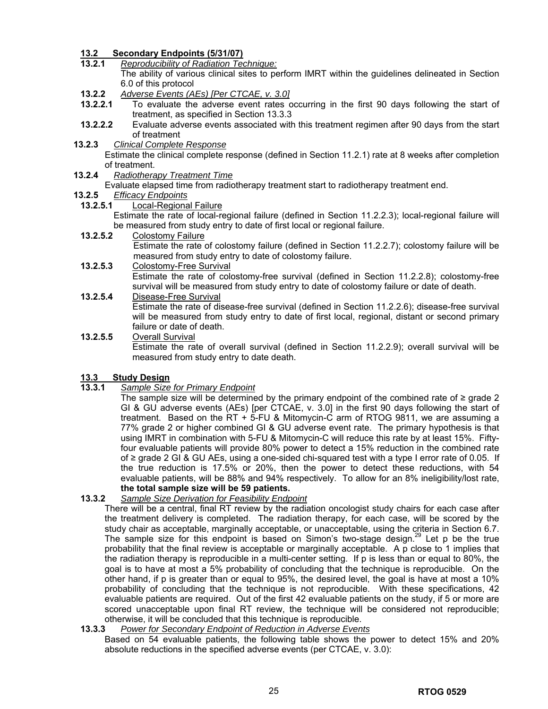## **13.2 Secondary Endpoints (5/31/07)**

- **13.2.1** *Reproducibility of Radiation Technique:* The ability of various clinical sites to perform IMRT within the guidelines delineated in Section 6.0 of this protocol
- **13.2.2** *Adverse Events (AEs) [Per CTCAE, v. 3.0]*
- **13.2.2.1** To evaluate the adverse event rates occurring in the first 90 days following the start of treatment, as specified in Section 13.3.3
- **13.2.2.2** Evaluate adverse events associated with this treatment regimen after 90 days from the start of treatment
- **13.2.3** *Clinical Complete Response* Estimate the clinical complete response (defined in Section 11.2.1) rate at 8 weeks after completion of treatment.
- **13.2.4** *Radiotherapy Treatment Time*
	- Evaluate elapsed time from radiotherapy treatment start to radiotherapy treatment end.
- **13.2.5** *Efficacy Endpoints*
- **13.2.5.1** Local-Regional Failure

Estimate the rate of local-regional failure (defined in Section 11.2.2.3); local-regional failure will be measured from study entry to date of first local or regional failure.

- **13.2.5.2** Colostomy Failure Estimate the rate of colostomy failure (defined in Section 11.2.2.7); colostomy failure will be measured from study entry to date of colostomy failure.
- **13.2.5.3** Colostomy-Free Survival Estimate the rate of colostomy-free survival (defined in Section 11.2.2.8); colostomy-free survival will be measured from study entry to date of colostomy failure or date of death.
- **13.2.5.4** Disease-Free Survival Estimate the rate of disease-free survival (defined in Section 11.2.2.6); disease-free survival will be measured from study entry to date of first local, regional, distant or second primary failure or date of death.
- **13.2.5.5** Overall Survival Estimate the rate of overall survival (defined in Section 11.2.2.9); overall survival will be measured from study entry to date death.

## **13.3 Study Design**

## **13.3.1** *Sample Size for Primary Endpoint*

The sample size will be determined by the primary endpoint of the combined rate of  $\geq$  grade 2 GI & GU adverse events (AEs) [per CTCAE, v. 3.0] in the first 90 days following the start of treatment. Based on the RT + 5-FU & Mitomycin-C arm of RTOG 9811, we are assuming a 77% grade 2 or higher combined GI & GU adverse event rate. The primary hypothesis is that using IMRT in combination with 5-FU & Mitomycin-C will reduce this rate by at least 15%. Fiftyfour evaluable patients will provide 80% power to detect a 15% reduction in the combined rate of ≥ grade 2 GI & GU AEs, using a one-sided chi-squared test with a type I error rate of 0.05. If the true reduction is 17.5% or 20%, then the power to detect these reductions, with 54 evaluable patients, will be 88% and 94% respectively. To allow for an 8% ineligibility/lost rate, **the total sample size will be 59 patients.** 

## **13.3.2** *Sample Size Derivation for Feasibility Endpoint*

- There will be a central, final RT review by the radiation oncologist study chairs for each case after the treatment delivery is completed. The radiation therapy, for each case, will be scored by the study chair as acceptable, marginally acceptable, or unacceptable, using the criteria in Section 6.7. The sample size for this endpoint is based on Simon's two-stage design.<sup>29</sup> Let p be the true probability that the final review is acceptable or marginally acceptable. A p close to 1 implies that the radiation therapy is reproducible in a multi-center setting. If p is less than or equal to 80%, the goal is to have at most a 5% probability of concluding that the technique is reproducible. On the other hand, if p is greater than or equal to 95%, the desired level, the goal is have at most a 10% probability of concluding that the technique is not reproducible. With these specifications, 42 evaluable patients are required. Out of the first 42 evaluable patients on the study, if 5 or more are scored unacceptable upon final RT review, the technique will be considered not reproducible; otherwise, it will be concluded that this technique is reproducible.
- **13.3.3** *Power for Secondary Endpoint of Reduction in Adverse Events*

Based on 54 evaluable patients, the following table shows the power to detect 15% and 20% absolute reductions in the specified adverse events (per CTCAE, v. 3.0):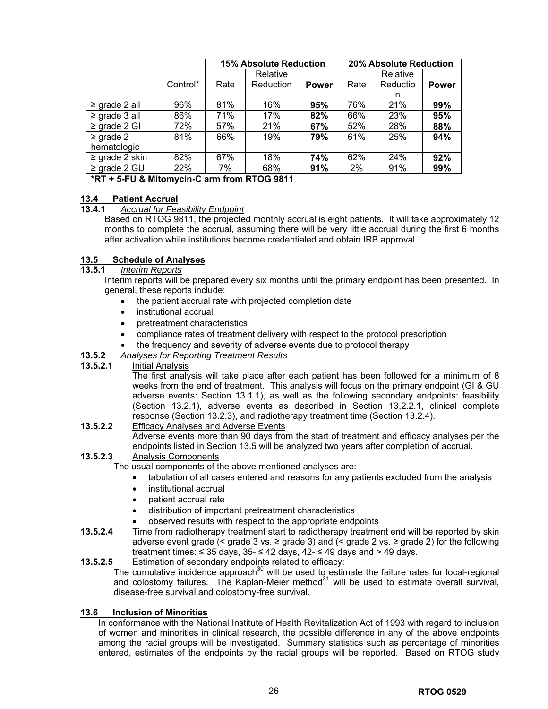|                    |          | <b>15% Absolute Reduction</b> |           |              | <b>20% Absolute Reduction</b> |          |              |
|--------------------|----------|-------------------------------|-----------|--------------|-------------------------------|----------|--------------|
|                    |          |                               | Relative  |              |                               | Relative |              |
|                    | Control* | Rate                          | Reduction | <b>Power</b> | Rate                          | Reductio | <b>Power</b> |
|                    |          |                               |           |              |                               | n        |              |
| $\ge$ grade 2 all  | 96%      | 81%                           | 16%       | 95%          | 76%                           | 21%      | 99%          |
| $\ge$ grade 3 all  | 86%      | 71%                           | 17%       | 82%          | 66%                           | 23%      | 95%          |
| $\geq$ grade 2 GI  | 72%      | 57%                           | 21%       | 67%          | 52%                           | 28%      | 88%          |
| $\geq$ grade 2     | 81%      | 66%                           | 19%       | 79%          | 61%                           | 25%      | 94%          |
| hematologic        |          |                               |           |              |                               |          |              |
| $\ge$ grade 2 skin | 82%      | 67%                           | 18%       | 74%          | 62%                           | 24%      | 92%          |
| $\ge$ grade 2 GU   | 22%      | 7%                            | 68%       | 91%          | 2%                            | 91%      | 99%          |

**\*RT + 5-FU & Mitomycin-C arm from RTOG 9811** 

## **13.4 Patient Accrual**

### **13.4.1** *Accrual for Feasibility Endpoint*

Based on RTOG 9811, the projected monthly accrual is eight patients. It will take approximately 12 months to complete the accrual, assuming there will be very little accrual during the first 6 months after activation while institutions become credentialed and obtain IRB approval.

# **13.5 Schedule of Analyses**

### **13.5.1** *Interim Reports*

Interim reports will be prepared every six months until the primary endpoint has been presented. In general, these reports include:

- the patient accrual rate with projected completion date
- institutional accrual
- pretreatment characteristics
- compliance rates of treatment delivery with respect to the protocol prescription
- the frequency and severity of adverse events due to protocol therapy
- **13.5.2** *Analyses for Reporting Treatment Results*
- **13.5.2.1** Initial Analysis

The first analysis will take place after each patient has been followed for a minimum of 8 weeks from the end of treatment. This analysis will focus on the primary endpoint (GI & GU adverse events: Section 13.1.1), as well as the following secondary endpoints: feasibility (Section 13.2.1), adverse events as described in Section 13.2.2.1, clinical complete response (Section 13.2.3), and radiotherapy treatment time (Section 13.2.4).

**13.5.2.2** Efficacy Analyses and Adverse Events

Adverse events more than 90 days from the start of treatment and efficacy analyses per the endpoints listed in Section 13.5 will be analyzed two years after completion of accrual.

### **13.5.2.3** Analysis Components

The usual components of the above mentioned analyses are:

- tabulation of all cases entered and reasons for any patients excluded from the analysis
- institutional accrual
- patient accrual rate
- distribution of important pretreatment characteristics
- observed results with respect to the appropriate endpoints
- **13.5.2.4** Time from radiotherapy treatment start to radiotherapy treatment end will be reported by skin adverse event grade (< grade 3 vs.  $\ge$  grade 3) and (< grade 2 vs.  $\ge$  grade 2) for the following treatment times:  $\leq$  35 days, 35-  $\leq$  42 days, 42-  $\leq$  49 days and > 49 days.
- **13.5.2.5** Estimation of secondary endpoints related to efficacy: The cumulative incidence approach<sup>30</sup> will be used to estimate the failure rates for local-regional and colostomy failures. The Kaplan-Meier method $31$  will be used to estimate overall survival, disease-free survival and colostomy-free survival.

## **13.6 Inclusion of Minorities**

In conformance with the National Institute of Health Revitalization Act of 1993 with regard to inclusion of women and minorities in clinical research, the possible difference in any of the above endpoints among the racial groups will be investigated. Summary statistics such as percentage of minorities entered, estimates of the endpoints by the racial groups will be reported. Based on RTOG study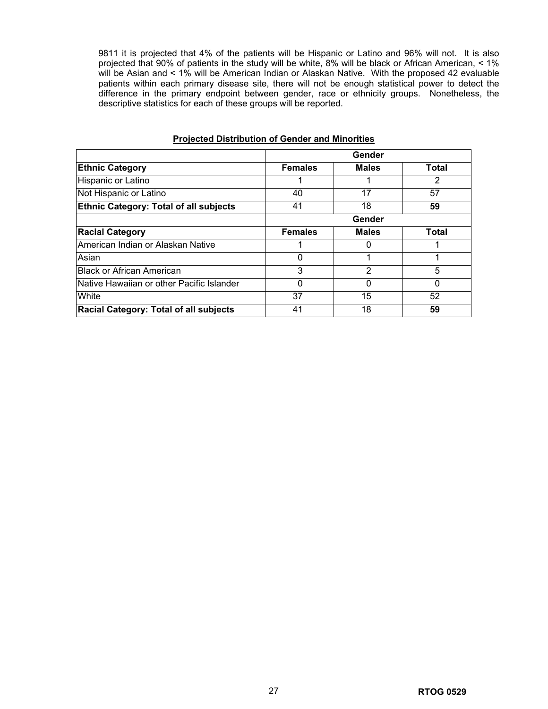9811 it is projected that 4% of the patients will be Hispanic or Latino and 96% will not. It is also projected that 90% of patients in the study will be white, 8% will be black or African American, < 1% will be Asian and < 1% will be American Indian or Alaskan Native. With the proposed 42 evaluable patients within each primary disease site, there will not be enough statistical power to detect the difference in the primary endpoint between gender, race or ethnicity groups. Nonetheless, the descriptive statistics for each of these groups will be reported.

|                                               |                | Gender       |              |
|-----------------------------------------------|----------------|--------------|--------------|
| <b>Ethnic Category</b>                        | <b>Females</b> | <b>Males</b> | <b>Total</b> |
| Hispanic or Latino                            |                |              | 2            |
| Not Hispanic or Latino                        | 40             | 17           | 57           |
| <b>Ethnic Category: Total of all subjects</b> | 41             | 18           | 59           |
|                                               |                | Gender       |              |
| <b>Racial Category</b>                        | <b>Females</b> | <b>Males</b> | Total        |
| American Indian or Alaskan Native             |                |              |              |
| Asian                                         | 0              |              |              |
| <b>Black or African American</b>              | 3              | 2            | 5            |
| INative Hawaiian or other Pacific Islander    | $\Omega$       |              | 0            |
| White                                         | 37             | 15           | 52           |
| Racial Category: Total of all subjects        | 41             | 18           | 59           |

### **Projected Distribution of Gender and Minorities**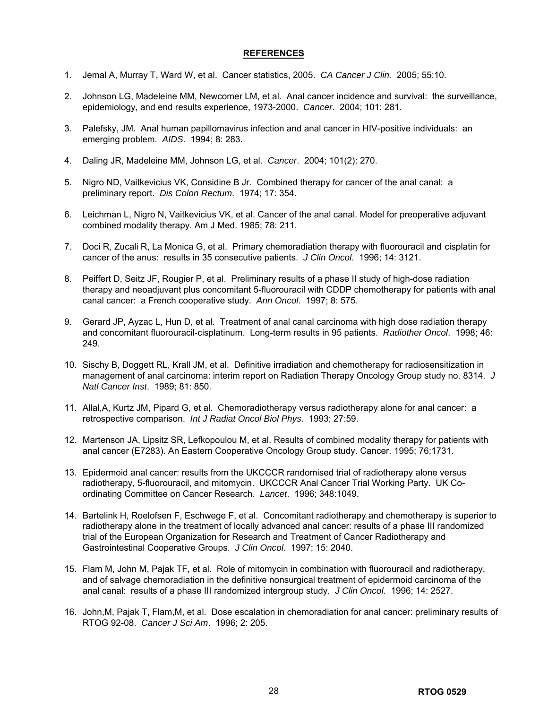### **REFERENCES**

- 1. Jemal A, Murray T, Ward W, et al. Cancer statistics, 2005. *CA Cancer J Clin.* 2005; 55:10.
- 2. Johnson LG, Madeleine MM, Newcomer LM, et al. Anal cancer incidence and survival: the surveillance, epidemiology, and end results experience, 1973-2000. *Cancer*. 2004; 101: 281.
- 3. Palefsky, JM. Anal human papillomavirus infection and anal cancer in HIV-positive individuals: an emerging problem. *AIDS*. 1994; 8: 283.
- 4. Daling JR, Madeleine MM, Johnson LG, et al. *Cancer*. 2004; 101(2): 270.
- 5. Nigro ND, Vaitkevicius VK, Considine B Jr. Combined therapy for cancer of the anal canal: a preliminary report. *Dis Colon Rectum*. 1974; 17: 354.
- 6. Leichman L, Nigro N, Vaitkevicius VK, et al. Cancer of the anal canal. Model for preoperative adjuvant combined modality therapy. Am J Med. 1985; 78: 211.
- 7. Doci R, Zucali R, La Monica G, et al. Primary chemoradiation therapy with fluorouracil and cisplatin for cancer of the anus: results in 35 consecutive patients. *J Clin Oncol*. 1996; 14: 3121.
- 8. Peiffert D, Seitz JF, Rougier P, et al. Preliminary results of a phase II study of high-dose radiation therapy and neoadjuvant plus concomitant 5-fluorouracil with CDDP chemotherapy for patients with anal canal cancer: a French cooperative study. *Ann Oncol*. 1997; 8: 575.
- 9. Gerard JP, Ayzac L, Hun D, et al. Treatment of anal canal carcinoma with high dose radiation therapy and concomitant fluorouracil-cisplatinum. Long-term results in 95 patients. *Radiother Oncol*. 1998; 46: 249.
- 10. Sischy B, Doggett RL, Krall JM, et al. Definitive irradiation and chemotherapy for radiosensitization in management of anal carcinoma: interim report on Radiation Therapy Oncology Group study no. 8314. *J Natl Cancer Inst*. 1989; 81: 850.
- 11. Allal,A, Kurtz JM, Pipard G, et al. Chemoradiotherapy versus radiotherapy alone for anal cancer: a retrospective comparison. *Int J Radiat Oncol Biol Phys*. 1993; 27:59.
- 12. Martenson JA, Lipsitz SR, Lefkopoulou M, et al. Results of combined modality therapy for patients with anal cancer (E7283). An Eastern Cooperative Oncology Group study. Cancer. 1995; 76:1731.
- 13. Epidermoid anal cancer: results from the UKCCCR randomised trial of radiotherapy alone versus radiotherapy, 5-fluorouracil, and mitomycin. UKCCCR Anal Cancer Trial Working Party. UK Coordinating Committee on Cancer Research. *Lancet*. 1996; 348:1049.
- 14. Bartelink H, Roelofsen F, Eschwege F, et al. Concomitant radiotherapy and chemotherapy is superior to radiotherapy alone in the treatment of locally advanced anal cancer: results of a phase III randomized trial of the European Organization for Research and Treatment of Cancer Radiotherapy and Gastrointestinal Cooperative Groups. *J Clin Oncol*. 1997; 15: 2040.
- 15. Flam M, John M, Pajak TF, et al. Role of mitomycin in combination with fluorouracil and radiotherapy, and of salvage chemoradiation in the definitive nonsurgical treatment of epidermoid carcinoma of the anal canal: results of a phase III randomized intergroup study. *J Clin Oncol.* 1996; 14: 2527.
- 16. John,M, Pajak T, Flam,M, et al. Dose escalation in chemoradiation for anal cancer: preliminary results of RTOG 92-08. *Cancer J Sci Am*. 1996; 2: 205.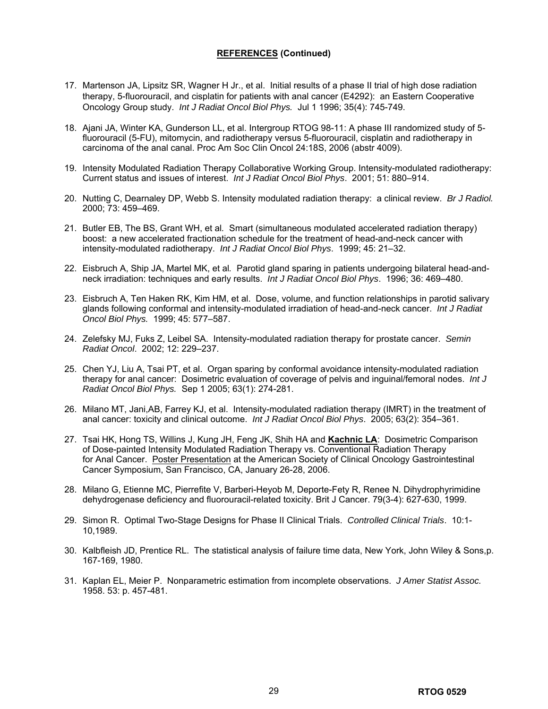## **REFERENCES (Continued)**

- 17. Martenson JA, Lipsitz SR, Wagner H Jr., et al. Initial results of a phase II trial of high dose radiation therapy, 5-fluorouracil, and cisplatin for patients with anal cancer (E4292): an Eastern Cooperative Oncology Group study. *Int J Radiat Oncol Biol Phys.* Jul 1 1996; 35(4): 745-749.
- 18. Ajani JA, Winter KA, Gunderson LL, et al. Intergroup RTOG 98-11: A phase III randomized study of 5 fluorouracil (5-FU), mitomycin, and radiotherapy versus 5-fluorouracil, cisplatin and radiotherapy in carcinoma of the anal canal. Proc Am Soc Clin Oncol 24:18S, 2006 (abstr 4009).
- 19. Intensity Modulated Radiation Therapy Collaborative Working Group. Intensity-modulated radiotherapy: Current status and issues of interest. *Int J Radiat Oncol Biol Phys*. 2001; 51: 880–914.
- 20. Nutting C, Dearnaley DP, Webb S. Intensity modulated radiation therapy: a clinical review. *Br J Radiol.*  2000; 73: 459–469.
- 21. Butler EB, The BS, Grant WH, et al*.* Smart (simultaneous modulated accelerated radiation therapy) boost: a new accelerated fractionation schedule for the treatment of head-and-neck cancer with intensity-modulated radiotherapy. *Int J Radiat Oncol Biol Phys*.1999; 45: 21–32.
- 22. Eisbruch A, Ship JA, Martel MK, et al*.* Parotid gland sparing in patients undergoing bilateral head-andneck irradiation: techniques and early results. *Int J Radiat Oncol Biol Phys*.1996; 36: 469–480.
- 23. Eisbruch A, Ten Haken RK, Kim HM, et al. Dose, volume, and function relationships in parotid salivary glands following conformal and intensity-modulated irradiation of head-and-neck cancer. *Int J Radiat Oncol Biol Phys.* 1999; 45: 577–587.
- 24. Zelefsky MJ, Fuks Z, Leibel SA. Intensity-modulated radiation therapy for prostate cancer. *Semin Radiat Oncol*. 2002; 12: 229–237.
- 25. Chen YJ, Liu A, Tsai PT, et al. Organ sparing by conformal avoidance intensity-modulated radiation therapy for anal cancer: Dosimetric evaluation of coverage of pelvis and inguinal/femoral nodes. *Int J Radiat Oncol Biol Phys.* Sep 1 2005; 63(1): 274-281.
- 26. Milano MT, Jani,AB, Farrey KJ, et al. Intensity-modulated radiation therapy (IMRT) in the treatment of anal cancer: toxicity and clinical outcome. *Int J Radiat Oncol Biol Phys*. 2005; 63(2): 354–361.
- 27. Tsai HK, Hong TS, Willins J, Kung JH, Feng JK, Shih HA and **Kachnic LA**: Dosimetric Comparison of Dose-painted Intensity Modulated Radiation Therapy vs. Conventional Radiation Therapy for Anal Cancer. Poster Presentation at the American Society of Clinical Oncology Gastrointestinal Cancer Symposium, San Francisco, CA, January 26-28, 2006.
- 28. Milano G, Etienne MC, Pierrefite V, Barberi-Heyob M, Deporte-Fety R, Renee N. Dihydrophyrimidine dehydrogenase deficiency and fluorouracil-related toxicity. Brit J Cancer. 79(3-4): 627-630, 1999.
- 29. Simon R. Optimal Two-Stage Designs for Phase II Clinical Trials. *Controlled Clinical Trials*. 10:1- 10,1989.
- 30. Kalbfleish JD, Prentice RL. The statistical analysis of failure time data, New York, John Wiley & Sons,p. 167-169, 1980.
- 31. Kaplan EL, Meier P. Nonparametric estimation from incomplete observations. *J Amer Statist Assoc.* 1958. 53: p. 457-481.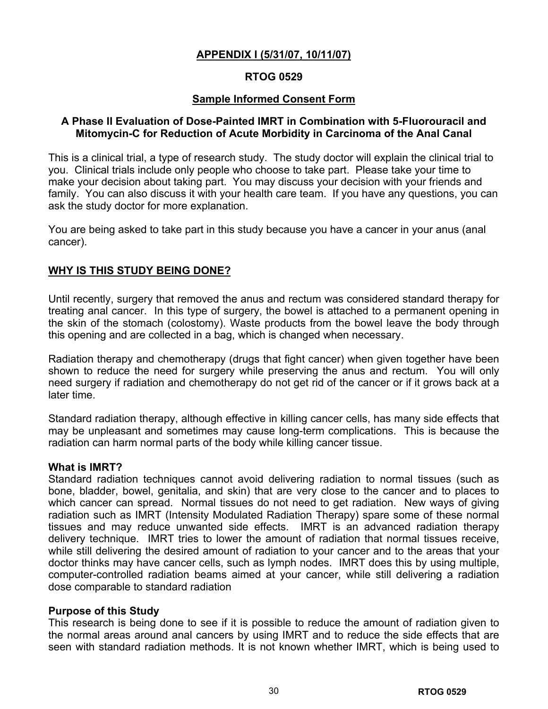# **APPENDIX I (5/31/07, 10/11/07)**

# **RTOG 0529**

# **Sample Informed Consent Form**

# **A Phase II Evaluation of Dose-Painted IMRT in Combination with 5-Fluorouracil and Mitomycin-C for Reduction of Acute Morbidity in Carcinoma of the Anal Canal**

This is a clinical trial, a type of research study. The study doctor will explain the clinical trial to you. Clinical trials include only people who choose to take part. Please take your time to make your decision about taking part. You may discuss your decision with your friends and family. You can also discuss it with your health care team. If you have any questions, you can ask the study doctor for more explanation.

You are being asked to take part in this study because you have a cancer in your anus (anal cancer).

# **WHY IS THIS STUDY BEING DONE?**

Until recently, surgery that removed the anus and rectum was considered standard therapy for treating anal cancer. In this type of surgery, the bowel is attached to a permanent opening in the skin of the stomach (colostomy). Waste products from the bowel leave the body through this opening and are collected in a bag, which is changed when necessary.

Radiation therapy and chemotherapy (drugs that fight cancer) when given together have been shown to reduce the need for surgery while preserving the anus and rectum. You will only need surgery if radiation and chemotherapy do not get rid of the cancer or if it grows back at a later time.

Standard radiation therapy, although effective in killing cancer cells, has many side effects that may be unpleasant and sometimes may cause long-term complications. This is because the radiation can harm normal parts of the body while killing cancer tissue.

## **What is IMRT?**

Standard radiation techniques cannot avoid delivering radiation to normal tissues (such as bone, bladder, bowel, genitalia, and skin) that are very close to the cancer and to places to which cancer can spread. Normal tissues do not need to get radiation. New ways of giving radiation such as IMRT (Intensity Modulated Radiation Therapy) spare some of these normal tissues and may reduce unwanted side effects. IMRT is an advanced radiation therapy delivery technique. IMRT tries to lower the amount of radiation that normal tissues receive, while still delivering the desired amount of radiation to your cancer and to the areas that your doctor thinks may have cancer cells, such as lymph nodes. IMRT does this by using multiple, computer-controlled radiation beams aimed at your cancer, while still delivering a radiation dose comparable to standard radiation

## **Purpose of this Study**

This research is being done to see if it is possible to reduce the amount of radiation given to the normal areas around anal cancers by using IMRT and to reduce the side effects that are seen with standard radiation methods. It is not known whether IMRT, which is being used to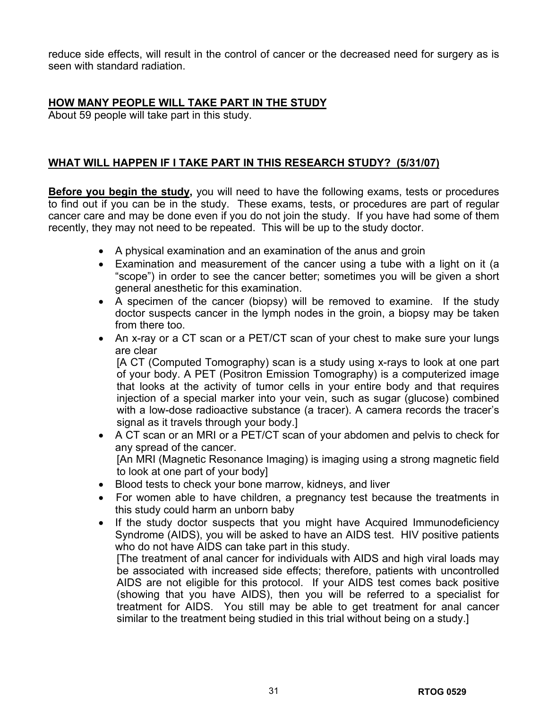reduce side effects, will result in the control of cancer or the decreased need for surgery as is seen with standard radiation.

# **HOW MANY PEOPLE WILL TAKE PART IN THE STUDY**

About 59 people will take part in this study.

# **WHAT WILL HAPPEN IF I TAKE PART IN THIS RESEARCH STUDY? (5/31/07)**

**Before you begin the study,** you will need to have the following exams, tests or procedures to find out if you can be in the study. These exams, tests, or procedures are part of regular cancer care and may be done even if you do not join the study. If you have had some of them recently, they may not need to be repeated. This will be up to the study doctor.

- A physical examination and an examination of the anus and groin
- Examination and measurement of the cancer using a tube with a light on it (a "scope") in order to see the cancer better; sometimes you will be given a short general anesthetic for this examination.
- A specimen of the cancer (biopsy) will be removed to examine. If the study doctor suspects cancer in the lymph nodes in the groin, a biopsy may be taken from there too.
- An x-ray or a CT scan or a PET/CT scan of your chest to make sure your lungs are clear

[A CT (Computed Tomography) scan is a study using x-rays to look at one part of your body. A PET (Positron Emission Tomography) is a computerized image that looks at the activity of tumor cells in your entire body and that requires injection of a special marker into your vein, such as sugar (glucose) combined with a low-dose radioactive substance (a tracer). A camera records the tracer's signal as it travels through your body.]

- A CT scan or an MRI or a PET/CT scan of your abdomen and pelvis to check for any spread of the cancer. [An MRI (Magnetic Resonance Imaging) is imaging using a strong magnetic field to look at one part of your body]
- Blood tests to check your bone marrow, kidneys, and liver
- For women able to have children, a pregnancy test because the treatments in this study could harm an unborn baby
- If the study doctor suspects that you might have Acquired Immunodeficiency Syndrome (AIDS), you will be asked to have an AIDS test. HIV positive patients who do not have AIDS can take part in this study.

[The treatment of anal cancer for individuals with AIDS and high viral loads may be associated with increased side effects; therefore, patients with uncontrolled AIDS are not eligible for this protocol. If your AIDS test comes back positive (showing that you have AIDS), then you will be referred to a specialist for treatment for AIDS. You still may be able to get treatment for anal cancer similar to the treatment being studied in this trial without being on a study.]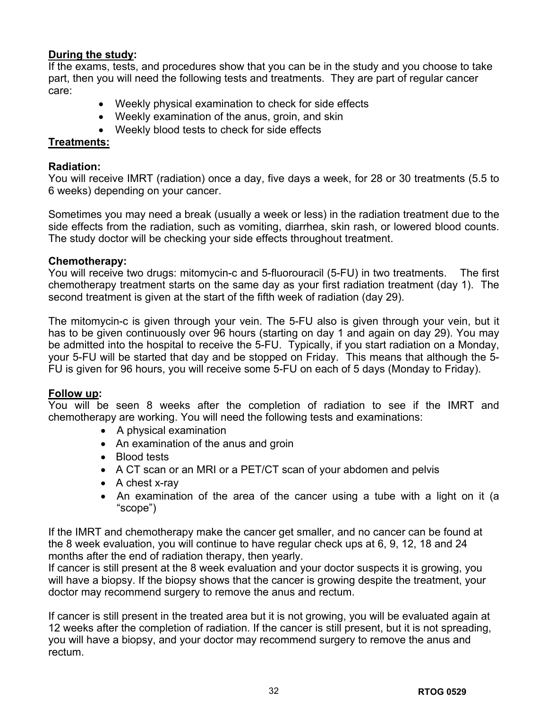# **During the study:**

If the exams, tests, and procedures show that you can be in the study and you choose to take part, then you will need the following tests and treatments. They are part of regular cancer care:

- Weekly physical examination to check for side effects
- Weekly examination of the anus, groin, and skin
- Weekly blood tests to check for side effects

# **Treatments:**

# **Radiation:**

You will receive IMRT (radiation) once a day, five days a week, for 28 or 30 treatments (5.5 to 6 weeks) depending on your cancer.

Sometimes you may need a break (usually a week or less) in the radiation treatment due to the side effects from the radiation, such as vomiting, diarrhea, skin rash, or lowered blood counts. The study doctor will be checking your side effects throughout treatment.

# **Chemotherapy:**

You will receive two drugs: mitomycin-c and 5-fluorouracil (5-FU) in two treatments. The first chemotherapy treatment starts on the same day as your first radiation treatment (day 1). The second treatment is given at the start of the fifth week of radiation (day 29).

The mitomycin-c is given through your vein. The 5-FU also is given through your vein, but it has to be given continuously over 96 hours (starting on day 1 and again on day 29). You may be admitted into the hospital to receive the 5-FU. Typically, if you start radiation on a Monday, your 5-FU will be started that day and be stopped on Friday. This means that although the 5- FU is given for 96 hours, you will receive some 5-FU on each of 5 days (Monday to Friday).

# **Follow up:**

You will be seen 8 weeks after the completion of radiation to see if the IMRT and chemotherapy are working. You will need the following tests and examinations:

- A physical examination
- An examination of the anus and groin
- Blood tests
- A CT scan or an MRI or a PET/CT scan of your abdomen and pelvis
- A chest x-ray
- An examination of the area of the cancer using a tube with a light on it (a "scope")

If the IMRT and chemotherapy make the cancer get smaller, and no cancer can be found at the 8 week evaluation, you will continue to have regular check ups at 6, 9, 12, 18 and 24 months after the end of radiation therapy, then yearly.

If cancer is still present at the 8 week evaluation and your doctor suspects it is growing, you will have a biopsy. If the biopsy shows that the cancer is growing despite the treatment, your doctor may recommend surgery to remove the anus and rectum.

If cancer is still present in the treated area but it is not growing, you will be evaluated again at 12 weeks after the completion of radiation. If the cancer is still present, but it is not spreading, you will have a biopsy, and your doctor may recommend surgery to remove the anus and rectum.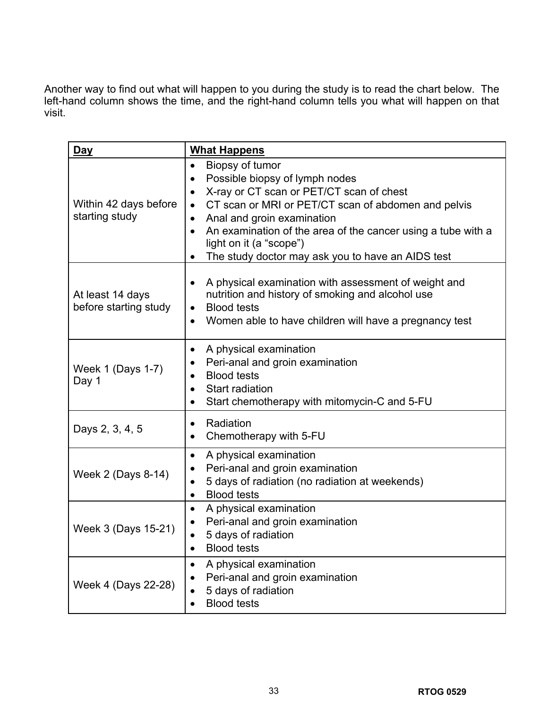Another way to find out what will happen to you during the study is to read the chart below. The left-hand column shows the time, and the right-hand column tells you what will happen on that visit.

| Day                                       | <b>What Happens</b>                                                                                                                                                                                                                                                                                                                                                                                                   |
|-------------------------------------------|-----------------------------------------------------------------------------------------------------------------------------------------------------------------------------------------------------------------------------------------------------------------------------------------------------------------------------------------------------------------------------------------------------------------------|
| Within 42 days before<br>starting study   | Biopsy of tumor<br>$\bullet$<br>Possible biopsy of lymph nodes<br>$\bullet$<br>X-ray or CT scan or PET/CT scan of chest<br>$\bullet$<br>CT scan or MRI or PET/CT scan of abdomen and pelvis<br>$\bullet$<br>Anal and groin examination<br>$\bullet$<br>An examination of the area of the cancer using a tube with a<br>$\bullet$<br>light on it (a "scope")<br>The study doctor may ask you to have an AIDS test<br>٠ |
| At least 14 days<br>before starting study | A physical examination with assessment of weight and<br>$\bullet$<br>nutrition and history of smoking and alcohol use<br><b>Blood tests</b><br>٠<br>Women able to have children will have a pregnancy test<br>٠                                                                                                                                                                                                       |
| Week 1 (Days 1-7)<br>Day 1                | A physical examination<br>٠<br>Peri-anal and groin examination<br>٠<br><b>Blood tests</b><br>$\bullet$<br><b>Start radiation</b><br>$\bullet$<br>Start chemotherapy with mitomycin-C and 5-FU<br>٠                                                                                                                                                                                                                    |
| Days 2, 3, 4, 5                           | Radiation<br>٠<br>Chemotherapy with 5-FU<br>٠                                                                                                                                                                                                                                                                                                                                                                         |
| Week 2 (Days 8-14)                        | A physical examination<br>$\bullet$<br>Peri-anal and groin examination<br>٠<br>5 days of radiation (no radiation at weekends)<br>٠<br><b>Blood tests</b><br>$\bullet$                                                                                                                                                                                                                                                 |
| Week 3 (Days 15-21)                       | A physical examination<br>$\bullet$<br>Peri-anal and groin examination<br>5 days of radiation<br><b>Blood tests</b><br>٠                                                                                                                                                                                                                                                                                              |
| Week 4 (Days 22-28)                       | A physical examination<br>Peri-anal and groin examination<br>5 days of radiation<br><b>Blood tests</b>                                                                                                                                                                                                                                                                                                                |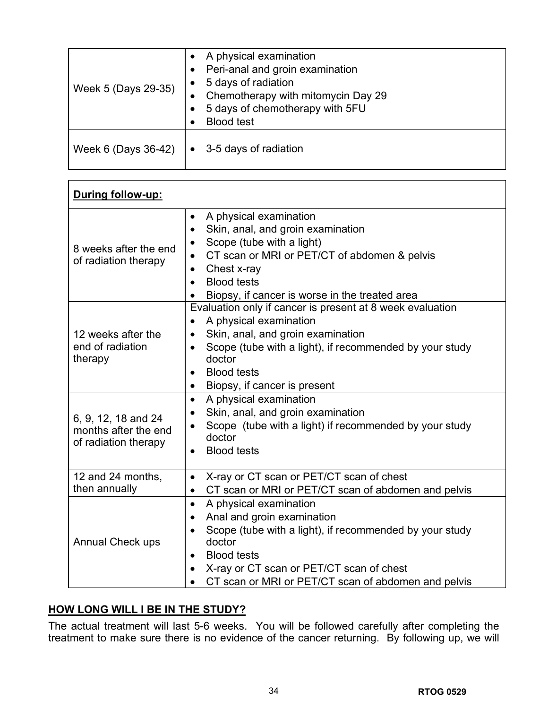| Week 5 (Days 29-35) | A physical examination<br>Peri-anal and groin examination<br>$\bullet$<br>5 days of radiation<br>Chemotherapy with mitomycin Day 29<br>$\bullet$<br>5 days of chemotherapy with 5FU<br><b>Blood test</b> |
|---------------------|----------------------------------------------------------------------------------------------------------------------------------------------------------------------------------------------------------|
| Week 6 (Days 36-42) | 3-5 days of radiation<br>$\bullet$                                                                                                                                                                       |

| During follow-up:                                                   |                                                                                                                                                                                                                                                                                                                      |
|---------------------------------------------------------------------|----------------------------------------------------------------------------------------------------------------------------------------------------------------------------------------------------------------------------------------------------------------------------------------------------------------------|
| 8 weeks after the end<br>of radiation therapy                       | A physical examination<br>$\bullet$<br>Skin, anal, and groin examination<br>$\bullet$<br>Scope (tube with a light)<br>$\bullet$<br>CT scan or MRI or PET/CT of abdomen & pelvis<br>$\bullet$<br>Chest x-ray<br>$\bullet$<br><b>Blood tests</b><br>Biopsy, if cancer is worse in the treated area                     |
| 12 weeks after the<br>end of radiation<br>therapy                   | Evaluation only if cancer is present at 8 week evaluation<br>A physical examination<br>$\bullet$<br>Skin, anal, and groin examination<br>$\bullet$<br>Scope (tube with a light), if recommended by your study<br>$\bullet$<br>doctor<br><b>Blood tests</b><br>$\bullet$<br>Biopsy, if cancer is present<br>$\bullet$ |
| 6, 9, 12, 18 and 24<br>months after the end<br>of radiation therapy | A physical examination<br>$\bullet$<br>Skin, anal, and groin examination<br>$\bullet$<br>Scope (tube with a light) if recommended by your study<br>doctor<br><b>Blood tests</b><br>$\bullet$                                                                                                                         |
| 12 and 24 months,<br>then annually                                  | X-ray or CT scan or PET/CT scan of chest<br>$\bullet$<br>CT scan or MRI or PET/CT scan of abdomen and pelvis<br>$\bullet$                                                                                                                                                                                            |
| <b>Annual Check ups</b>                                             | A physical examination<br>$\bullet$<br>Anal and groin examination<br>$\bullet$<br>Scope (tube with a light), if recommended by your study<br>doctor<br><b>Blood tests</b><br>$\bullet$<br>X-ray or CT scan or PET/CT scan of chest<br>CT scan or MRI or PET/CT scan of abdomen and pelvis                            |

# **HOW LONG WILL I BE IN THE STUDY?**

The actual treatment will last 5-6 weeks. You will be followed carefully after completing the treatment to make sure there is no evidence of the cancer returning. By following up, we will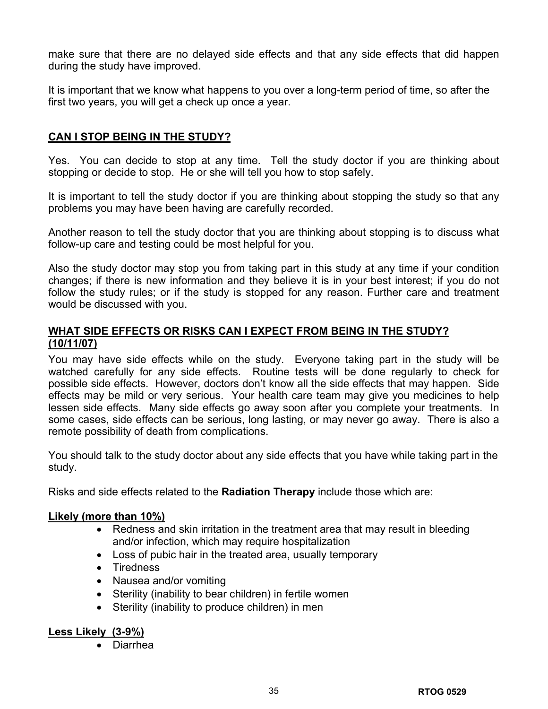make sure that there are no delayed side effects and that any side effects that did happen during the study have improved.

It is important that we know what happens to you over a long-term period of time, so after the first two years, you will get a check up once a year.

# **CAN I STOP BEING IN THE STUDY?**

Yes. You can decide to stop at any time. Tell the study doctor if you are thinking about stopping or decide to stop. He or she will tell you how to stop safely.

It is important to tell the study doctor if you are thinking about stopping the study so that any problems you may have been having are carefully recorded.

Another reason to tell the study doctor that you are thinking about stopping is to discuss what follow-up care and testing could be most helpful for you.

Also the study doctor may stop you from taking part in this study at any time if your condition changes; if there is new information and they believe it is in your best interest; if you do not follow the study rules; or if the study is stopped for any reason. Further care and treatment would be discussed with you.

# **WHAT SIDE EFFECTS OR RISKS CAN I EXPECT FROM BEING IN THE STUDY? (10/11/07)**

You may have side effects while on the study. Everyone taking part in the study will be watched carefully for any side effects. Routine tests will be done regularly to check for possible side effects. However, doctors don't know all the side effects that may happen. Side effects may be mild or very serious. Your health care team may give you medicines to help lessen side effects. Many side effects go away soon after you complete your treatments. In some cases, side effects can be serious, long lasting, or may never go away. There is also a remote possibility of death from complications.

You should talk to the study doctor about any side effects that you have while taking part in the study.

Risks and side effects related to the **Radiation Therapy** include those which are:

# **Likely (more than 10%)**

- Redness and skin irritation in the treatment area that may result in bleeding and/or infection, which may require hospitalization
- Loss of pubic hair in the treated area, usually temporary
- Tiredness
- Nausea and/or vomiting
- Sterility (inability to bear children) in fertile women
- Sterility (inability to produce children) in men

# **Less Likely (3-9%)**

• Diarrhea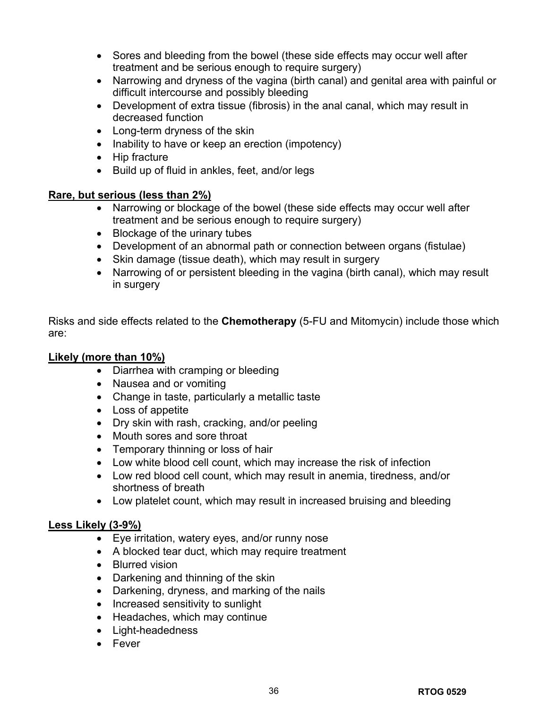- Sores and bleeding from the bowel (these side effects may occur well after treatment and be serious enough to require surgery)
- Narrowing and dryness of the vagina (birth canal) and genital area with painful or difficult intercourse and possibly bleeding
- Development of extra tissue (fibrosis) in the anal canal, which may result in decreased function
- Long-term dryness of the skin
- Inability to have or keep an erection (impotency)
- Hip fracture
- Build up of fluid in ankles, feet, and/or legs

# **Rare, but serious (less than 2%)**

- Narrowing or blockage of the bowel (these side effects may occur well after treatment and be serious enough to require surgery)
- Blockage of the urinary tubes
- Development of an abnormal path or connection between organs (fistulae)
- Skin damage (tissue death), which may result in surgery
- Narrowing of or persistent bleeding in the vagina (birth canal), which may result in surgery

Risks and side effects related to the **Chemotherapy** (5-FU and Mitomycin) include those which are:

# **Likely (more than 10%)**

- Diarrhea with cramping or bleeding
- Nausea and or vomiting
- Change in taste, particularly a metallic taste
- Loss of appetite
- Dry skin with rash, cracking, and/or peeling
- Mouth sores and sore throat
- Temporary thinning or loss of hair
- Low white blood cell count, which may increase the risk of infection
- Low red blood cell count, which may result in anemia, tiredness, and/or shortness of breath
- Low platelet count, which may result in increased bruising and bleeding

# **Less Likely (3-9%)**

- Eye irritation, watery eyes, and/or runny nose
- A blocked tear duct, which may require treatment
- Blurred vision
- Darkening and thinning of the skin
- Darkening, dryness, and marking of the nails
- Increased sensitivity to sunlight
- Headaches, which may continue
- Light-headedness
- Fever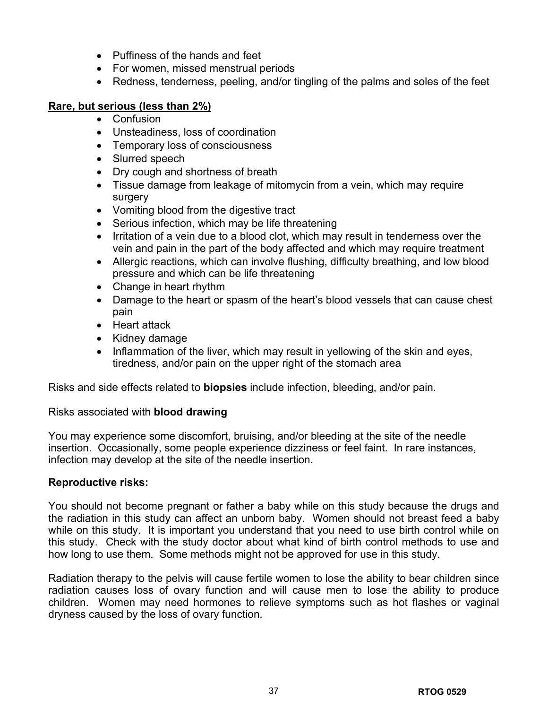- Puffiness of the hands and feet
- For women, missed menstrual periods
- Redness, tenderness, peeling, and/or tingling of the palms and soles of the feet

# **Rare, but serious (less than 2%)**

- Confusion
- Unsteadiness, loss of coordination
- Temporary loss of consciousness
- Slurred speech
- Dry cough and shortness of breath
- Tissue damage from leakage of mitomycin from a vein, which may require surgery
- Vomiting blood from the digestive tract
- Serious infection, which may be life threatening
- Irritation of a vein due to a blood clot, which may result in tenderness over the vein and pain in the part of the body affected and which may require treatment
- Allergic reactions, which can involve flushing, difficulty breathing, and low blood pressure and which can be life threatening
- Change in heart rhythm
- Damage to the heart or spasm of the heart's blood vessels that can cause chest pain
- Heart attack
- Kidney damage
- Inflammation of the liver, which may result in yellowing of the skin and eyes, tiredness, and/or pain on the upper right of the stomach area

Risks and side effects related to **biopsies** include infection, bleeding, and/or pain.

# Risks associated with **blood drawing**

You may experience some discomfort, bruising, and/or bleeding at the site of the needle insertion. Occasionally, some people experience dizziness or feel faint. In rare instances, infection may develop at the site of the needle insertion.

# **Reproductive risks:**

You should not become pregnant or father a baby while on this study because the drugs and the radiation in this study can affect an unborn baby. Women should not breast feed a baby while on this study. It is important you understand that you need to use birth control while on this study. Check with the study doctor about what kind of birth control methods to use and how long to use them. Some methods might not be approved for use in this study.

Radiation therapy to the pelvis will cause fertile women to lose the ability to bear children since radiation causes loss of ovary function and will cause men to lose the ability to produce children. Women may need hormones to relieve symptoms such as hot flashes or vaginal dryness caused by the loss of ovary function.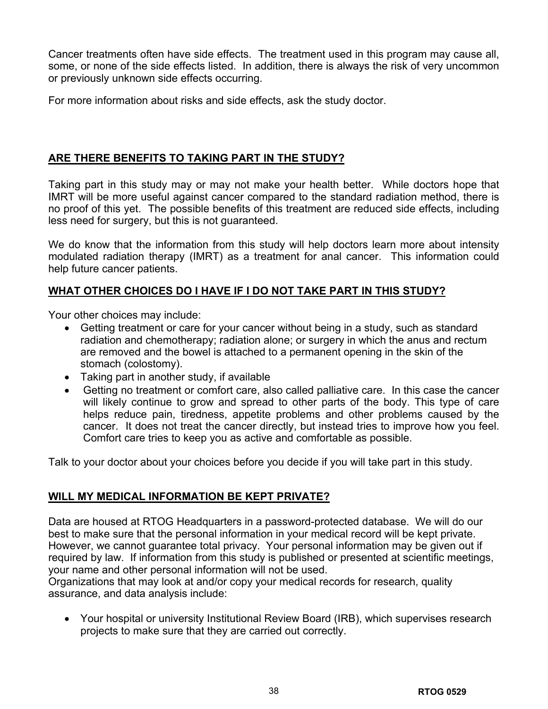Cancer treatments often have side effects. The treatment used in this program may cause all, some, or none of the side effects listed. In addition, there is always the risk of very uncommon or previously unknown side effects occurring.

For more information about risks and side effects, ask the study doctor.

# **ARE THERE BENEFITS TO TAKING PART IN THE STUDY?**

Taking part in this study may or may not make your health better. While doctors hope that IMRT will be more useful against cancer compared to the standard radiation method, there is no proof of this yet. The possible benefits of this treatment are reduced side effects, including less need for surgery, but this is not guaranteed.

We do know that the information from this study will help doctors learn more about intensity modulated radiation therapy (IMRT) as a treatment for anal cancer. This information could help future cancer patients.

# **WHAT OTHER CHOICES DO I HAVE IF I DO NOT TAKE PART IN THIS STUDY?**

Your other choices may include:

- Getting treatment or care for your cancer without being in a study, such as standard radiation and chemotherapy; radiation alone; or surgery in which the anus and rectum are removed and the bowel is attached to a permanent opening in the skin of the stomach (colostomy).
- Taking part in another study, if available
- Getting no treatment or comfort care, also called palliative care. In this case the cancer will likely continue to grow and spread to other parts of the body. This type of care helps reduce pain, tiredness, appetite problems and other problems caused by the cancer. It does not treat the cancer directly, but instead tries to improve how you feel. Comfort care tries to keep you as active and comfortable as possible.

Talk to your doctor about your choices before you decide if you will take part in this study.

# **WILL MY MEDICAL INFORMATION BE KEPT PRIVATE?**

Data are housed at RTOG Headquarters in a password-protected database. We will do our best to make sure that the personal information in your medical record will be kept private. However, we cannot guarantee total privacy. Your personal information may be given out if required by law. If information from this study is published or presented at scientific meetings, your name and other personal information will not be used.

Organizations that may look at and/or copy your medical records for research, quality assurance, and data analysis include:

• Your hospital or university Institutional Review Board (IRB), which supervises research projects to make sure that they are carried out correctly.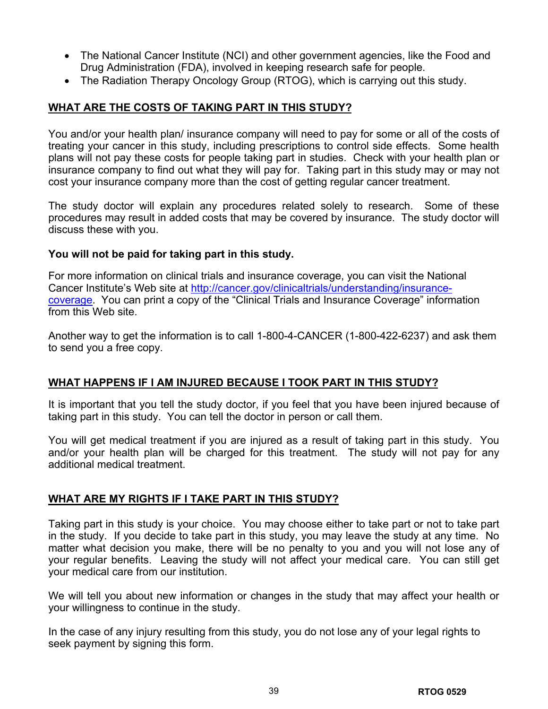- The National Cancer Institute (NCI) and other government agencies, like the Food and Drug Administration (FDA), involved in keeping research safe for people.
- The Radiation Therapy Oncology Group (RTOG), which is carrying out this study.

# **WHAT ARE THE COSTS OF TAKING PART IN THIS STUDY?**

You and/or your health plan/ insurance company will need to pay for some or all of the costs of treating your cancer in this study, including prescriptions to control side effects. Some health plans will not pay these costs for people taking part in studies. Check with your health plan or insurance company to find out what they will pay for. Taking part in this study may or may not cost your insurance company more than the cost of getting regular cancer treatment.

The study doctor will explain any procedures related solely to research. Some of these procedures may result in added costs that may be covered by insurance. The study doctor will discuss these with you.

# **You will not be paid for taking part in this study.**

For more information on clinical trials and insurance coverage, you can visit the National Cancer Institute's Web site at [http://cancer.gov/clinicaltrials/understanding/insurance](http://cancer.gov/clinicaltrials/understanding/insurance-coverage)[coverage](http://cancer.gov/clinicaltrials/understanding/insurance-coverage). You can print a copy of the "Clinical Trials and Insurance Coverage" information from this Web site.

Another way to get the information is to call 1-800-4-CANCER (1-800-422-6237) and ask them to send you a free copy.

# **WHAT HAPPENS IF I AM INJURED BECAUSE I TOOK PART IN THIS STUDY?**

It is important that you tell the study doctor, if you feel that you have been injured because of taking part in this study. You can tell the doctor in person or call them.

You will get medical treatment if you are injured as a result of taking part in this study. You and/or your health plan will be charged for this treatment. The study will not pay for any additional medical treatment.

# **WHAT ARE MY RIGHTS IF I TAKE PART IN THIS STUDY?**

Taking part in this study is your choice. You may choose either to take part or not to take part in the study. If you decide to take part in this study, you may leave the study at any time. No matter what decision you make, there will be no penalty to you and you will not lose any of your regular benefits. Leaving the study will not affect your medical care. You can still get your medical care from our institution.

We will tell you about new information or changes in the study that may affect your health or your willingness to continue in the study.

In the case of any injury resulting from this study, you do not lose any of your legal rights to seek payment by signing this form.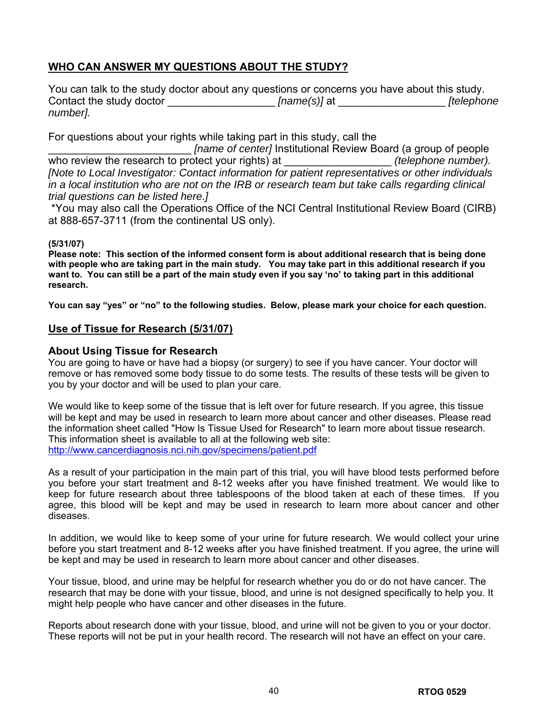# **WHO CAN ANSWER MY QUESTIONS ABOUT THE STUDY?**

You can talk to the study doctor about any questions or concerns you have about this study. Contact the study doctor **and include the study doctor** *[name(s)]* at *[telephone [telephone number].*

For questions about your rights while taking part in this study, call the

*\_ [name of center]* Institutional Review Board (a group of people<br>otect your rights) at *(telephone number).* who review the research to protect your rights) at *[Note to Local Investigator: Contact information for patient representatives or other individuals in a local institution who are not on the IRB or research team but take calls regarding clinical trial questions can be listed here.]*

\*You may also call the Operations Office of the NCI Central Institutional Review Board (CIRB) at 888-657-3711 (from the continental US only).

## **(5/31/07)**

**Please note: This section of the informed consent form is about additional research that is being done with people who are taking part in the main study. You may take part in this additional research if you want to. You can still be a part of the main study even if you say 'no' to taking part in this additional research.** 

**You can say "yes" or "no" to the following studies. Below, please mark your choice for each question.** 

# **Use of Tissue for Research (5/31/07)**

## **About Using Tissue for Research**

You are going to have or have had a biopsy (or surgery) to see if you have cancer. Your doctor will remove or has removed some body tissue to do some tests. The results of these tests will be given to you by your doctor and will be used to plan your care.

We would like to keep some of the tissue that is left over for future research. If you agree, this tissue will be kept and may be used in research to learn more about cancer and other diseases. Please read the information sheet called "How Is Tissue Used for Research" to learn more about tissue research. This information sheet is available to all at the following web site: <http://www.cancerdiagnosis.nci.nih.gov/specimens/patient.pdf>

As a result of your participation in the main part of this trial, you will have blood tests performed before you before your start treatment and 8-12 weeks after you have finished treatment. We would like to keep for future research about three tablespoons of the blood taken at each of these times. If you agree, this blood will be kept and may be used in research to learn more about cancer and other diseases.

In addition, we would like to keep some of your urine for future research. We would collect your urine before you start treatment and 8-12 weeks after you have finished treatment. If you agree, the urine will be kept and may be used in research to learn more about cancer and other diseases.

Your tissue, blood, and urine may be helpful for research whether you do or do not have cancer. The research that may be done with your tissue, blood, and urine is not designed specifically to help you. It might help people who have cancer and other diseases in the future.

Reports about research done with your tissue, blood, and urine will not be given to you or your doctor. These reports will not be put in your health record. The research will not have an effect on your care.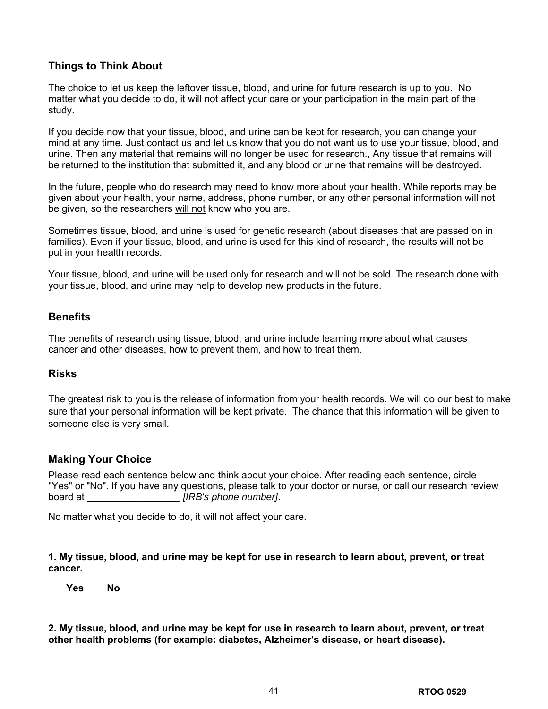# **Things to Think About**

The choice to let us keep the leftover tissue, blood, and urine for future research is up to you. No matter what you decide to do, it will not affect your care or your participation in the main part of the study.

If you decide now that your tissue, blood, and urine can be kept for research, you can change your mind at any time. Just contact us and let us know that you do not want us to use your tissue, blood, and urine. Then any material that remains will no longer be used for research., Any tissue that remains will be returned to the institution that submitted it, and any blood or urine that remains will be destroyed.

In the future, people who do research may need to know more about your health. While reports may be given about your health, your name, address, phone number, or any other personal information will not be given, so the researchers will not know who you are.

Sometimes tissue, blood, and urine is used for genetic research (about diseases that are passed on in families). Even if your tissue, blood, and urine is used for this kind of research, the results will not be put in your health records.

Your tissue, blood, and urine will be used only for research and will not be sold. The research done with your tissue, blood, and urine may help to develop new products in the future.

# **Benefits**

The benefits of research using tissue, blood, and urine include learning more about what causes cancer and other diseases, how to prevent them, and how to treat them.

## **Risks**

The greatest risk to you is the release of information from your health records. We will do our best to make sure that your personal information will be kept private. The chance that this information will be given to someone else is very small.

# **Making Your Choice**

Please read each sentence below and think about your choice. After reading each sentence, circle "Yes" or "No". If you have any questions, please talk to your doctor or nurse, or call our research review board at \_\_\_\_\_\_\_\_\_\_\_\_\_\_\_\_\_ *[IRB's phone number]*.

No matter what you decide to do, it will not affect your care.

**1. My tissue, blood, and urine may be kept for use in research to learn about, prevent, or treat cancer.** 

 **Yes No** 

**2. My tissue, blood, and urine may be kept for use in research to learn about, prevent, or treat other health problems (for example: diabetes, Alzheimer's disease, or heart disease).**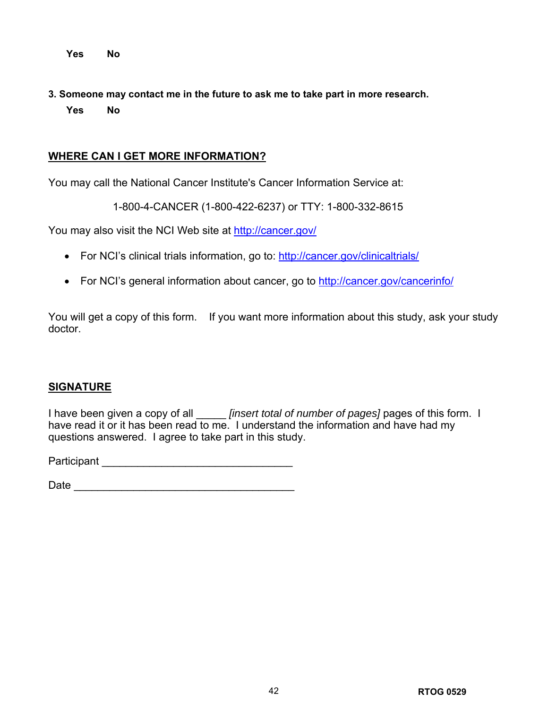**Yes No** 

**3. Someone may contact me in the future to ask me to take part in more research. Yes No** 

# **WHERE CAN I GET MORE INFORMATION?**

You may call the National Cancer Institute's Cancer Information Service at:

1-800-4-CANCER (1-800-422-6237) or TTY: 1-800-332-8615

You may also visit the NCI Web site at<http://cancer.gov/>

- For NCI's clinical trials information, go to:<http://cancer.gov/clinicaltrials/>
- For NCI's general information about cancer, go to<http://cancer.gov/cancerinfo/>

You will get a copy of this form. If you want more information about this study, ask your study doctor.

# **SIGNATURE**

I have been given a copy of all \_\_\_\_\_ *[insert total of number of pages]* pages of this form. I have read it or it has been read to me. I understand the information and have had my questions answered. I agree to take part in this study.

Participant \_\_\_\_\_\_\_\_\_\_\_\_\_\_\_\_\_\_\_\_\_\_\_\_\_\_\_\_\_\_\_\_

 $Date$   $\Box$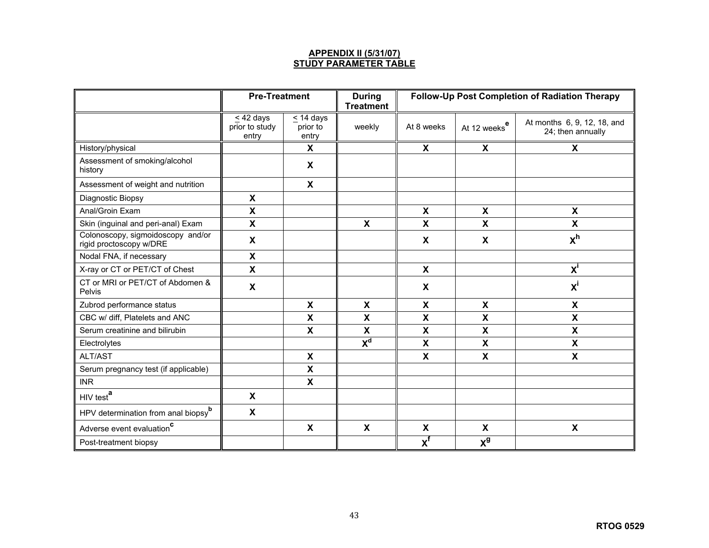### **APPENDIX II (5/31/07) STUDY PARAMETER TABLE**

|                                                              | <b>Pre-Treatment</b>                      |                                     | <b>During</b><br><b>Treatment</b> | Follow-Up Post Completion of Radiation Therapy |                           |                                                  |
|--------------------------------------------------------------|-------------------------------------------|-------------------------------------|-----------------------------------|------------------------------------------------|---------------------------|--------------------------------------------------|
|                                                              | $\leq$ 42 days<br>prior to study<br>entry | $\leq$ 14 days<br>prior to<br>entry | weekly                            | At 8 weeks                                     | At 12 weeks <sup>e</sup>  | At months 6, 9, 12, 18, and<br>24; then annually |
| History/physical                                             |                                           | X                                   |                                   | $\boldsymbol{\mathsf{X}}$                      | X                         | X                                                |
| Assessment of smoking/alcohol<br>history                     |                                           | X                                   |                                   |                                                |                           |                                                  |
| Assessment of weight and nutrition                           |                                           | $\boldsymbol{\mathsf{X}}$           |                                   |                                                |                           |                                                  |
| Diagnostic Biopsy                                            | $\boldsymbol{\mathsf{X}}$                 |                                     |                                   |                                                |                           |                                                  |
| Anal/Groin Exam                                              | $\boldsymbol{\mathsf{X}}$                 |                                     |                                   | $\boldsymbol{\mathsf{X}}$                      | $\boldsymbol{\mathsf{X}}$ | X                                                |
| Skin (inguinal and peri-anal) Exam                           | $\boldsymbol{\mathsf{X}}$                 |                                     | $\boldsymbol{\mathsf{X}}$         | $\mathbf x$                                    | $\boldsymbol{\mathsf{X}}$ | $\boldsymbol{\mathsf{X}}$                        |
| Colonoscopy, sigmoidoscopy and/or<br>rigid proctoscopy w/DRE | $\boldsymbol{\mathsf{X}}$                 |                                     |                                   | X                                              | X                         | x <sup>h</sup>                                   |
| Nodal FNA, if necessary                                      | $\boldsymbol{\mathsf{X}}$                 |                                     |                                   |                                                |                           |                                                  |
| X-ray or CT or PET/CT of Chest                               | $\boldsymbol{\mathsf{X}}$                 |                                     |                                   | X                                              |                           | $X^I$                                            |
| CT or MRI or PET/CT of Abdomen &<br>Pelvis                   | X                                         |                                     |                                   | $\boldsymbol{\mathsf{X}}$                      |                           | $x^i$                                            |
| Zubrod performance status                                    |                                           | X                                   | $\mathsf{x}$                      | $\mathsf{x}$                                   | $\boldsymbol{\mathsf{X}}$ | X                                                |
| CBC w/ diff, Platelets and ANC                               |                                           | X                                   | X                                 | X                                              | $\boldsymbol{\mathsf{X}}$ | $\boldsymbol{\mathsf{X}}$                        |
| Serum creatinine and bilirubin                               |                                           | X                                   | $\boldsymbol{\mathsf{X}}$         | X                                              | $\boldsymbol{\mathsf{X}}$ | X                                                |
| Electrolytes                                                 |                                           |                                     | $\mathbf{X}^{\mathbf{d}}$         | X                                              | $\boldsymbol{\mathsf{X}}$ | X                                                |
| ALT/AST                                                      |                                           | $\boldsymbol{\mathsf{x}}$           |                                   | $\mathbf x$                                    | $\boldsymbol{\mathsf{X}}$ | $\boldsymbol{\mathsf{x}}$                        |
| Serum pregnancy test (if applicable)                         |                                           | $\pmb{\chi}$                        |                                   |                                                |                           |                                                  |
| <b>INR</b>                                                   |                                           | $\boldsymbol{\mathsf{x}}$           |                                   |                                                |                           |                                                  |
| HIV test <sup>a</sup>                                        | $\boldsymbol{\mathsf{X}}$                 |                                     |                                   |                                                |                           |                                                  |
| HPV determination from anal biopsy <sup>b</sup>              | $\boldsymbol{\mathsf{X}}$                 |                                     |                                   |                                                |                           |                                                  |
| Adverse event evaluation <sup>c</sup>                        |                                           | $\boldsymbol{\mathsf{X}}$           | $\boldsymbol{\mathsf{X}}$         | $\mathbf x$                                    | $\boldsymbol{\mathsf{X}}$ | $\boldsymbol{\mathsf{X}}$                        |
| Post-treatment biopsy                                        |                                           |                                     |                                   | $\overline{x}^f$                               | $\mathbf{X}^{\mathbf{g}}$ |                                                  |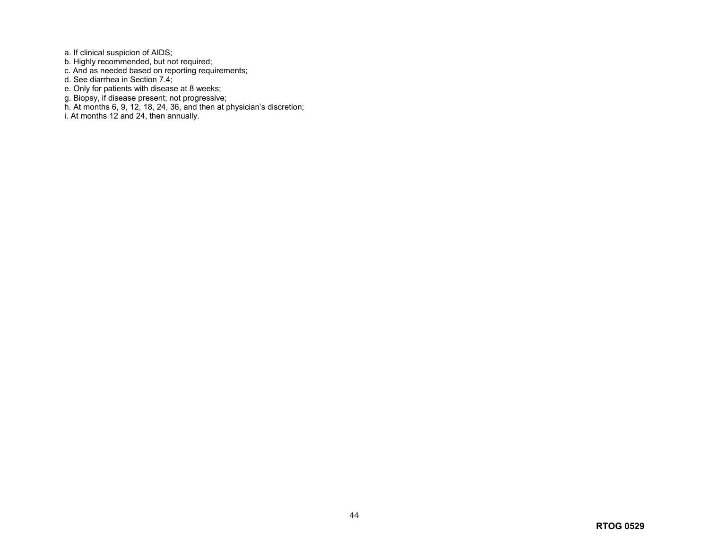a. If clinical suspicion of AIDS;

- b. Highly recommended, but not required;
- c. And as needed based on reporting requirements;
- d. See diarrhea in Section 7.4;
- e. Only for patients with disease at 8 weeks;
- g. Biopsy, if disease present; not progressive;
- h. At months 6, 9, 12, 18, 24, 36, and then at physician's discretion;
- i. At months 12 and 24, then annually.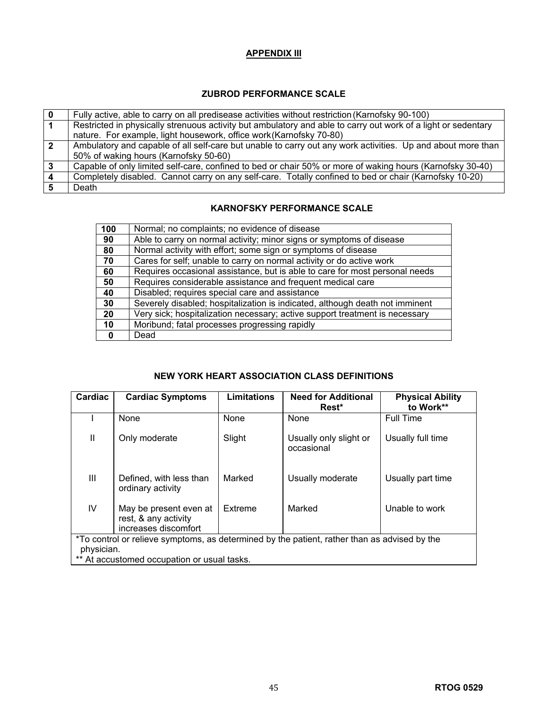## **APPENDIX III**

## **ZUBROD PERFORMANCE SCALE**

|              | Fully active, able to carry on all predisease activities without restriction (Karnofsky 90-100)               |
|--------------|---------------------------------------------------------------------------------------------------------------|
|              | Restricted in physically strenuous activity but ambulatory and able to carry out work of a light or sedentary |
|              | nature. For example, light housework, office work (Karnofsky 70-80)                                           |
| $\mathbf{2}$ | Ambulatory and capable of all self-care but unable to carry out any work activities. Up and about more than   |
|              | 50% of waking hours (Karnofsky 50-60)                                                                         |
|              | Capable of only limited self-care, confined to bed or chair 50% or more of waking hours (Karnofsky 30-40)     |
|              | Completely disabled. Cannot carry on any self-care. Totally confined to bed or chair (Karnofsky 10-20)        |
|              | Death                                                                                                         |

## **KARNOFSKY PERFORMANCE SCALE**

| 100 | Normal; no complaints; no evidence of disease                                |
|-----|------------------------------------------------------------------------------|
| 90  | Able to carry on normal activity; minor signs or symptoms of disease         |
| 80  | Normal activity with effort; some sign or symptoms of disease                |
| 70  | Cares for self; unable to carry on normal activity or do active work         |
| 60  | Requires occasional assistance, but is able to care for most personal needs  |
| 50  | Requires considerable assistance and frequent medical care                   |
| 40  | Disabled; requires special care and assistance                               |
| 30  | Severely disabled; hospitalization is indicated, although death not imminent |
| 20  | Very sick; hospitalization necessary; active support treatment is necessary  |
| 10  | Moribund; fatal processes progressing rapidly                                |
|     | Dead                                                                         |

## **NEW YORK HEART ASSOCIATION CLASS DEFINITIONS**

| Cardiac                                                                                      | <b>Cardiac Symptoms</b>                                                | Limitations | <b>Need for Additional</b><br>Rest*  | <b>Physical Ability</b><br>to Work** |
|----------------------------------------------------------------------------------------------|------------------------------------------------------------------------|-------------|--------------------------------------|--------------------------------------|
|                                                                                              | <b>None</b>                                                            | None        | None                                 | <b>Full Time</b>                     |
| $\mathbf{II}$                                                                                | Only moderate                                                          | Slight      | Usually only slight or<br>occasional | Usually full time                    |
| Ш                                                                                            | Defined, with less than<br>ordinary activity                           | Marked      | Usually moderate                     | Usually part time                    |
| IV                                                                                           | May be present even at<br>rest, & any activity<br>increases discomfort | Extreme     | Marked                               | Unable to work                       |
| *To control or relieve symptoms, as determined by the patient, rather than as advised by the |                                                                        |             |                                      |                                      |
| physician.                                                                                   |                                                                        |             |                                      |                                      |
| ** At accustomed occupation or usual tasks.                                                  |                                                                        |             |                                      |                                      |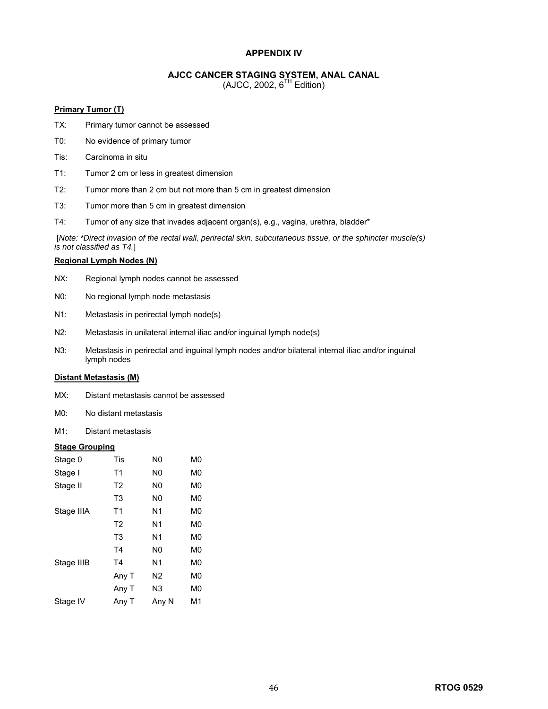### **APPENDIX IV**

### **AJCC CANCER STAGING SYSTEM, ANAL CANAL**

 $(AJCC, 2002, 6<sup>TH</sup> Edition)$ 

### **Primary Tumor (T)**

- TX: Primary tumor cannot be assessed
- T0: No evidence of primary tumor
- Tis: Carcinoma in situ
- T1: Tumor 2 cm or less in greatest dimension
- T2: Tumor more than 2 cm but not more than 5 cm in greatest dimension
- T3: Tumor more than 5 cm in greatest dimension
- T4: Tumor of any size that invades adjacent organ(s), e.g., vagina, urethra, bladder\*

 [*Note: \*Direct invasion of the rectal wall, perirectal skin, subcutaneous tissue, or the sphincter muscle(s) is not classified as T4.*]

### **Regional Lymph Nodes (N)**

- NX: Regional lymph nodes cannot be assessed
- N0: No regional lymph node metastasis
- N1: Metastasis in perirectal lymph node(s)
- N2: Metastasis in unilateral internal iliac and/or inguinal lymph node(s)
- N3: Metastasis in perirectal and inguinal lymph nodes and/or bilateral internal iliac and/or inguinal lymph nodes

#### **Distant Metastasis (M)**

- MX: Distant metastasis cannot be assessed
- M0: No distant metastasis
- M1: Distant metastasis

#### **Stage Grouping**

| Stage 0    | Tis            | N0             | M0 |
|------------|----------------|----------------|----|
| Stage I    | T <sub>1</sub> | N0             | M0 |
| Stage II   | T <sub>2</sub> | N0             | M0 |
|            | T <sub>3</sub> | N <sub>0</sub> | M0 |
| Stage IIIA | T <sub>1</sub> | N <sub>1</sub> | M0 |
|            | T <sub>2</sub> | N1             | M0 |
|            | T <sub>3</sub> | N1             | M0 |
|            | T4             | N0             | M0 |
| Stage IIIB | T4             | N1             | M0 |
|            | Any T          | N2             | M0 |
|            | Any T          | N3             | M0 |
| Stage IV   | Any T          | Any N          | M1 |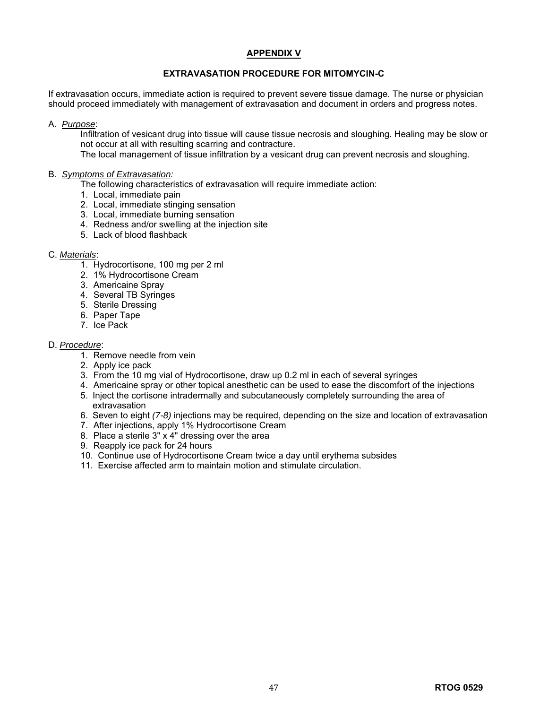### **APPENDIX V**

## **EXTRAVASATION PROCEDURE FOR MITOMYCIN-C**

If extravasation occurs, immediate action is required to prevent severe tissue damage. The nurse or physician should proceed immediately with management of extravasation and document in orders and progress notes.

### A. *Purpose*:

Infiltration of vesicant drug into tissue will cause tissue necrosis and sloughing. Healing may be slow or not occur at all with resulting scarring and contracture.

The local management of tissue infiltration by a vesicant drug can prevent necrosis and sloughing.

### B. *Symptoms of Extravasation:*

The following characteristics of extravasation will require immediate action:

- 1. Local, immediate pain
- 2. Local, immediate stinging sensation
- 3. Local, immediate burning sensation
- 4. Redness and/or swelling at the injection site
- 5. Lack of blood flashback

### C. *Materials*:

- 1. Hydrocortisone, 100 mg per 2 ml
- 2. 1% Hydrocortisone Cream
- 3. Americaine Spray
- 4. Several TB Syringes
- 5. Sterile Dressing
- 6. Paper Tape
- 7. Ice Pack

### D. *Procedure*:

- 1. Remove needle from vein
- 2. Apply ice pack
- 3. From the 10 mg vial of Hydrocortisone, draw up 0.2 ml in each of several syringes
- 4. Americaine spray or other topical anesthetic can be used to ease the discomfort of the injections
- 5. Inject the cortisone intradermally and subcutaneously completely surrounding the area of extravasation
- 6. Seven to eight *(7-8)* injections may be required, depending on the size and location of extravasation
- 7. After injections, apply 1% Hydrocortisone Cream
- 8. Place a sterile 3" x 4" dressing over the area
- 9. Reapply ice pack for 24 hours
- 10. Continue use of Hydrocortisone Cream twice a day until erythema subsides
- 11. Exercise affected arm to maintain motion and stimulate circulation.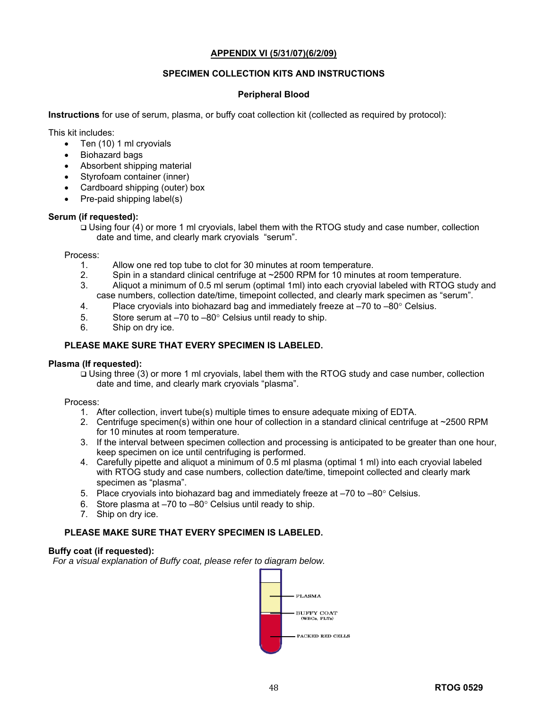### **APPENDIX VI (5/31/07)(6/2/09)**

## **SPECIMEN COLLECTION KITS AND INSTRUCTIONS**

### **Peripheral Blood**

**Instructions** for use of serum, plasma, or buffy coat collection kit (collected as required by protocol):

This kit includes:

- Ten (10) 1 ml cryovials
- Biohazard bags
- Absorbent shipping material
- Styrofoam container (inner)
- Cardboard shipping (outer) box
- Pre-paid shipping label(s)

### **Serum (if requested):**

 Using four (4) or more 1 ml cryovials, label them with the RTOG study and case number, collection date and time, and clearly mark cryovials "serum".

Process:

- 1. Allow one red top tube to clot for 30 minutes at room temperature.<br>2. Spin in a standard clinical centrifuge at ~2500 RPM for 10 minutes
- Spin in a standard clinical centrifuge at ~2500 RPM for 10 minutes at room temperature.
- 3. Aliquot a minimum of 0.5 ml serum (optimal 1ml) into each cryovial labeled with RTOG study and case numbers, collection date/time, timepoint collected, and clearly mark specimen as "serum".
- 4. Place cryovials into biohazard bag and immediately freeze at  $-70$  to  $-80^\circ$  Celsius.
- 5. Store serum at –70 to –80° Celsius until ready to ship.
- 6. Ship on dry ice.

### **PLEASE MAKE SURE THAT EVERY SPECIMEN IS LABELED.**

### **Plasma (If requested):**

 Using three (3) or more 1 ml cryovials, label them with the RTOG study and case number, collection date and time, and clearly mark cryovials "plasma".

Process:

- 1. After collection, invert tube(s) multiple times to ensure adequate mixing of EDTA.
- 2. Centrifuge specimen(s) within one hour of collection in a standard clinical centrifuge at ~2500 RPM for 10 minutes at room temperature.
- 3. If the interval between specimen collection and processing is anticipated to be greater than one hour, keep specimen on ice until centrifuging is performed.
- 4. Carefully pipette and aliquot a minimum of 0.5 ml plasma (optimal 1 ml) into each cryovial labeled with RTOG study and case numbers, collection date/time, timepoint collected and clearly mark specimen as "plasma".
- 5. Place cryovials into biohazard bag and immediately freeze at –70 to –80° Celsius.
- 6. Store plasma at  $-70$  to  $-80^\circ$  Celsius until ready to ship.
- 7. Ship on dry ice.

## **PLEASE MAKE SURE THAT EVERY SPECIMEN IS LABELED.**

### **Buffy coat (if requested):**

*For a visual explanation of Buffy coat, please refer to diagram below.* 

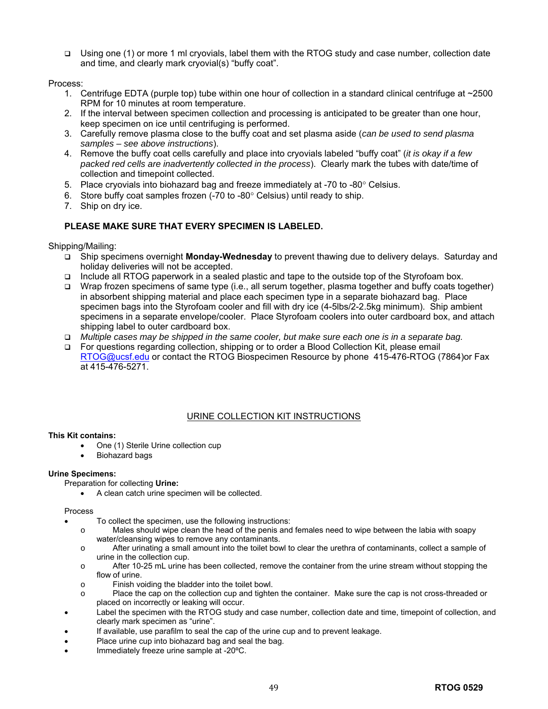Using one (1) or more 1 ml cryovials, label them with the RTOG study and case number, collection date and time, and clearly mark cryovial(s) "buffy coat".

Process:

- 1. Centrifuge EDTA (purple top) tube within one hour of collection in a standard clinical centrifuge at ~2500 RPM for 10 minutes at room temperature.
- 2. If the interval between specimen collection and processing is anticipated to be greater than one hour, keep specimen on ice until centrifuging is performed.
- 3. Carefully remove plasma close to the buffy coat and set plasma aside (*can be used to send plasma samples – see above instructions*).
- 4. Remove the buffy coat cells carefully and place into cryovials labeled "buffy coat" (*it is okay if a few packed red cells are inadvertently collected in the process*). Clearly mark the tubes with date/time of collection and timepoint collected.
- 5. Place cryovials into biohazard bag and freeze immediately at -70 to -80° Celsius.
- 6. Store buffy coat samples frozen (-70 to -80° Celsius) until ready to ship.
- 7. Ship on dry ice.

## **PLEASE MAKE SURE THAT EVERY SPECIMEN IS LABELED.**

Shipping/Mailing:

- Ship specimens overnight **Monday-Wednesday** to prevent thawing due to delivery delays. Saturday and holiday deliveries will not be accepted.
- Include all RTOG paperwork in a sealed plastic and tape to the outside top of the Styrofoam box.
- Wrap frozen specimens of same type (i.e., all serum together, plasma together and buffy coats together) in absorbent shipping material and place each specimen type in a separate biohazard bag. Place specimen bags into the Styrofoam cooler and fill with dry ice (4-5lbs/2-2.5kg minimum). Ship ambient specimens in a separate envelope/cooler. Place Styrofoam coolers into outer cardboard box, and attach shipping label to outer cardboard box.
- *Multiple cases may be shipped in the same cooler, but make sure each one is in a separate bag.*
- For questions regarding collection, shipping or to order a Blood Collection Kit, please email [RTOG@ucsf.edu](mailto:RTOG@ucsf.edu) or contact the RTOG Biospecimen Resource by phone 415-476-RTOG (7864)or Fax at 415-476-5271.

## URINE COLLECTION KIT INSTRUCTIONS

### **This Kit contains:**

- One (1) Sterile Urine collection cup
- Biohazard bags

### **Urine Specimens:**

Preparation for collecting **Urine:** 

• A clean catch urine specimen will be collected.

#### Process

- To collect the specimen, use the following instructions:
	- o Males should wipe clean the head of the penis and females need to wipe between the labia with soapy water/cleansing wipes to remove any contaminants.
	- o After urinating a small amount into the toilet bowl to clear the urethra of contaminants, collect a sample of urine in the collection cup.
	- o After 10-25 mL urine has been collected, remove the container from the urine stream without stopping the flow of urine.
	- o Finish voiding the bladder into the toilet bowl.
	- o Place the cap on the collection cup and tighten the container. Make sure the cap is not cross-threaded or placed on incorrectly or leaking will occur.
- Label the specimen with the RTOG study and case number, collection date and time, timepoint of collection, and clearly mark specimen as "urine".
- If available, use parafilm to seal the cap of the urine cup and to prevent leakage.
- Place urine cup into biohazard bag and seal the bag.
- Immediately freeze urine sample at -20°C.